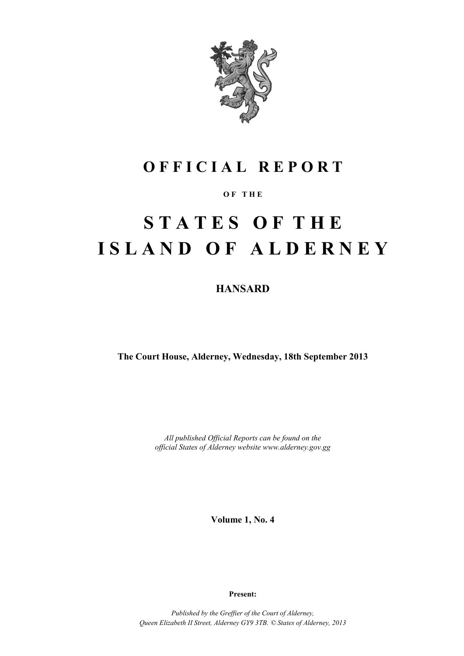

# **O F F I C I A L R E P O R T**

# **O F T H E**

# **S T A T E S O F T H E I S L A N D O F A L D E R N E Y**

**HANSARD**

**The Court House, Alderney, Wednesday, 18th September 2013**

*All published Official Reports can be found on the official States of Alderney website www.alderney.gov.gg*

**Volume 1, No. 4**

**Present:**

*Published by the Greffier of the Court of Alderney, Queen Elizabeth II Street, Alderney GY9 3TB. © States of Alderney, 2013*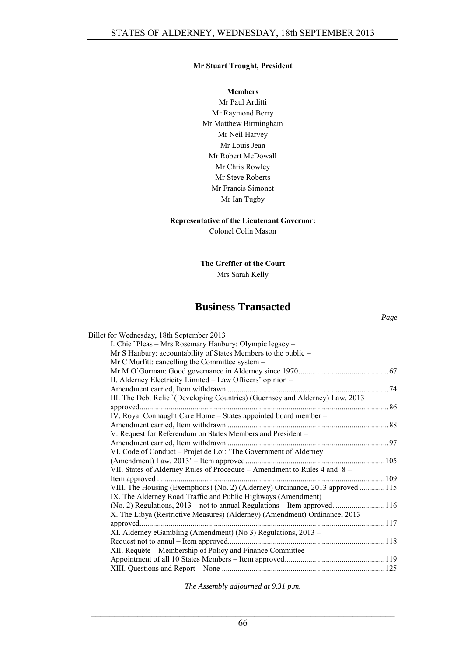# **Mr Stuart Trought, President**

#### **Members**

Mr Paul Arditti Mr Raymond Berry Mr Matthew Birmingham Mr Neil Harvey Mr Louis Jean Mr Robert McDowall Mr Chris Rowley Mr Steve Roberts Mr Francis Simonet Mr Ian Tugby

#### **Representative of the Lieutenant Governor:**

Colonel Colin Mason

**The Greffier of the Court** Mrs Sarah Kelly

# **Business Transacted**

| Billet for Wednesday, 18th September 2013                                      |  |
|--------------------------------------------------------------------------------|--|
| I. Chief Pleas - Mrs Rosemary Hanbury: Olympic legacy -                        |  |
| Mr S Hanbury: accountability of States Members to the public -                 |  |
| Mr C Murfitt: cancelling the Committee system -                                |  |
|                                                                                |  |
| II. Alderney Electricity Limited - Law Officers' opinion -                     |  |
|                                                                                |  |
| III. The Debt Relief (Developing Countries) (Guernsey and Alderney) Law, 2013  |  |
|                                                                                |  |
| IV. Royal Connaught Care Home - States appointed board member -                |  |
|                                                                                |  |
| V. Request for Referendum on States Members and President -                    |  |
|                                                                                |  |
| VI. Code of Conduct - Projet de Loi: 'The Government of Alderney               |  |
|                                                                                |  |
| VII. States of Alderney Rules of Procedure - Amendment to Rules 4 and 8 -      |  |
|                                                                                |  |
| VIII. The Housing (Exemptions) (No. 2) (Alderney) Ordinance, 2013 approved 115 |  |
| IX. The Alderney Road Traffic and Public Highways (Amendment)                  |  |
|                                                                                |  |
| X. The Libya (Restrictive Measures) (Alderney) (Amendment) Ordinance, 2013     |  |
|                                                                                |  |
| XI. Alderney eGambling (Amendment) (No 3) Regulations, 2013 -                  |  |
|                                                                                |  |
| XII. Requête – Membership of Policy and Finance Committee –                    |  |
|                                                                                |  |
|                                                                                |  |
|                                                                                |  |

*The Assembly adjourned at 9.31 p.m.*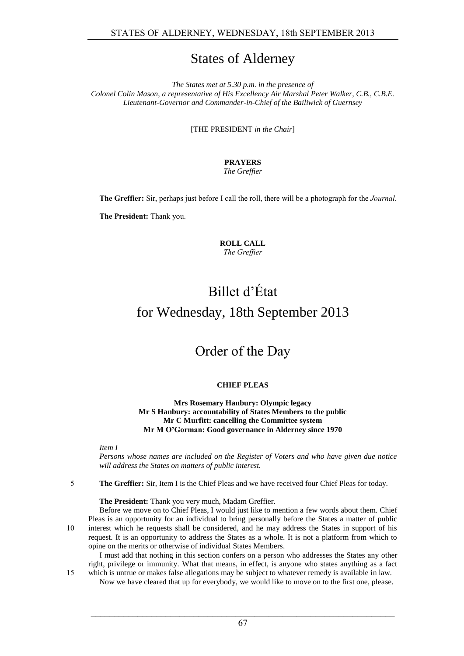# States of Alderney

*The States met at 5.30 p.m. in the presence of Colonel Colin Mason, a representative of His Excellency Air Marshal Peter Walker, C.B., C.B.E. Lieutenant-Governor and Commander-in-Chief of the Bailiwick of Guernsey*

[THE PRESIDENT *in the Chair*]

# **PRAYERS**

*The Greffier*

**The Greffier:** Sir, perhaps just before I call the roll, there will be a photograph for the *Journal*.

**The President:** Thank you.

**ROLL CALL** *The Greffier*

# Billet d'État for Wednesday, 18th September 2013

# Order of the Day

# **CHIEF PLEAS**

**Mrs Rosemary Hanbury: Olympic legacy Mr S Hanbury: accountability of States Members to the public Mr C Murfitt: cancelling the Committee system Mr M O'Gorman: Good governance in Alderney since 1970**

*Item I*

*Persons whose names are included on the Register of Voters and who have given due notice will address the States on matters of public interest.*

5 **The Greffier:** Sir, Item I is the Chief Pleas and we have received four Chief Pleas for today.

**The President:** Thank you very much, Madam Greffier.

Before we move on to Chief Pleas, I would just like to mention a few words about them. Chief Pleas is an opportunity for an individual to bring personally before the States a matter of public 10 interest which he requests shall be considered, and he may address the States in support of his request. It is an opportunity to address the States as a whole. It is not a platform from which to opine on the merits or otherwise of individual States Members.

I must add that nothing in this section confers on a person who addresses the States any other right, privilege or immunity. What that means, in effect, is anyone who states anything as a fact 15 which is untrue or makes false allegations may be subject to whatever remedy is available in law.

Now we have cleared that up for everybody, we would like to move on to the first one, please.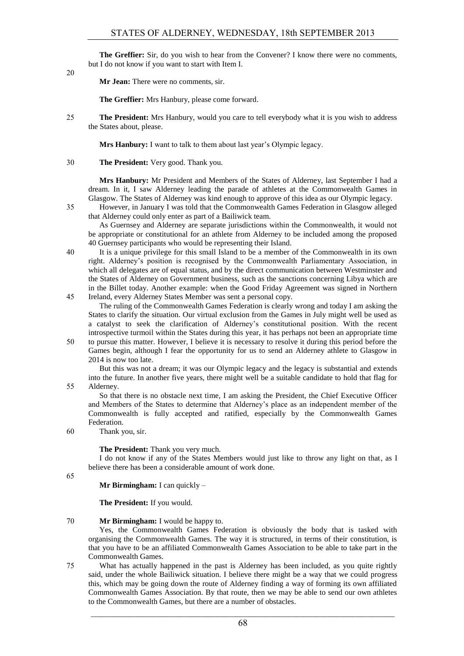**The Greffier:** Sir, do you wish to hear from the Convener? I know there were no comments, but I do not know if you want to start with Item I.

20

**Mr Jean:** There were no comments, sir.

**The Greffier:** Mrs Hanbury, please come forward.

25 **The President:** Mrs Hanbury, would you care to tell everybody what it is you wish to address the States about, please.

**Mrs Hanbury:** I want to talk to them about last year's Olympic legacy.

30 **The President:** Very good. Thank you.

**Mrs Hanbury:** Mr President and Members of the States of Alderney, last September I had a dream. In it, I saw Alderney leading the parade of athletes at the Commonwealth Games in Glasgow. The States of Alderney was kind enough to approve of this idea as our Olympic legacy.

35 However, in January I was told that the Commonwealth Games Federation in Glasgow alleged that Alderney could only enter as part of a Bailiwick team.

As Guernsey and Alderney are separate jurisdictions within the Commonwealth, it would not be appropriate or constitutional for an athlete from Alderney to be included among the proposed 40 Guernsey participants who would be representing their Island.

40 It is a unique privilege for this small Island to be a member of the Commonwealth in its own right. Alderney's position is recognised by the Commonwealth Parliamentary Association, in which all delegates are of equal status, and by the direct communication between Westminster and the States of Alderney on Government business, such as the sanctions concerning Libya which are in the Billet today. Another example: when the Good Friday Agreement was signed in Northern 45 Ireland, every Alderney States Member was sent a personal copy.

- The ruling of the Commonwealth Games Federation is clearly wrong and today I am asking the States to clarify the situation. Our virtual exclusion from the Games in July might well be used as a catalyst to seek the clarification of Alderney's constitutional position. With the recent introspective turmoil within the States during this year, it has perhaps not been an appropriate time
- 50 to pursue this matter. However, I believe it is necessary to resolve it during this period before the Games begin, although I fear the opportunity for us to send an Alderney athlete to Glasgow in 2014 is now too late.

But this was not a dream; it was our Olympic legacy and the legacy is substantial and extends into the future. In another five years, there might well be a suitable candidate to hold that flag for 55 Alderney.

So that there is no obstacle next time, I am asking the President, the Chief Executive Officer and Members of the States to determine that Alderney's place as an independent member of the Commonwealth is fully accepted and ratified, especially by the Commonwealth Games Federation.

60 Thank you, sir.

**The President:** Thank you very much.

I do not know if any of the States Members would just like to throw any light on that, as I believe there has been a considerable amount of work done.

65

**Mr Birmingham:** I can quickly –

**The President:** If you would.

#### 70 **Mr Birmingham:** I would be happy to.

Yes, the Commonwealth Games Federation is obviously the body that is tasked with organising the Commonwealth Games. The way it is structured, in terms of their constitution, is that you have to be an affiliated Commonwealth Games Association to be able to take part in the Commonwealth Games.

75 What has actually happened in the past is Alderney has been included, as you quite rightly said, under the whole Bailiwick situation. I believe there might be a way that we could progress this, which may be going down the route of Alderney finding a way of forming its own affiliated Commonwealth Games Association. By that route, then we may be able to send our own athletes to the Commonwealth Games, but there are a number of obstacles.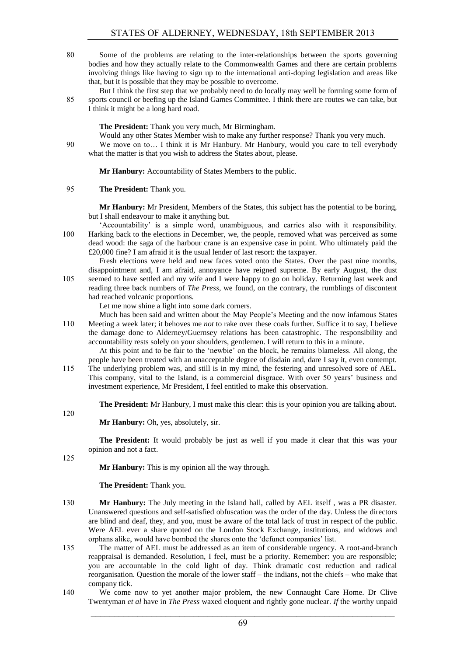80 Some of the problems are relating to the inter-relationships between the sports governing bodies and how they actually relate to the Commonwealth Games and there are certain problems involving things like having to sign up to the international anti-doping legislation and areas like that, but it is possible that they may be possible to overcome.

But I think the first step that we probably need to do locally may well be forming some form of 85 sports council or beefing up the Island Games Committee. I think there are routes we can take, but I think it might be a long hard road.

**The President:** Thank you very much, Mr Birmingham.

Would any other States Member wish to make any further response? Thank you very much. 90 We move on to… I think it is Mr Hanbury. Mr Hanbury, would you care to tell everybody what the matter is that you wish to address the States about, please.

**Mr Hanbury:** Accountability of States Members to the public.

# 95 **The President:** Thank you.

**Mr Hanbury:** Mr President, Members of the States, this subject has the potential to be boring, but I shall endeavour to make it anything but.

'Accountability' is a simple word, unambiguous, and carries also with it responsibility. 100 Harking back to the elections in December, we, the people, removed what was perceived as some dead wood: the saga of the harbour crane is an expensive case in point. Who ultimately paid the £20,000 fine? I am afraid it is the usual lender of last resort: the taxpayer.

Fresh elections were held and new faces voted onto the States. Over the past nine months, disappointment and, I am afraid, annoyance have reigned supreme. By early August, the dust 105 seemed to have settled and my wife and I were happy to go on holiday. Returning last week and reading three back numbers of *The Press*, we found, on the contrary, the rumblings of discontent had reached volcanic proportions.

Let me now shine a light into some dark corners.

Much has been said and written about the May People's Meeting and the now infamous States 110 Meeting a week later; it behoves me *not* to rake over these coals further. Suffice it to say, I believe the damage done to Alderney/Guernsey relations has been catastrophic. The responsibility and accountability rests solely on your shoulders, gentlemen. I will return to this in a minute.

At this point and to be fair to the 'newbie' on the block, he remains blameless. All along, the people have been treated with an unacceptable degree of disdain and, dare I say it, even contempt.

115 The underlying problem was, and still is in my mind, the festering and unresolved sore of AEL. This company, vital to the Island, is a commercial disgrace. With over 50 years' business and investment experience, Mr President, I feel entitled to make this observation.

**The President:** Mr Hanbury, I must make this clear: this is your opinion you are talking about.

120

**Mr Hanbury:** Oh, yes, absolutely, sir.

**The President:** It would probably be just as well if you made it clear that this was your opinion and not a fact.

125

**Mr Hanbury:** This is my opinion all the way through.

**The President:** Thank you.

- 130 **Mr Hanbury:** The July meeting in the Island hall, called by AEL itself , was a PR disaster. Unanswered questions and self-satisfied obfuscation was the order of the day. Unless the directors are blind and deaf, they, and you, must be aware of the total lack of trust in respect of the public. Were AEL ever a share quoted on the London Stock Exchange, institutions, and widows and orphans alike, would have bombed the shares onto the 'defunct companies' list.
- 135 The matter of AEL must be addressed as an item of considerable urgency. A root-and-branch reappraisal is demanded. Resolution, I feel, must be a priority. Remember: you are responsible; you are accountable in the cold light of day. Think dramatic cost reduction and radical reorganisation. Question the morale of the lower staff – the indians, not the chiefs – who make that company tick.
- 140 We come now to yet another major problem, the new Connaught Care Home. Dr Clive Twentyman *et al* have in *The Press* waxed eloquent and rightly gone nuclear. *If* the worthy unpaid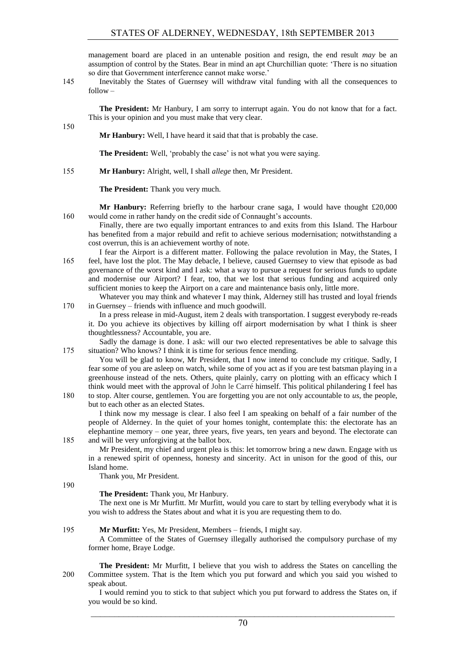management board are placed in an untenable position and resign, the end result *may* be an assumption of control by the States. Bear in mind an apt Churchillian quote: 'There is no situation so dire that Government interference cannot make worse.'

145 Inevitably the States of Guernsey will withdraw vital funding with all the consequences to follow –

**The President:** Mr Hanbury, I am sorry to interrupt again. You do not know that for a fact. This is your opinion and you must make that very clear.

150

**Mr Hanbury:** Well, I have heard it said that that is probably the case.

**The President:** Well, 'probably the case' is not what you were saying.

155 **Mr Hanbury:** Alright, well, I shall *allege* then, Mr President.

**The President:** Thank you very much.

**Mr Hanbury:** Referring briefly to the harbour crane saga, I would have thought £20,000 160 would come in rather handy on the credit side of Connaught's accounts.

Finally, there are two equally important entrances to and exits from this Island. The Harbour has benefited from a major rebuild and refit to achieve serious modernisation; notwithstanding a cost overrun, this is an achievement worthy of note.

I fear the Airport is a different matter. Following the palace revolution in May, the States, I 165 feel, have lost the plot. The May debacle, I believe, caused Guernsey to view that episode as bad governance of the worst kind and I ask: what a way to pursue a request for serious funds to update and modernise our Airport? I fear, too, that we lost that serious funding and acquired only sufficient monies to keep the Airport on a care and maintenance basis only, little more.

Whatever you may think and whatever I may think, Alderney still has trusted and loyal friends 170 in Guernsey – friends with influence and much goodwill.

In a press release in mid-August, item 2 deals with transportation. I suggest everybody re-reads it. Do you achieve its objectives by killing off airport modernisation by what I think is sheer thoughtlessness? Accountable, you are.

Sadly the damage is done. I ask: will our two elected representatives be able to salvage this 175 situation? Who knows? I think it is time for serious fence mending.

You will be glad to know, Mr President, that I now intend to conclude my critique. Sadly, I fear some of you are asleep on watch, while some of you act as if you are test batsman playing in a greenhouse instead of the nets. Others, quite plainly, carry on plotting with an efficacy which I think would meet with the approval of John le Carré himself. This political philandering I feel has

180 to stop. Alter course, gentlemen. You are forgetting you are not only accountable to *us*, the people, but to each other as an elected States.

I think now my message is clear. I also feel I am speaking on behalf of a fair number of the people of Alderney. In the quiet of your homes tonight, contemplate this: the electorate has an elephantine memory – one year, three years, five years, ten years and beyond. The electorate can 185 and will be very unforgiving at the ballot box.

Mr President, my chief and urgent plea is this: let tomorrow bring a new dawn. Engage with us in a renewed spirit of openness, honesty and sincerity. Act in unison for the good of this, our Island home.

Thank you, Mr President.

190

**The President:** Thank you, Mr Hanbury.

The next one is Mr Murfitt. Mr Murfitt, would you care to start by telling everybody what it is you wish to address the States about and what it is you are requesting them to do.

# 195 **Mr Murfitt:** Yes, Mr President, Members – friends, I might say.

A Committee of the States of Guernsey illegally authorised the compulsory purchase of my former home, Braye Lodge.

**The President:** Mr Murfitt, I believe that you wish to address the States on cancelling the 200 Committee system. That is the Item which you put forward and which you said you wished to speak about.

I would remind you to stick to that subject which you put forward to address the States on, if you would be so kind.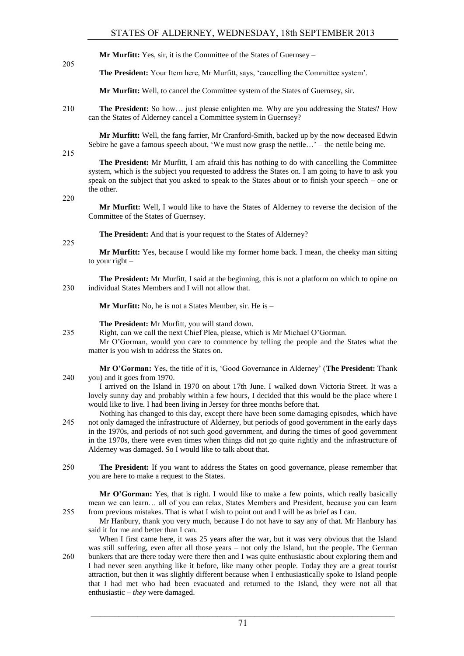**Mr Murfitt:** Yes, sir, it is the Committee of the States of Guernsey –

**The President:** Your Item here, Mr Murfitt, says, 'cancelling the Committee system'.

**Mr Murfitt:** Well, to cancel the Committee system of the States of Guernsey, sir.

210 **The President:** So how… just please enlighten me. Why are you addressing the States? How can the States of Alderney cancel a Committee system in Guernsey?

**Mr Murfitt:** Well, the fang farrier, Mr Cranford-Smith, backed up by the now deceased Edwin Sebire he gave a famous speech about, 'We must now grasp the nettle…' – the nettle being me.

215

205

**The President:** Mr Murfitt, I am afraid this has nothing to do with cancelling the Committee system, which is the subject you requested to address the States on. I am going to have to ask you speak on the subject that you asked to speak to the States about or to finish your speech – one or the other.

220

**Mr Murfitt:** Well, I would like to have the States of Alderney to reverse the decision of the Committee of the States of Guernsey.

**The President:** And that is your request to the States of Alderney?

225

**Mr Murfitt:** Yes, because I would like my former home back. I mean, the cheeky man sitting to your right –

**The President:** Mr Murfitt, I said at the beginning, this is not a platform on which to opine on 230 individual States Members and I will not allow that.

**Mr Murfitt:** No, he is not a States Member, sir. He is –

**The President:** Mr Murfitt, you will stand down.

235 Right, can we call the next Chief Plea, please, which is Mr Michael O'Gorman.

Mr O'Gorman, would you care to commence by telling the people and the States what the matter is you wish to address the States on.

**Mr O'Gorman:** Yes, the title of it is, 'Good Governance in Alderney' (**The President:** Thank 240 you) and it goes from 1970.

- I arrived on the Island in 1970 on about 17th June. I walked down Victoria Street. It was a lovely sunny day and probably within a few hours, I decided that this would be the place where I would like to live. I had been living in Jersey for three months before that.
- Nothing has changed to this day, except there have been some damaging episodes, which have 245 not only damaged the infrastructure of Alderney, but periods of good government in the early days in the 1970s, and periods of not such good government, and during the times of good government in the 1970s, there were even times when things did not go quite rightly and the infrastructure of Alderney was damaged. So I would like to talk about that.
- 250 **The President:** If you want to address the States on good governance, please remember that you are here to make a request to the States.

**Mr O'Gorman:** Yes, that is right. I would like to make a few points, which really basically mean we can learn… all of you can relax, States Members and President, because you can learn 255 from previous mistakes. That is what I wish to point out and I will be as brief as I can.

Mr Hanbury, thank you very much, because I do not have to say any of that. Mr Hanbury has said it for me and better than I can.

When I first came here, it was 25 years after the war, but it was very obvious that the Island was still suffering, even after all those years – not only the Island, but the people. The German 260 bunkers that are there today were there then and I was quite enthusiastic about exploring them and I had never seen anything like it before, like many other people. Today they are a great tourist attraction, but then it was slightly different because when I enthusiastically spoke to Island people that I had met who had been evacuated and returned to the Island, they were not all that enthusiastic – *they* were damaged.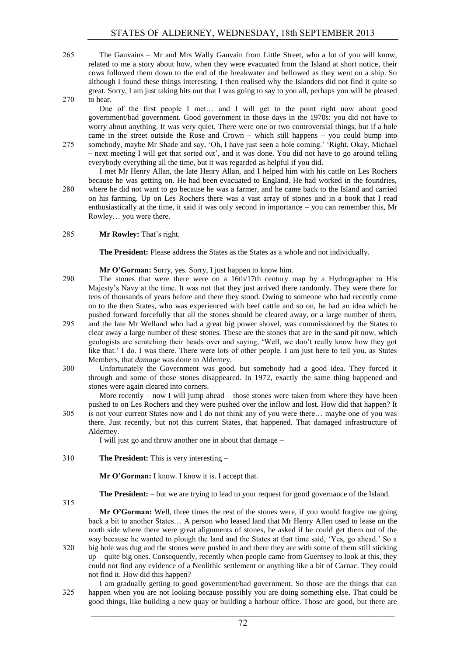265 The Gauvains – Mr and Mrs Wally Gauvain from Little Street, who a lot of you will know, related to me a story about how, when they were evacuated from the Island at short notice, their cows followed them down to the end of the breakwater and bellowed as they went on a ship. So although I found these things interesting, I then realised why the Islanders did not find it quite so great. Sorry, I am just taking bits out that I was going to say to you all, perhaps you will be pleased 270 to hear.

One of the first people I met… and I will get to the point right now about good government/bad government. Good government in those days in the 1970s: you did not have to worry about anything. It was very quiet. There were one or two controversial things, but if a hole came in the street outside the Rose and Crown – which still happens – you could bump into

275 somebody, maybe Mr Shade and say, 'Oh, I have just seen a hole coming.' 'Right. Okay, Michael – next meeting I will get that sorted out', and it was done. You did not have to go around telling everybody everything all the time, but it was regarded as helpful if you did.

I met Mr Henry Allan, the late Henry Allan, and I helped him with his cattle on Les Rochers because he was getting on. He had been evacuated to England. He had worked in the foundries,

280 where he did not want to go because he was a farmer, and he came back to the Island and carried on his farming. Up on Les Rochers there was a vast array of stones and in a book that I read enthusiastically at the time, it said it was only second in importance – you can remember this, Mr Rowley… you were there.

# 285 **Mr Rowley:** That's right.

**The President:** Please address the States as the States as a whole and not individually.

**Mr O'Gorman:** Sorry, yes. Sorry, I just happen to know him.

- 290 The stones that were there were on a 16th/17th century map by a Hydrographer to His Majesty's Navy at the time. It was not that they just arrived there randomly. They were there for tens of thousands of years before and there they stood. Owing to someone who had recently come on to the then States, who was experienced with beef cattle and so on, he had an idea which he pushed forward forcefully that all the stones should be cleared away, or a large number of them,
- 295 and the late Mr Welland who had a great big power shovel, was commissioned by the States to clear away a large number of these stones. These are the stones that are in the sand pit now, which geologists are scratching their heads over and saying, 'Well, we don't really know how they got like that.' I do. I was there. There were lots of other people. I am just here to tell you, as States Members, that *damage* was done to Alderney.
- 300 Unfortunately the Government was good, but somebody had a good idea. They forced it through and some of those stones disappeared. In 1972, exactly the same thing happened and stones were again cleared into corners.

More recently – now I will jump ahead – those stones were taken from where they have been pushed to on Les Rochers and they were pushed over the inflow and lost. How did that happen? It

305 is not your current States now and I do not think any of you were there… maybe one of you was there. Just recently, but not this current States, that happened. That damaged infrastructure of Alderney.

I will just go and throw another one in about that damage –

310 **The President:** This is very interesting –

**Mr O'Gorman:** I know. I know it is. I accept that.

**The President:** – but we are trying to lead to your request for good governance of the Island.

315

**Mr O'Gorman:** Well, three times the rest of the stones were, if you would forgive me going back a bit to another States… A person who leased land that Mr Henry Allen used to lease on the

north side where there were great alignments of stones, he asked if he could get them out of the way because he wanted to plough the land and the States at that time said, 'Yes, go ahead.' So a 320 big hole was dug and the stones were pushed in and there they are with some of them still sticking up – quite big ones. Consequently, recently when people came from Guernsey to look at this, they could not find any evidence of a Neolithic settlement or anything like a bit of Carnac. They could not find it. How did this happen?

I am gradually getting to good government/bad government. So those are the things that can 325 happen when you are not looking because possibly you are doing something else. That could be good things, like building a new quay or building a harbour office. Those are good, but there are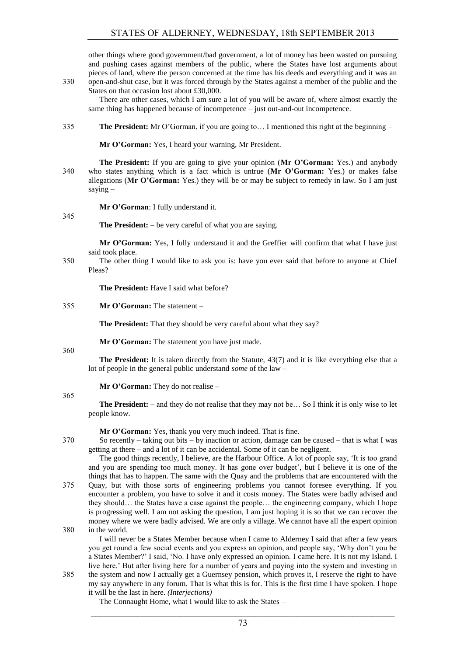other things where good government/bad government, a lot of money has been wasted on pursuing and pushing cases against members of the public, where the States have lost arguments about pieces of land, where the person concerned at the time has his deeds and everything and it was an

330 open-and-shut case, but it was forced through by the States against a member of the public and the States on that occasion lost about £30,000.

There are other cases, which I am sure a lot of you will be aware of, where almost exactly the same thing has happened because of incompetence – just out-and-out incompetence.

335 **The President:** Mr O'Gorman, if you are going to… I mentioned this right at the beginning –

**Mr O'Gorman:** Yes, I heard your warning, Mr President.

**The President:** If you are going to give your opinion (**Mr O'Gorman:** Yes.) and anybody 340 who states anything which is a fact which is untrue (**Mr O'Gorman:** Yes.) or makes false allegations (**Mr O'Gorman:** Yes.) they will be or may be subject to remedy in law. So I am just saying –

**Mr O'Gorman**: I fully understand it.

345

**The President:** – be very careful of what you are saying.

**Mr O'Gorman:** Yes, I fully understand it and the Greffier will confirm that what I have just said took place.

350 The other thing I would like to ask you is: have you ever said that before to anyone at Chief Pleas?

**The President:** Have I said what before?

355 **Mr O'Gorman:** The statement –

**The President:** That they should be very careful about what they say?

**Mr O'Gorman:** The statement you have just made.

360

**The President:** It is taken directly from the Statute, 43(7) and it is like everything else that a lot of people in the general public understand *some* of the law –

**Mr O'Gorman:** They do not realise –

365

**The President:** – and they do not realise that they may not be… So I think it is only wise to let people know.

**Mr O'Gorman:** Yes, thank you very much indeed. That is fine.

370 So recently – taking out bits – by inaction or action, damage can be caused – that is what I was getting at there – and a lot of it can be accidental. Some of it can be negligent.

The good things recently, I believe, are the Harbour Office. A lot of people say, 'It is too grand and you are spending too much money. It has gone over budget', but I believe it is one of the things that has to happen. The same with the Quay and the problems that are encountered with the

375 Quay, but with those sorts of engineering problems you cannot foresee everything. If you encounter a problem, you have to solve it and it costs money. The States were badly advised and they should… the States have a case against the people… the engineering company, which I hope is progressing well. I am not asking the question, I am just hoping it is so that we can recover the money where we were badly advised. We are only a village. We cannot have all the expert opinion 380 in the world.

I will never be a States Member because when I came to Alderney I said that after a few years you get round a few social events and you express an opinion, and people say, 'Why don't you be a States Member?' I said, 'No. I have only expressed an opinion. I came here. It is not my Island. I live here.' But after living here for a number of years and paying into the system and investing in 385 the system and now I actually get a Guernsey pension, which proves it, I reserve the right to have

my say anywhere in any forum. That is what this is for. This is the first time I have spoken. I hope it will be the last in here. *(Interjections)*

The Connaught Home, what I would like to ask the States –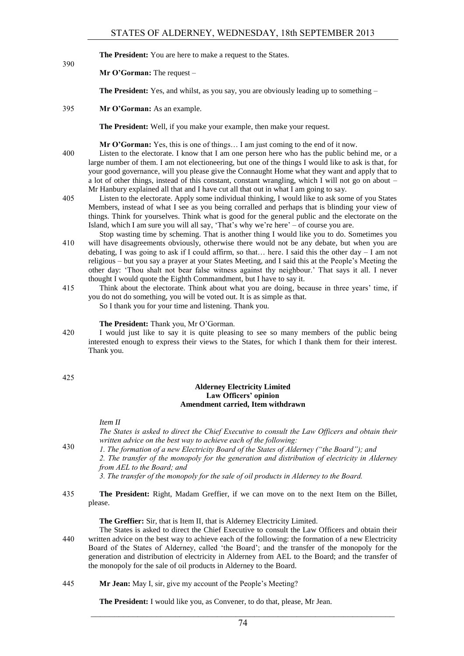**The President:** You are here to make a request to the States.

## **Mr O'Gorman:** The request –

**The President:** Yes, and whilst, as you say, you are obviously leading up to something –

395 **Mr O'Gorman:** As an example.

**The President:** Well, if you make your example, then make your request.

**Mr O'Gorman:** Yes, this is one of things… I am just coming to the end of it now.

- 400 Listen to the electorate. I know that I am one person here who has the public behind me, or a large number of them. I am not electioneering, but one of the things I would like to ask is that, for your good governance, will you please give the Connaught Home what they want and apply that to a lot of other things, instead of this constant, constant wrangling, which I will not go on about – Mr Hanbury explained all that and I have cut all that out in what I am going to say.
- 405 Listen to the electorate. Apply some individual thinking, I would like to ask some of you States Members, instead of what I see as you being corralled and perhaps that is blinding your view of things. Think for yourselves. Think what is good for the general public and the electorate on the Island, which I am sure you will all say, 'That's why we're here' – of course you are.
- Stop wasting time by scheming. That is another thing I would like you to do. Sometimes you 410 will have disagreements obviously, otherwise there would not be any debate, but when you are debating, I was going to ask if I could affirm, so that... here. I said this the other day  $-$  I am not religious – but you say a prayer at your States Meeting, and I said this at the People's Meeting the other day: 'Thou shalt not bear false witness against thy neighbour.' That says it all. I never thought I would quote the Eighth Commandment, but I have to say it.
- 415 Think about the electorate. Think about what you are doing, because in three years' time, if you do not do something, you will be voted out. It is as simple as that. So I thank you for your time and listening. Thank you.

#### **The President:** Thank you, Mr O'Gorman.

420 I would just like to say it is quite pleasing to see so many members of the public being interested enough to express their views to the States, for which I thank them for their interest. Thank you.

425

390

## **Alderney Electricity Limited Law Officers' opinion Amendment carried, Item withdrawn**

*Item II*

*The States is asked to direct the Chief Executive to consult the Law Officers and obtain their written advice on the best way to achieve each of the following:* 

*1. The formation of a new Electricity Board of the States of Alderney ("the Board"); and* 430

*2. The transfer of the monopoly for the generation and distribution of electricity in Alderney from AEL to the Board; and* 

- *3. The transfer of the monopoly for the sale of oil products in Alderney to the Board.*
- 435 **The President:** Right, Madam Greffier, if we can move on to the next Item on the Billet, please.

**The Greffier:** Sir, that is Item II, that is Alderney Electricity Limited.

- The States is asked to direct the Chief Executive to consult the Law Officers and obtain their 440 written advice on the best way to achieve each of the following: the formation of a new Electricity Board of the States of Alderney, called 'the Board'; and the transfer of the monopoly for the generation and distribution of electricity in Alderney from AEL to the Board; and the transfer of the monopoly for the sale of oil products in Alderney to the Board.
- 445 **Mr Jean:** May I, sir, give my account of the People's Meeting?

**The President:** I would like you, as Convener, to do that, please, Mr Jean.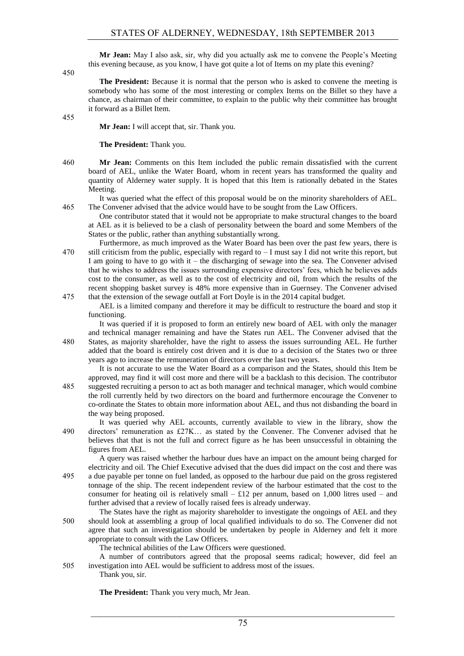**Mr Jean:** May I also ask, sir, why did you actually ask me to convene the People's Meeting this evening because, as you know, I have got quite a lot of Items on my plate this evening?

450

**The President:** Because it is normal that the person who is asked to convene the meeting is somebody who has some of the most interesting or complex Items on the Billet so they have a chance, as chairman of their committee, to explain to the public why their committee has brought it forward as a Billet Item.

455

**Mr Jean:** I will accept that, sir. Thank you.

**The President:** Thank you.

460 **Mr Jean:** Comments on this Item included the public remain dissatisfied with the current board of AEL, unlike the Water Board, whom in recent years has transformed the quality and quantity of Alderney water supply. It is hoped that this Item is rationally debated in the States Meeting.

It was queried what the effect of this proposal would be on the minority shareholders of AEL. 465 The Convener advised that the advice would have to be sought from the Law Officers.

- One contributor stated that it would not be appropriate to make structural changes to the board at AEL as it is believed to be a clash of personality between the board and some Members of the States or the public, rather than anything substantially wrong.
- Furthermore, as much improved as the Water Board has been over the past few years, there is 470 still criticism from the public, especially with regard to  $-1$  must say I did not write this report, but I am going to have to go with it – the discharging of sewage into the sea. The Convener advised that he wishes to address the issues surrounding expensive directors' fees, which he believes adds cost to the consumer, as well as to the cost of electricity and oil, from which the results of the recent shopping basket survey is 48% more expensive than in Guernsey. The Convener advised
- 475 that the extension of the sewage outfall at Fort Doyle is in the 2014 capital budget. AEL is a limited company and therefore it may be difficult to restructure the board and stop it functioning.

It was queried if it is proposed to form an entirely new board of AEL with only the manager and technical manager remaining and have the States run AEL. The Convener advised that the 480 States, as majority shareholder, have the right to assess the issues surrounding AEL. He further added that the board is entirely cost driven and it is due to a decision of the States two or three

years ago to increase the remuneration of directors over the last two years. It is not accurate to use the Water Board as a comparison and the States, should this Item be

approved, may find it will cost more and there will be a backlash to this decision. The contributor 485 suggested recruiting a person to act as both manager and technical manager, which would combine the roll currently held by two directors on the board and furthermore encourage the Convener to co-ordinate the States to obtain more information about AEL, and thus not disbanding the board in the way being proposed.

It was queried why AEL accounts, currently available to view in the library, show the 490 directors' remuneration as £27K… as stated by the Convener. The Convener advised that he believes that that is not the full and correct figure as he has been unsuccessful in obtaining the figures from AEL.

A query was raised whether the harbour dues have an impact on the amount being charged for electricity and oil. The Chief Executive advised that the dues did impact on the cost and there was 495 a due payable per tonne on fuel landed, as opposed to the harbour due paid on the gross registered tonnage of the ship. The recent independent review of the harbour estimated that the cost to the consumer for heating oil is relatively small  $-$  £12 per annum, based on 1,000 litres used – and further advised that a review of locally raised fees is already underway.

The States have the right as majority shareholder to investigate the ongoings of AEL and they 500 should look at assembling a group of local qualified individuals to do so. The Convener did not agree that such an investigation should be undertaken by people in Alderney and felt it more appropriate to consult with the Law Officers.

The technical abilities of the Law Officers were questioned.

A number of contributors agreed that the proposal seems radical; however, did feel an 505 investigation into AEL would be sufficient to address most of the issues.

Thank you, sir.

**The President:** Thank you very much, Mr Jean.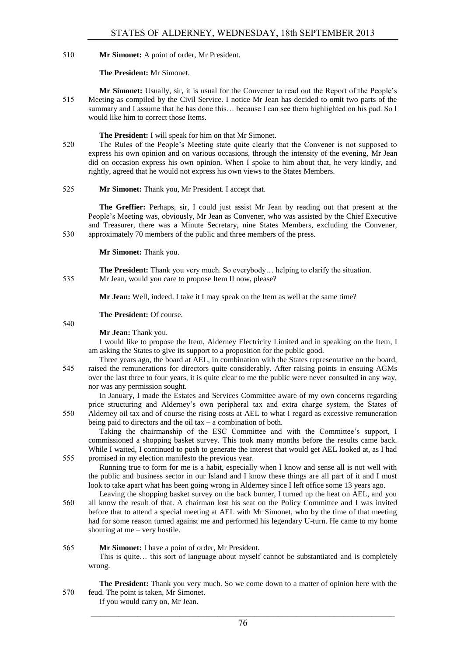## 510 **Mr Simonet:** A point of order, Mr President.

#### **The President:** Mr Simonet.

**Mr Simonet:** Usually, sir, it is usual for the Convener to read out the Report of the People's 515 Meeting as compiled by the Civil Service. I notice Mr Jean has decided to omit two parts of the summary and I assume that he has done this… because I can see them highlighted on his pad. So I would like him to correct those Items.

#### **The President:** I will speak for him on that Mr Simonet.

520 The Rules of the People's Meeting state quite clearly that the Convener is not supposed to express his own opinion and on various occasions, through the intensity of the evening, Mr Jean did on occasion express his own opinion. When I spoke to him about that, he very kindly, and rightly, agreed that he would not express his own views to the States Members.

#### 525 **Mr Simonet:** Thank you, Mr President. I accept that.

**The Greffier:** Perhaps, sir, I could just assist Mr Jean by reading out that present at the People's Meeting was, obviously, Mr Jean as Convener, who was assisted by the Chief Executive and Treasurer, there was a Minute Secretary, nine States Members, excluding the Convener, 530 approximately 70 members of the public and three members of the press.

**Mr Simonet:** Thank you.

**The President:** Thank you very much. So everybody… helping to clarify the situation. 535 Mr Jean, would you care to propose Item II now, please?

**Mr Jean:** Well, indeed. I take it I may speak on the Item as well at the same time?

#### **The President:** Of course.

#### 540

## **Mr Jean:** Thank you.

I would like to propose the Item, Alderney Electricity Limited and in speaking on the Item, I am asking the States to give its support to a proposition for the public good.

Three years ago, the board at AEL, in combination with the States representative on the board, 545 raised the remunerations for directors quite considerably. After raising points in ensuing AGMs over the last three to four years, it is quite clear to me the public were never consulted in any way, nor was any permission sought.

In January, I made the Estates and Services Committee aware of my own concerns regarding price structuring and Alderney's own peripheral tax and extra charge system, the States of 550 Alderney oil tax and of course the rising costs at AEL to what I regard as excessive remuneration being paid to directors and the oil tax  $-$  a combination of both.

Taking the chairmanship of the ESC Committee and with the Committee's support, I commissioned a shopping basket survey. This took many months before the results came back. While I waited, I continued to push to generate the interest that would get AEL looked at, as I had 555 promised in my election manifesto the previous year.

Running true to form for me is a habit, especially when I know and sense all is not well with the public and business sector in our Island and I know these things are all part of it and I must look to take apart what has been going wrong in Alderney since I left office some 13 years ago.

Leaving the shopping basket survey on the back burner, I turned up the heat on AEL, and you 560 all know the result of that. A chairman lost his seat on the Policy Committee and I was invited before that to attend a special meeting at AEL with Mr Simonet, who by the time of that meeting had for some reason turned against me and performed his legendary U-turn. He came to my home shouting at me – very hostile.

#### 565 **Mr Simonet:** I have a point of order, Mr President.

This is quite… this sort of language about myself cannot be substantiated and is completely wrong.

**The President:** Thank you very much. So we come down to a matter of opinion here with the 570 feud. The point is taken, Mr Simonet.

If you would carry on, Mr Jean.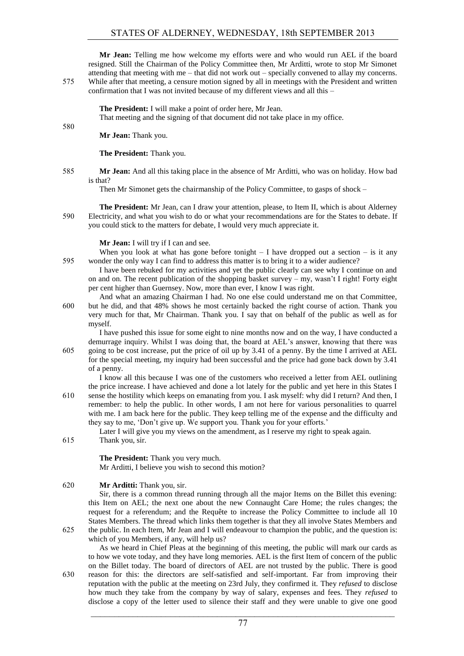**Mr Jean:** Telling me how welcome my efforts were and who would run AEL if the board resigned. Still the Chairman of the Policy Committee then, Mr Arditti, wrote to stop Mr Simonet attending that meeting with me – that did not work out – specially convened to allay my concerns. 575 While after that meeting, a censure motion signed by all in meetings with the President and written confirmation that I was not invited because of my different views and all this –

> **The President:** I will make a point of order here, Mr Jean. That meeting and the signing of that document did not take place in my office.

**Mr Jean:** Thank you.

580

**The President:** Thank you.

585 **Mr Jean:** And all this taking place in the absence of Mr Arditti, who was on holiday. How bad is that?

Then Mr Simonet gets the chairmanship of the Policy Committee, to gasps of shock –

**The President:** Mr Jean, can I draw your attention, please, to Item II, which is about Alderney 590 Electricity, and what you wish to do or what your recommendations are for the States to debate. If you could stick to the matters for debate, I would very much appreciate it.

**Mr Jean:** I will try if I can and see.

When you look at what has gone before tonight  $- I$  have dropped out a section  $-$  is it any 595 wonder the only way I can find to address this matter is to bring it to a wider audience?

I have been rebuked for my activities and yet the public clearly can see why I continue on and on and on. The recent publication of the shopping basket survey – my, wasn't I right! Forty eight per cent higher than Guernsey. Now, more than ever, I know I was right.

And what an amazing Chairman I had. No one else could understand me on that Committee, 600 but he did, and that 48% shows he most certainly backed the right course of action. Thank you very much for that, Mr Chairman. Thank you. I say that on behalf of the public as well as for myself.

I have pushed this issue for some eight to nine months now and on the way, I have conducted a demurrage inquiry. Whilst I was doing that, the board at AEL's answer, knowing that there was

605 going to be cost increase, put the price of oil up by 3.41 of a penny. By the time I arrived at AEL for the special meeting, my inquiry had been successful and the price had gone back down by 3.41 of a penny.

I know all this because I was one of the customers who received a letter from AEL outlining the price increase. I have achieved and done a lot lately for the public and yet here in this States I

610 sense the hostility which keeps on emanating from you. I ask myself: why did I return? And then, I remember: to help the public. In other words, I am not here for various personalities to quarrel with me. I am back here for the public. They keep telling me of the expense and the difficulty and they say to me, 'Don't give up. We support you. Thank you for your efforts.'

Later I will give you my views on the amendment, as I reserve my right to speak again.

615 Thank you, sir.

**The President:** Thank you very much. Mr Arditti, I believe you wish to second this motion?

# 620 **Mr Arditti:** Thank you, sir.

Sir, there is a common thread running through all the major Items on the Billet this evening: this Item on AEL; the next one about the new Connaught Care Home; the rules changes; the request for a referendum; and the Requête to increase the Policy Committee to include all 10 States Members. The thread which links them together is that they all involve States Members and

625 the public. In each Item, Mr Jean and I will endeavour to champion the public, and the question is: which of you Members, if any, will help us?

As we heard in Chief Pleas at the beginning of this meeting, the public will mark our cards as to how we vote today, and they have long memories. AEL is the first Item of concern of the public on the Billet today. The board of directors of AEL are not trusted by the public. There is good 630 reason for this: the directors are self-satisfied and self-important. Far from improving their reputation with the public at the meeting on 23rd July, they confirmed it. They *refused* to disclose

 $\mathcal{L}_\text{max}$  , and the contribution of the contribution of the contribution of the contribution of the contribution of the contribution of the contribution of the contribution of the contribution of the contribution of t how much they take from the company by way of salary, expenses and fees. They *refused* to disclose a copy of the letter used to silence their staff and they were unable to give one good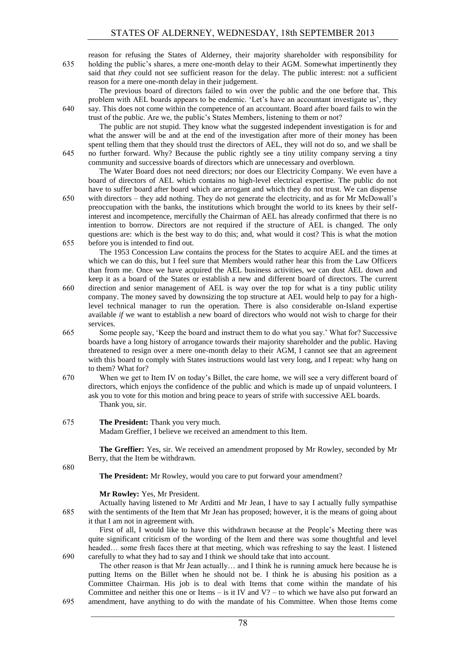reason for refusing the States of Alderney, their majority shareholder with responsibility for 635 holding the public's shares, a mere one-month delay to their AGM. Somewhat impertinently they said that *they* could not see sufficient reason for the delay. The public interest: not a sufficient reason for a mere one-month delay in their judgement.

The previous board of directors failed to win over the public and the one before that. This problem with AEL boards appears to be endemic. 'Let's have an accountant investigate us', they 640 say. This does not come within the competence of an accountant. Board after board fails to win the trust of the public. Are we, the public's States Members, listening to them or not?

The public are not stupid. They know what the suggested independent investigation is for and what the answer will be and at the end of the investigation after more of their money has been spent telling them that they should trust the directors of AEL, they will not do so, and we shall be 645 no further forward. Why? Because the public rightly see a tiny utility company serving a tiny community and successive boards of directors which are unnecessary and overblown.

The Water Board does not need directors; nor does our Electricity Company. We even have a board of directors of AEL which contains no high-level electrical expertise. The public do not have to suffer board after board which are arrogant and which they do not trust. We can dispense

650 with directors – they add nothing. They do not generate the electricity, and as for Mr McDowall's preoccupation with the banks, the institutions which brought the world to its knees by their selfinterest and incompetence, mercifully the Chairman of AEL has already confirmed that there is no intention to borrow. Directors are not required if the structure of AEL is changed. The only questions are: which is the best way to do this; and, what would it cost? This is what the motion 655 before you is intended to find out.

The 1953 Concession Law contains the process for the States to acquire AEL and the times at which we can do this, but I feel sure that Members would rather hear this from the Law Officers than from me. Once we have acquired the AEL business activities, we can dust AEL down and keep it as a board of the States or establish a new and different board of directors. The current

- 660 direction and senior management of AEL is way over the top for what is a tiny public utility company. The money saved by downsizing the top structure at AEL would help to pay for a highlevel technical manager to run the operation. There is also considerable on-Island expertise available *if* we want to establish a new board of directors who would not wish to charge for their services.
- 665 Some people say, 'Keep the board and instruct them to do what you say.' What for? Successive boards have a long history of arrogance towards their majority shareholder and the public. Having threatened to resign over a mere one-month delay to their AGM, I cannot see that an agreement with this board to comply with States instructions would last very long, and I repeat: why hang on to them? What for?
- 670 When we get to Item IV on today's Billet, the care home, we will see a very different board of directors, which enjoys the confidence of the public and which is made up of unpaid volunteers. I ask you to vote for this motion and bring peace to years of strife with successive AEL boards. Thank you, sir.

# 675 **The President:** Thank you very much.

Madam Greffier, I believe we received an amendment to this Item.

**The Greffier:** Yes, sir. We received an amendment proposed by Mr Rowley, seconded by Mr Berry, that the Item be withdrawn.

680

**The President:** Mr Rowley, would you care to put forward your amendment?

#### **Mr Rowley:** Yes, Mr President.

Actually having listened to Mr Arditti and Mr Jean, I have to say I actually fully sympathise 685 with the sentiments of the Item that Mr Jean has proposed; however, it is the means of going about it that I am not in agreement with.

First of all, I would like to have this withdrawn because at the People's Meeting there was quite significant criticism of the wording of the Item and there was some thoughtful and level headed… some fresh faces there at that meeting, which was refreshing to say the least. I listened 690 carefully to what they had to say and I think we should take that into account.

The other reason is that Mr Jean actually… and I think he is running amuck here because he is putting Items on the Billet when he should not be. I think he is abusing his position as a Committee Chairman. His job is to deal with Items that come within the mandate of his Committee and neither this one or Items – is it IV and  $V$ ? – to which we have also put forward an 695 amendment, have anything to do with the mandate of his Committee. When those Items come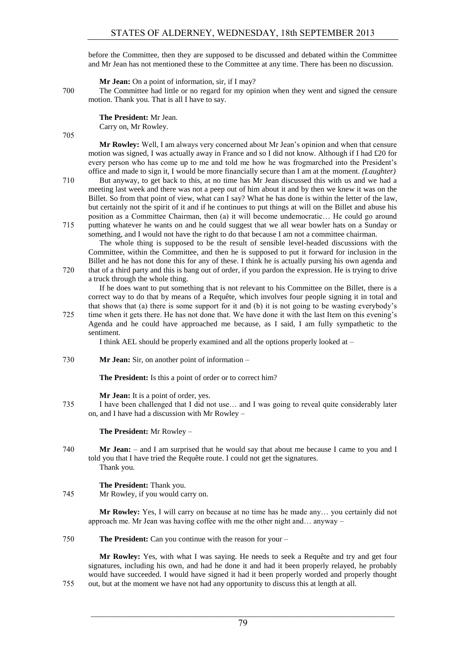before the Committee, then they are supposed to be discussed and debated within the Committee and Mr Jean has not mentioned these to the Committee at any time. There has been no discussion.

**Mr Jean:** On a point of information, sir, if I may?

700 The Committee had little or no regard for my opinion when they went and signed the censure motion. Thank you. That is all I have to say.

> **The President:** Mr Jean. Carry on, Mr Rowley.

705

**Mr Rowley:** Well, I am always very concerned about Mr Jean's opinion and when that censure motion was signed, I was actually away in France and so I did not know. Although if I had £20 for every person who has come up to me and told me how he was frogmarched into the President's office and made to sign it, I would be more financially secure than I am at the moment. *(Laughter)*

710 But anyway, to get back to this, at no time has Mr Jean discussed this with us and we had a meeting last week and there was not a peep out of him about it and by then we knew it was on the Billet. So from that point of view, what can I say? What he has done is within the letter of the law, but certainly not the spirit of it and if he continues to put things at will on the Billet and abuse his position as a Committee Chairman, then (a) it will become undemocratic… He could go around 715 putting whatever he wants on and he could suggest that we all wear bowler hats on a Sunday or

something, and I would not have the right to do that because I am not a committee chairman. The whole thing is supposed to be the result of sensible level-headed discussions with the Committee, within the Committee, and then he is supposed to put it forward for inclusion in the Billet and he has not done this for any of these. I think he is actually pursing his own agenda and 720 that of a third party and this is bang out of order, if you pardon the expression. He is trying to drive

a truck through the whole thing.

If he does want to put something that is not relevant to his Committee on the Billet, there is a correct way to do that by means of a Requête, which involves four people signing it in total and that shows that (a) there is some support for it and (b) it is not going to be wasting everybody's

725 time when it gets there. He has not done that. We have done it with the last Item on this evening's Agenda and he could have approached me because, as I said, I am fully sympathetic to the sentiment.

I think AEL should be properly examined and all the options properly looked at –

# 730 **Mr Jean:** Sir, on another point of information –

**The President:** Is this a point of order or to correct him?

**Mr Jean:** It is a point of order, yes.

735 I have been challenged that I did not use… and I was going to reveal quite considerably later on, and I have had a discussion with Mr Rowley –

**The President:** Mr Rowley –

740 **Mr Jean:** – and I am surprised that he would say that about me because I came to you and I told you that I have tried the Requête route. I could not get the signatures. Thank you.

#### **The President:** Thank you.

745 Mr Rowley, if you would carry on.

**Mr Rowley:** Yes, I will carry on because at no time has he made any… you certainly did not approach me. Mr Jean was having coffee with me the other night and… anyway –

750 **The President:** Can you continue with the reason for your –

**Mr Rowley:** Yes, with what I was saying. He needs to seek a Requête and try and get four signatures, including his own, and had he done it and had it been properly relayed, he probably would have succeeded. I would have signed it had it been properly worded and properly thought 755 out, but at the moment we have not had any opportunity to discuss this at length at all.

 $\mathcal{L}_\text{max}$  , and the contribution of the contribution of the contribution of the contribution of the contribution of the contribution of the contribution of the contribution of the contribution of the contribution of t 79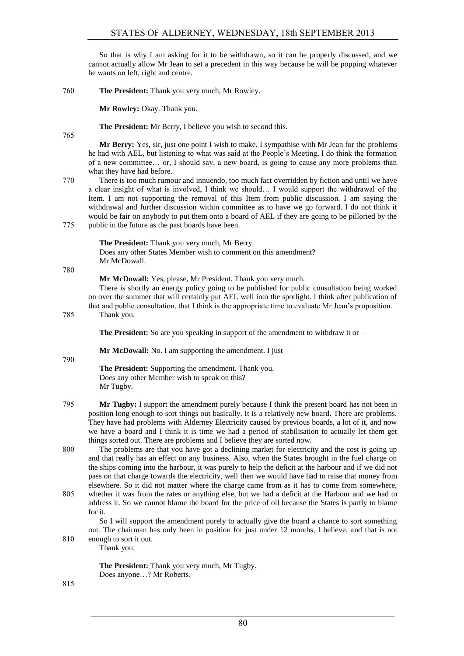So that is why I am asking for it to be withdrawn, so it can be properly discussed, and we cannot actually allow Mr Jean to set a precedent in this way because he will be popping whatever he wants on left, right and centre.

760 **The President:** Thank you very much, Mr Rowley.

**Mr Rowley:** Okay. Thank you.

**The President:** Mr Berry, I believe you wish to second this.

765

**Mr Berry:** Yes, sir, just one point I wish to make. I sympathise with Mr Jean for the problems he had with AEL, but listening to what was said at the People's Meeting, I do think the formation of a new committee… or, I should say, a new board, is going to cause any more problems than what they have had before.

770 There is too much rumour and innuendo, too much fact overridden by fiction and until we have a clear insight of what is involved, I think we should… I would support the withdrawal of the Item. I am not supporting the removal of this Item from public discussion. I am saying the withdrawal and further discussion within committee as to have we go forward. I do not think it would be fair on anybody to put them onto a board of AEL if they are going to be pilloried by the 775 public in the future as the past boards have been.

**The President:** Thank you very much, Mr Berry.

Does any other States Member wish to comment on this amendment? Mr McDowall.

780

**Mr McDowall:** Yes, please, Mr President. Thank you very much.

There is shortly an energy policy going to be published for public consultation being worked on over the summer that will certainly put AEL well into the spotlight. I think after publication of that and public consultation, that I think is the appropriate time to evaluate Mr Jean's proposition.

785 Thank you.

**The President:** So are you speaking in support of the amendment to withdraw it or –

**Mr McDowall:** No. I am supporting the amendment. I just –

790

**The President:** Supporting the amendment. Thank you. Does any other Member wish to speak on this? Mr Tugby.

- 795 **Mr Tugby:** I support the amendment purely because I think the present board has not been in position long enough to sort things out basically. It is a relatively new board. There are problems. They have had problems with Alderney Electricity caused by previous boards, a lot of it, and now we have a board and I think it is time we had a period of stabilisation to actually let them get things sorted out. There are problems and I believe they are sorted now.
- 800 The problems are that you have got a declining market for electricity and the cost is going up and that really has an effect on any business. Also, when the States brought in the fuel charge on the ships coming into the harbour, it was purely to help the deficit at the harbour and if we did not pass on that charge towards the electricity, well then we would have had to raise that money from elsewhere. So it did not matter where the charge came from as it has to come from somewhere, 805 whether it was from the rates or anything else, but we had a deficit at the Harbour and we had to
- address it. So we cannot blame the board for the price of oil because the States is partly to blame for it.

So I will support the amendment purely to actually give the board a chance to sort something out. The chairman has only been in position for just under 12 months, I believe, and that is not 810 enough to sort it out.

Thank you.

**The President:** Thank you very much, Mr Tugby. Does anyone…? Mr Roberts.

815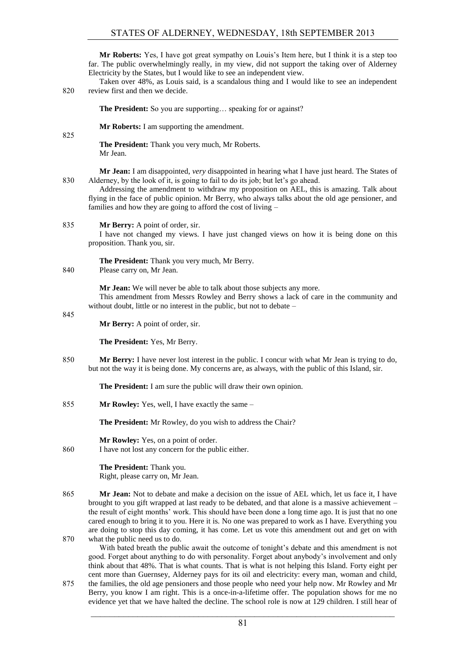**Mr Roberts:** Yes, I have got great sympathy on Louis's Item here, but I think it is a step too far. The public overwhelmingly really, in my view, did not support the taking over of Alderney Electricity by the States, but I would like to see an independent view.

Taken over 48%, as Louis said, is a scandalous thing and I would like to see an independent 820 review first and then we decide.

**The President:** So you are supporting... speaking for or against?

**Mr Roberts:** I am supporting the amendment.

825

**The President:** Thank you very much, Mr Roberts. Mr Jean.

**Mr Jean:** I am disappointed, *very* disappointed in hearing what I have just heard. The States of 830 Alderney, by the look of it, is going to fail to do its job; but let's go ahead.

Addressing the amendment to withdraw my proposition on AEL, this is amazing. Talk about flying in the face of public opinion. Mr Berry, who always talks about the old age pensioner, and families and how they are going to afford the cost of living –

835 **Mr Berry:** A point of order, sir.

I have not changed my views. I have just changed views on how it is being done on this proposition. Thank you, sir.

**The President:** Thank you very much, Mr Berry. 840 Please carry on, Mr Jean.

**Mr Jean:** We will never be able to talk about those subjects any more.

This amendment from Messrs Rowley and Berry shows a lack of care in the community and without doubt, little or no interest in the public, but not to debate –

845

**Mr Berry:** A point of order, sir.

**The President:** Yes, Mr Berry.

850 **Mr Berry:** I have never lost interest in the public. I concur with what Mr Jean is trying to do, but not the way it is being done. My concerns are, as always, with the public of this Island, sir.

**The President:** I am sure the public will draw their own opinion.

855 **Mr Rowley:** Yes, well, I have exactly the same –

**The President:** Mr Rowley, do you wish to address the Chair?

**Mr Rowley:** Yes, on a point of order.

860 I have not lost any concern for the public either.

**The President:** Thank you. Right, please carry on, Mr Jean.

865 **Mr Jean:** Not to debate and make a decision on the issue of AEL which, let us face it, I have brought to you gift wrapped at last ready to be debated, and that alone is a massive achievement – the result of eight months' work. This should have been done a long time ago. It is just that no one cared enough to bring it to you. Here it is. No one was prepared to work as I have. Everything you are doing to stop this day coming, it has come. Let us vote this amendment out and get on with 870 what the public need us to do.

With bated breath the public await the outcome of tonight's debate and this amendment is not good. Forget about anything to do with personality. Forget about anybody's involvement and only think about that 48%. That is what counts. That is what is not helping this Island. Forty eight per cent more than Guernsey, Alderney pays for its oil and electricity: every man, woman and child,

875 the families, the old age pensioners and those people who need your help now. Mr Rowley and Mr Berry, you know I am right. This is a once-in-a-lifetime offer. The population shows for me no evidence yet that we have halted the decline. The school role is now at 129 children. I still hear of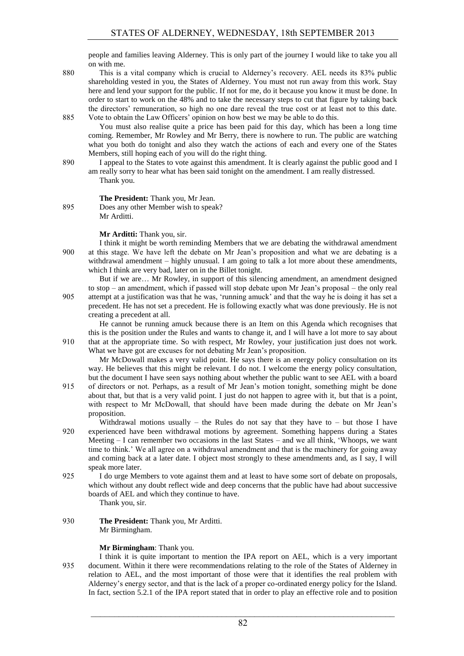people and families leaving Alderney. This is only part of the journey I would like to take you all on with me.

880 This is a vital company which is crucial to Alderney's recovery. AEL needs its 83% public shareholding vested in you, the States of Alderney. You must not run away from this work. Stay here and lend your support for the public. If not for me, do it because you know it must be done. In order to start to work on the 48% and to take the necessary steps to cut that figure by taking back the directors' remuneration, so high no one dare reveal the true cost or at least not to this date. 885 Vote to obtain the Law Officers' opinion on how best we may be able to do this.

You must also realise quite a price has been paid for this day, which has been a long time coming. Remember, Mr Rowley and Mr Berry, there is nowhere to run. The public are watching what you both do tonight and also they watch the actions of each and every one of the States Members, still hoping each of you will do the right thing.

890 I appeal to the States to vote against this amendment. It is clearly against the public good and I am really sorry to hear what has been said tonight on the amendment. I am really distressed. Thank you.

## **The President:** Thank you, Mr Jean.

895 Does any other Member wish to speak? Mr Arditti.

#### **Mr Arditti:** Thank you, sir.

I think it might be worth reminding Members that we are debating the withdrawal amendment 900 at this stage. We have left the debate on Mr Jean's proposition and what we are debating is a withdrawal amendment – highly unusual. I am going to talk a lot more about these amendments, which I think are very bad, later on in the Billet tonight.

But if we are… Mr Rowley, in support of this silencing amendment, an amendment designed to stop – an amendment, which if passed will stop debate upon Mr Jean's proposal – the only real 905 attempt at a justification was that he was, 'running amuck' and that the way he is doing it has set a precedent. He has not set a precedent. He is following exactly what was done previously. He is not creating a precedent at all.

He cannot be running amuck because there is an Item on this Agenda which recognises that this is the position under the Rules and wants to change it, and I will have a lot more to say about 910 that at the appropriate time. So with respect, Mr Rowley, your justification just does not work.

What we have got are excuses for not debating Mr Jean's proposition.

Mr McDowall makes a very valid point. He says there is an energy policy consultation on its way. He believes that this might be relevant. I do not. I welcome the energy policy consultation, but the document I have seen says nothing about whether the public want to see AEL with a board 915 of directors or not. Perhaps, as a result of Mr Jean's motion tonight, something might be done

- about that, but that is a very valid point. I just do not happen to agree with it, but that is a point, with respect to Mr McDowall, that should have been made during the debate on Mr Jean's proposition.
- Withdrawal motions usually the Rules do not say that they have to but those I have 920 experienced have been withdrawal motions by agreement. Something happens during a States Meeting – I can remember two occasions in the last States – and we all think, 'Whoops, we want time to think.' We all agree on a withdrawal amendment and that is the machinery for going away and coming back at a later date. I object most strongly to these amendments and, as I say, I will speak more later.
- 925 I do urge Members to vote against them and at least to have some sort of debate on proposals, which without any doubt reflect wide and deep concerns that the public have had about successive boards of AEL and which they continue to have.

Thank you, sir.

930 **The President:** Thank you, Mr Arditti. Mr Birmingham.

## **Mr Birmingham**: Thank you.

I think it is quite important to mention the IPA report on AEL, which is a very important 935 document. Within it there were recommendations relating to the role of the States of Alderney in relation to AEL, and the most important of those were that it identifies the real problem with Alderney's energy sector, and that is the lack of a proper co-ordinated energy policy for the Island. In fact, section 5.2.1 of the IPA report stated that in order to play an effective role and to position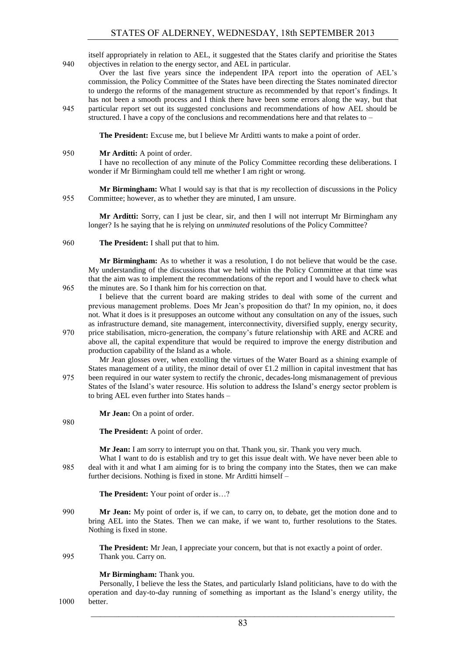itself appropriately in relation to AEL, it suggested that the States clarify and prioritise the States 940 objectives in relation to the energy sector, and AEL in particular.

- Over the last five years since the independent IPA report into the operation of AEL's commission, the Policy Committee of the States have been directing the States nominated director to undergo the reforms of the management structure as recommended by that report's findings. It has not been a smooth process and I think there have been some errors along the way, but that
- 945 particular report set out its suggested conclusions and recommendations of how AEL should be structured. I have a copy of the conclusions and recommendations here and that relates to –

**The President:** Excuse me, but I believe Mr Arditti wants to make a point of order.

950 **Mr Arditti:** A point of order.

I have no recollection of any minute of the Policy Committee recording these deliberations. I wonder if Mr Birmingham could tell me whether I am right or wrong.

**Mr Birmingham:** What I would say is that that is *my* recollection of discussions in the Policy 955 Committee; however, as to whether they are minuted, I am unsure.

**Mr Arditti:** Sorry, can I just be clear, sir, and then I will not interrupt Mr Birmingham any longer? Is he saying that he is relying on *unminuted* resolutions of the Policy Committee?

# 960 **The President:** I shall put that to him.

**Mr Birmingham:** As to whether it was a resolution, I do not believe that would be the case. My understanding of the discussions that we held within the Policy Committee at that time was that the aim was to implement the recommendations of the report and I would have to check what 965 the minutes are. So I thank him for his correction on that.

I believe that the current board are making strides to deal with some of the current and previous management problems. Does Mr Jean's proposition do that? In my opinion, no, it does not. What it does is it presupposes an outcome without any consultation on any of the issues, such as infrastructure demand, site management, interconnectivity, diversified supply, energy security,

970 price stabilisation, micro-generation, the company's future relationship with ARE and ACRE and above all, the capital expenditure that would be required to improve the energy distribution and production capability of the Island as a whole.

Mr Jean glosses over, when extolling the virtues of the Water Board as a shining example of States management of a utility, the minor detail of over  $\pounds$ 1.2 million in capital investment that has 975 been required in our water system to rectify the chronic, decades-long mismanagement of previous States of the Island's water resource. His solution to address the Island's energy sector problem is

**Mr Jean:** On a point of order.

to bring AEL even further into States hands –

# **The President:** A point of order.

980

**Mr Jean:** I am sorry to interrupt you on that. Thank you, sir. Thank you very much.

What I want to do is establish and try to get this issue dealt with. We have never been able to 985 deal with it and what I am aiming for is to bring the company into the States, then we can make further decisions. Nothing is fixed in stone. Mr Arditti himself –

**The President:** Your point of order is…?

990 **Mr Jean:** My point of order is, if we can, to carry on, to debate, get the motion done and to bring AEL into the States. Then we can make, if we want to, further resolutions to the States. Nothing is fixed in stone.

**The President:** Mr Jean, I appreciate your concern, but that is not exactly a point of order. 995 Thank you. Carry on.

**Mr Birmingham:** Thank you.

Personally, I believe the less the States, and particularly Island politicians, have to do with the operation and day-to-day running of something as important as the Island's energy utility, the 1000 better.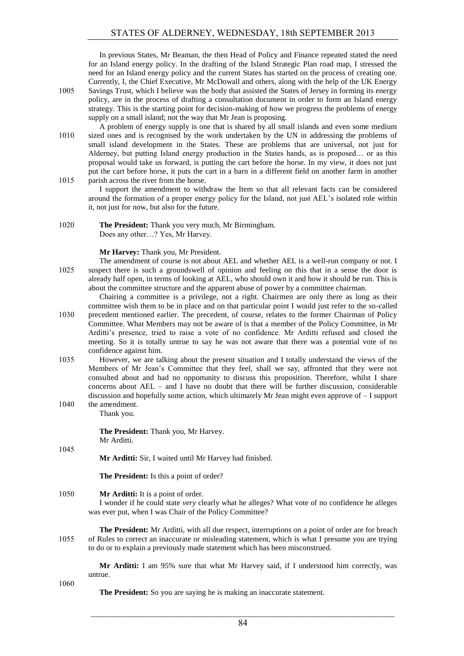In previous States, Mr Beaman, the then Head of Policy and Finance repeated stated the need for an Island energy policy. In the drafting of the Island Strategic Plan road map, I stressed the need for an Island energy policy and the current States has started on the process of creating one. Currently, I, the Chief Executive, Mr McDowall and others, along with the help of the UK Energy

- 1005 Savings Trust, which I believe was the body that assisted the States of Jersey in forming its energy policy, are in the process of drafting a consultation document in order to form an Island energy strategy. This is the starting point for decision-making of how we progress the problems of energy supply on a small island; not the way that Mr Jean is proposing.
- A problem of energy supply is one that is shared by all small islands and even some medium 1010 sized ones and is recognised by the work undertaken by the UN in addressing the problems of small island development in the States. These are problems that are universal, not just for Alderney, but putting Island energy production in the States hands, as is proposed… or as this proposal would take us forward, is putting the cart before the horse. In my view, it does not just put the cart before horse, it puts the cart in a barn in a different field on another farm in another 1015 parish across the river from the horse.

I support the amendment to withdraw the Item so that all relevant facts can be considered around the formation of a proper energy policy for the Island, not just AEL's isolated role within it, not just for now, but also for the future.

#### **Mr Harvey:** Thank you, Mr President.

The amendment of course is not about AEL and whether AEL is a well-run company or not. I 1025 suspect there is such a groundswell of opinion and feeling on this that in a sense the door is already half open, in terms of looking at AEL, who should own it and how it should be run. This is about the committee structure and the apparent abuse of power by a committee chairman.

Chairing a committee is a privilege, not a right. Chairmen are only there as long as their committee wish them to be in place and on that particular point I would just refer to the so-called 1030 precedent mentioned earlier. The precedent, of course, relates to the former Chairman of Policy

- Committee. What Members may not be aware of is that a member of the Policy Committee, in Mr Arditti's presence, tried to raise a vote of no confidence. Mr Arditti refused and closed the meeting. So it is totally untrue to say he was not aware that there was a potential vote of no confidence against him.
- 1035 However, we are talking about the present situation and I totally understand the views of the Members of Mr Jean's Committee that they feel, shall we say, affronted that they were not consulted about and had no opportunity to discuss this proposition. Therefore, whilst I share concerns about AEL – and I have no doubt that there will be further discussion, considerable discussion and hopefully some action, which ultimately Mr Jean might even approve of – I support 1040 the amendment.

Thank you.

**The President:** Thank you, Mr Harvey. Mr Arditti.

1045

**Mr Arditti:** Sir, I waited until Mr Harvey had finished.

**The President:** Is this a point of order?

1050 **Mr Arditti:** It is a point of order.

I wonder if he could state *very* clearly what he alleges? What vote of no confidence he alleges was ever put, when I was Chair of the Policy Committee?

**The President:** Mr Arditti, with all due respect, interruptions on a point of order are for breach 1055 of Rules to correct an inaccurate or misleading statement, which is what I presume you are trying to do or to explain a previously made statement which has been misconstrued.

**Mr Arditti:** I am 95% sure that what Mr Harvey said, if I understood him correctly, was untrue.

1060

**The President:** So you are saying he is making an inaccurate statement.

<sup>1020</sup> **The President:** Thank you very much, Mr Birmingham. Does any other…? Yes, Mr Harvey.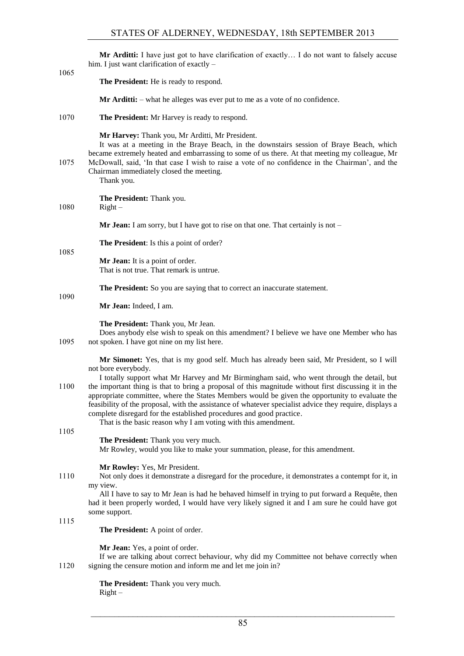| The President: He is ready to respond.<br>$Mr \, Arditti:$ – what he alleges was ever put to me as a vote of no confidence.<br>1070<br>The President: Mr Harvey is ready to respond.<br>Mr Harvey: Thank you, Mr Arditti, Mr President.<br>It was at a meeting in the Braye Beach, in the downstairs session of Braye Beach, which<br>became extremely heated and embarrassing to some of us there. At that meeting my colleague, Mr<br>1075<br>McDowall, said, 'In that case I wish to raise a vote of no confidence in the Chairman', and the<br>Chairman immediately closed the meeting.<br>Thank you.<br>The President: Thank you.<br>1080<br>$Right -$<br><b>Mr Jean:</b> I am sorry, but I have got to rise on that one. That certainly is not $-$<br>The President: Is this a point of order?<br>1085<br>Mr Jean: It is a point of order.<br>That is not true. That remark is untrue.<br>The President: So you are saying that to correct an inaccurate statement.<br>1090<br>Mr Jean: Indeed, I am.<br>The President: Thank you, Mr Jean.<br>Does anybody else wish to speak on this amendment? I believe we have one Member who has<br>1095<br>not spoken. I have got nine on my list here.<br>Mr Simonet: Yes, that is my good self. Much has already been said, Mr President, so I will<br>not bore everybody.<br>I totally support what Mr Harvey and Mr Birmingham said, who went through the detail, but<br>the important thing is that to bring a proposal of this magnitude without first discussing it in the<br>1100<br>appropriate committee, where the States Members would be given the opportunity to evaluate the<br>feasibility of the proposal, with the assistance of whatever specialist advice they require, displays a<br>complete disregard for the established procedures and good practice.<br>That is the basic reason why I am voting with this amendment.<br>1105<br>The President: Thank you very much.<br>Mr Rowley, would you like to make your summation, please, for this amendment.<br>Mr Rowley: Yes, Mr President.<br>1110<br>Not only does it demonstrate a disregard for the procedure, it demonstrates a contempt for it, in<br>my view.<br>All I have to say to Mr Jean is had he behaved himself in trying to put forward a Requête, then<br>had it been properly worded, I would have very likely signed it and I am sure he could have got<br>some support.<br>1115<br>The President: A point of order.<br>Mr Jean: Yes, a point of order.<br>If we are talking about correct behaviour, why did my Committee not behave correctly when<br>1120<br>signing the censure motion and inform me and let me join in? |      | Mr Arditti: I have just got to have clarification of exactly I do not want to falsely accuse<br>him. I just want clarification of exactly - |
|-------------------------------------------------------------------------------------------------------------------------------------------------------------------------------------------------------------------------------------------------------------------------------------------------------------------------------------------------------------------------------------------------------------------------------------------------------------------------------------------------------------------------------------------------------------------------------------------------------------------------------------------------------------------------------------------------------------------------------------------------------------------------------------------------------------------------------------------------------------------------------------------------------------------------------------------------------------------------------------------------------------------------------------------------------------------------------------------------------------------------------------------------------------------------------------------------------------------------------------------------------------------------------------------------------------------------------------------------------------------------------------------------------------------------------------------------------------------------------------------------------------------------------------------------------------------------------------------------------------------------------------------------------------------------------------------------------------------------------------------------------------------------------------------------------------------------------------------------------------------------------------------------------------------------------------------------------------------------------------------------------------------------------------------------------------------------------------------------------------------------------------------------------------------------------------------------------------------------------------------------------------------------------------------------------------------------------------------------------------------------------------------------------------------------------------------------------------------------------------------------------------------------------------------------------------------------------------------------------------------------------------------------------------------|------|---------------------------------------------------------------------------------------------------------------------------------------------|
|                                                                                                                                                                                                                                                                                                                                                                                                                                                                                                                                                                                                                                                                                                                                                                                                                                                                                                                                                                                                                                                                                                                                                                                                                                                                                                                                                                                                                                                                                                                                                                                                                                                                                                                                                                                                                                                                                                                                                                                                                                                                                                                                                                                                                                                                                                                                                                                                                                                                                                                                                                                                                                                                   | 1065 |                                                                                                                                             |
|                                                                                                                                                                                                                                                                                                                                                                                                                                                                                                                                                                                                                                                                                                                                                                                                                                                                                                                                                                                                                                                                                                                                                                                                                                                                                                                                                                                                                                                                                                                                                                                                                                                                                                                                                                                                                                                                                                                                                                                                                                                                                                                                                                                                                                                                                                                                                                                                                                                                                                                                                                                                                                                                   |      |                                                                                                                                             |
|                                                                                                                                                                                                                                                                                                                                                                                                                                                                                                                                                                                                                                                                                                                                                                                                                                                                                                                                                                                                                                                                                                                                                                                                                                                                                                                                                                                                                                                                                                                                                                                                                                                                                                                                                                                                                                                                                                                                                                                                                                                                                                                                                                                                                                                                                                                                                                                                                                                                                                                                                                                                                                                                   |      |                                                                                                                                             |
|                                                                                                                                                                                                                                                                                                                                                                                                                                                                                                                                                                                                                                                                                                                                                                                                                                                                                                                                                                                                                                                                                                                                                                                                                                                                                                                                                                                                                                                                                                                                                                                                                                                                                                                                                                                                                                                                                                                                                                                                                                                                                                                                                                                                                                                                                                                                                                                                                                                                                                                                                                                                                                                                   |      |                                                                                                                                             |
|                                                                                                                                                                                                                                                                                                                                                                                                                                                                                                                                                                                                                                                                                                                                                                                                                                                                                                                                                                                                                                                                                                                                                                                                                                                                                                                                                                                                                                                                                                                                                                                                                                                                                                                                                                                                                                                                                                                                                                                                                                                                                                                                                                                                                                                                                                                                                                                                                                                                                                                                                                                                                                                                   |      |                                                                                                                                             |
|                                                                                                                                                                                                                                                                                                                                                                                                                                                                                                                                                                                                                                                                                                                                                                                                                                                                                                                                                                                                                                                                                                                                                                                                                                                                                                                                                                                                                                                                                                                                                                                                                                                                                                                                                                                                                                                                                                                                                                                                                                                                                                                                                                                                                                                                                                                                                                                                                                                                                                                                                                                                                                                                   |      |                                                                                                                                             |
|                                                                                                                                                                                                                                                                                                                                                                                                                                                                                                                                                                                                                                                                                                                                                                                                                                                                                                                                                                                                                                                                                                                                                                                                                                                                                                                                                                                                                                                                                                                                                                                                                                                                                                                                                                                                                                                                                                                                                                                                                                                                                                                                                                                                                                                                                                                                                                                                                                                                                                                                                                                                                                                                   |      |                                                                                                                                             |
|                                                                                                                                                                                                                                                                                                                                                                                                                                                                                                                                                                                                                                                                                                                                                                                                                                                                                                                                                                                                                                                                                                                                                                                                                                                                                                                                                                                                                                                                                                                                                                                                                                                                                                                                                                                                                                                                                                                                                                                                                                                                                                                                                                                                                                                                                                                                                                                                                                                                                                                                                                                                                                                                   |      |                                                                                                                                             |
|                                                                                                                                                                                                                                                                                                                                                                                                                                                                                                                                                                                                                                                                                                                                                                                                                                                                                                                                                                                                                                                                                                                                                                                                                                                                                                                                                                                                                                                                                                                                                                                                                                                                                                                                                                                                                                                                                                                                                                                                                                                                                                                                                                                                                                                                                                                                                                                                                                                                                                                                                                                                                                                                   |      |                                                                                                                                             |
|                                                                                                                                                                                                                                                                                                                                                                                                                                                                                                                                                                                                                                                                                                                                                                                                                                                                                                                                                                                                                                                                                                                                                                                                                                                                                                                                                                                                                                                                                                                                                                                                                                                                                                                                                                                                                                                                                                                                                                                                                                                                                                                                                                                                                                                                                                                                                                                                                                                                                                                                                                                                                                                                   |      |                                                                                                                                             |
|                                                                                                                                                                                                                                                                                                                                                                                                                                                                                                                                                                                                                                                                                                                                                                                                                                                                                                                                                                                                                                                                                                                                                                                                                                                                                                                                                                                                                                                                                                                                                                                                                                                                                                                                                                                                                                                                                                                                                                                                                                                                                                                                                                                                                                                                                                                                                                                                                                                                                                                                                                                                                                                                   |      |                                                                                                                                             |
|                                                                                                                                                                                                                                                                                                                                                                                                                                                                                                                                                                                                                                                                                                                                                                                                                                                                                                                                                                                                                                                                                                                                                                                                                                                                                                                                                                                                                                                                                                                                                                                                                                                                                                                                                                                                                                                                                                                                                                                                                                                                                                                                                                                                                                                                                                                                                                                                                                                                                                                                                                                                                                                                   |      |                                                                                                                                             |
|                                                                                                                                                                                                                                                                                                                                                                                                                                                                                                                                                                                                                                                                                                                                                                                                                                                                                                                                                                                                                                                                                                                                                                                                                                                                                                                                                                                                                                                                                                                                                                                                                                                                                                                                                                                                                                                                                                                                                                                                                                                                                                                                                                                                                                                                                                                                                                                                                                                                                                                                                                                                                                                                   |      |                                                                                                                                             |
|                                                                                                                                                                                                                                                                                                                                                                                                                                                                                                                                                                                                                                                                                                                                                                                                                                                                                                                                                                                                                                                                                                                                                                                                                                                                                                                                                                                                                                                                                                                                                                                                                                                                                                                                                                                                                                                                                                                                                                                                                                                                                                                                                                                                                                                                                                                                                                                                                                                                                                                                                                                                                                                                   |      |                                                                                                                                             |
|                                                                                                                                                                                                                                                                                                                                                                                                                                                                                                                                                                                                                                                                                                                                                                                                                                                                                                                                                                                                                                                                                                                                                                                                                                                                                                                                                                                                                                                                                                                                                                                                                                                                                                                                                                                                                                                                                                                                                                                                                                                                                                                                                                                                                                                                                                                                                                                                                                                                                                                                                                                                                                                                   |      |                                                                                                                                             |
|                                                                                                                                                                                                                                                                                                                                                                                                                                                                                                                                                                                                                                                                                                                                                                                                                                                                                                                                                                                                                                                                                                                                                                                                                                                                                                                                                                                                                                                                                                                                                                                                                                                                                                                                                                                                                                                                                                                                                                                                                                                                                                                                                                                                                                                                                                                                                                                                                                                                                                                                                                                                                                                                   |      |                                                                                                                                             |
| The President: Thank you very much.                                                                                                                                                                                                                                                                                                                                                                                                                                                                                                                                                                                                                                                                                                                                                                                                                                                                                                                                                                                                                                                                                                                                                                                                                                                                                                                                                                                                                                                                                                                                                                                                                                                                                                                                                                                                                                                                                                                                                                                                                                                                                                                                                                                                                                                                                                                                                                                                                                                                                                                                                                                                                               |      |                                                                                                                                             |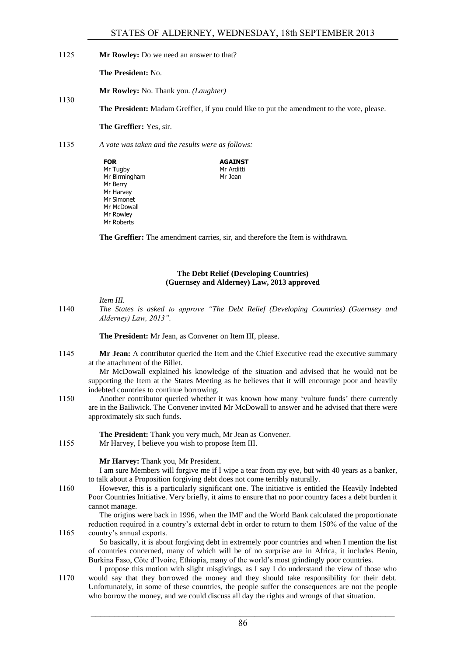1125 **Mr Rowley:** Do we need an answer to that?

**The President:** No.

1130

**Mr Rowley:** No. Thank you. *(Laughter)*

**The President:** Madam Greffier, if you could like to put the amendment to the vote, please.

**AGAINST** Mr Arditti Mr Jean

**The Greffier:** Yes, sir.

# 1135 *A vote was taken and the results were as follows:*

| FOR           |  |
|---------------|--|
| Mr Tugby      |  |
| Mr Birmingham |  |
| Mr Berry      |  |
| Mr Harvey     |  |
| Mr Simonet    |  |
| Mr McDowall   |  |
| Mr Rowley     |  |
| Mr Roberts    |  |
|               |  |

**The Greffier:** The amendment carries, sir, and therefore the Item is withdrawn.

# **The Debt Relief (Developing Countries) (Guernsey and Alderney) Law, 2013 approved**

*Item III.*

1140 *The States is asked to approve "The Debt Relief (Developing Countries) (Guernsey and Alderney) Law, 2013".*

**The President:** Mr Jean, as Convener on Item III, please.

1145 **Mr Jean:** A contributor queried the Item and the Chief Executive read the executive summary at the attachment of the Billet.

Mr McDowall explained his knowledge of the situation and advised that he would not be supporting the Item at the States Meeting as he believes that it will encourage poor and heavily indebted countries to continue borrowing.

1150 Another contributor queried whether it was known how many 'vulture funds' there currently are in the Bailiwick. The Convener invited Mr McDowall to answer and he advised that there were approximately six such funds.

**The President:** Thank you very much, Mr Jean as Convener.

1155 Mr Harvey, I believe you wish to propose Item III.

# **Mr Harvey:** Thank you, Mr President.

I am sure Members will forgive me if I wipe a tear from my eye, but with 40 years as a banker, to talk about a Proposition forgiving debt does not come terribly naturally.

1160 However, this is a particularly significant one. The initiative is entitled the Heavily Indebted Poor Countries Initiative. Very briefly, it aims to ensure that no poor country faces a debt burden it cannot manage.

The origins were back in 1996, when the IMF and the World Bank calculated the proportionate reduction required in a country's external debt in order to return to them 150% of the value of the 1165 country's annual exports.

So basically, it is about forgiving debt in extremely poor countries and when I mention the list of countries concerned, many of which will be of no surprise are in Africa, it includes Benin, Burkina Faso, Côte d'Ivoire, Ethiopia, many of the world's most grindingly poor countries.

I propose this motion with slight misgivings, as I say I do understand the view of those who 1170 would say that they borrowed the money and they should take responsibility for their debt. Unfortunately, in some of these countries, the people suffer the consequences are not the people who borrow the money, and we could discuss all day the rights and wrongs of that situation.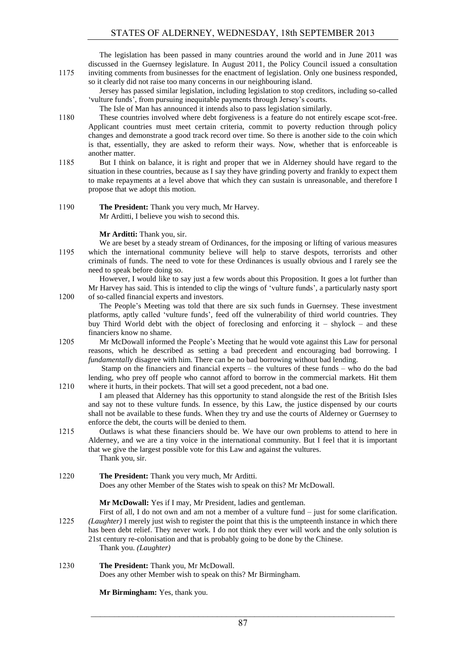The legislation has been passed in many countries around the world and in June 2011 was discussed in the Guernsey legislature. In August 2011, the Policy Council issued a consultation 1175 inviting comments from businesses for the enactment of legislation. Only one business responded,

so it clearly did not raise too many concerns in our neighbouring island. Jersey has passed similar legislation, including legislation to stop creditors, including so-called 'vulture funds', from pursuing inequitable payments through Jersey's courts.

The Isle of Man has announced it intends also to pass legislation similarly.

- 1180 These countries involved where debt forgiveness is a feature do not entirely escape scot-free. Applicant countries must meet certain criteria, commit to poverty reduction through policy changes and demonstrate a good track record over time. So there is another side to the coin which is that, essentially, they are asked to reform their ways. Now, whether that is enforceable is another matter.
- 1185 But I think on balance, it is right and proper that we in Alderney should have regard to the situation in these countries, because as I say they have grinding poverty and frankly to expect them to make repayments at a level above that which they can sustain is unreasonable, and therefore I propose that we adopt this motion.
- 1190 **The President:** Thank you very much, Mr Harvey. Mr Arditti, I believe you wish to second this.

#### **Mr Arditti:** Thank you, sir.

We are beset by a steady stream of Ordinances, for the imposing or lifting of various measures 1195 which the international community believe will help to starve despots, terrorists and other criminals of funds. The need to vote for these Ordinances is usually obvious and I rarely see the need to speak before doing so.

However, I would like to say just a few words about this Proposition. It goes a lot further than Mr Harvey has said. This is intended to clip the wings of 'vulture funds', a particularly nasty sport 1200 of so-called financial experts and investors.

The People's Meeting was told that there are six such funds in Guernsey. These investment platforms, aptly called 'vulture funds', feed off the vulnerability of third world countries. They buy Third World debt with the object of foreclosing and enforcing it – shylock – and these financiers know no shame.

1205 Mr McDowall informed the People's Meeting that he would vote against this Law for personal reasons, which he described as setting a bad precedent and encouraging bad borrowing. I *fundamentally* disagree with him. There can be no bad borrowing without bad lending.

Stamp on the financiers and financial experts – the vultures of these funds – who do the bad lending, who prey off people who cannot afford to borrow in the commercial markets. Hit them 1210 where it hurts, in their pockets. That will set a good precedent, not a bad one.

I am pleased that Alderney has this opportunity to stand alongside the rest of the British Isles and say not to these vulture funds. In essence, by this Law, the justice dispensed by our courts shall not be available to these funds. When they try and use the courts of Alderney or Guernsey to enforce the debt, the courts will be denied to them.

1215 Outlaws is what these financiers should be. We have our own problems to attend to here in Alderney, and we are a tiny voice in the international community. But I feel that it is important that we give the largest possible vote for this Law and against the vultures. Thank you, sir.

1220 **The President:** Thank you very much, Mr Arditti. Does any other Member of the States wish to speak on this? Mr McDowall.

**Mr McDowall:** Yes if I may, Mr President, ladies and gentleman.

First of all, I do not own and am not a member of a vulture fund – just for some clarification. 1225 *(Laughter)* I merely just wish to register the point that this is the umpteenth instance in which there has been debt relief. They never work. I do not think they ever will work and the only solution is 21st century re-colonisation and that is probably going to be done by the Chinese. Thank you. *(Laughter)*

# 1230 **The President:** Thank you, Mr McDowall.

Does any other Member wish to speak on this? Mr Birmingham.

**Mr Birmingham:** Yes, thank you.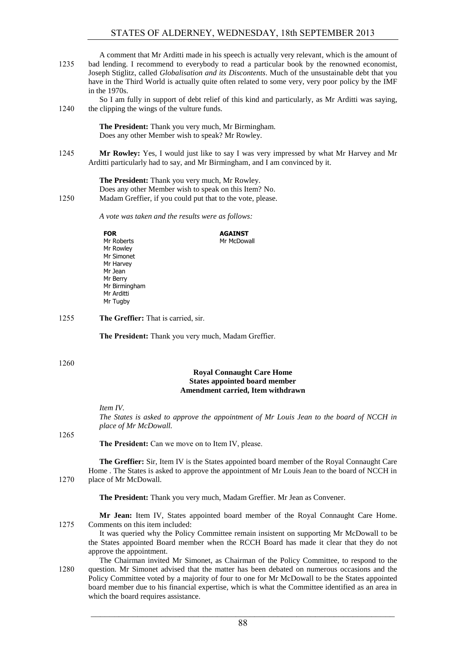A comment that Mr Arditti made in his speech is actually very relevant, which is the amount of 1235 bad lending. I recommend to everybody to read a particular book by the renowned economist, Joseph Stiglitz, called *Globalisation and its Discontents*. Much of the unsustainable debt that you have in the Third World is actually quite often related to some very, very poor policy by the IMF in the 1970s.

So I am fully in support of debt relief of this kind and particularly, as Mr Arditti was saying, 1240 the clipping the wings of the vulture funds.

> **The President:** Thank you very much, Mr Birmingham. Does any other Member wish to speak? Mr Rowley.

1245 **Mr Rowley:** Yes, I would just like to say I was very impressed by what Mr Harvey and Mr Arditti particularly had to say, and Mr Birmingham, and I am convinced by it.

**The President:** Thank you very much, Mr Rowley. Does any other Member wish to speak on this Item? No. 1250 Madam Greffier, if you could put that to the vote, please.

*A vote was taken and the results were as follows:*

| <b>FOR</b>    | <b>AGAINST</b> |
|---------------|----------------|
| Mr Roberts    | Mr McDowall    |
| Mr Rowley     |                |
| Mr Simonet    |                |
| Mr Harvey     |                |
| Mr Jean       |                |
| Mr Berry      |                |
| Mr Birmingham |                |
| Mr Arditti    |                |
| Mr Tugby      |                |
|               |                |

1255 **The Greffier:** That is carried, sir.

**The President:** Thank you very much, Madam Greffier.

1260

# **Royal Connaught Care Home States appointed board member Amendment carried, Item withdrawn**

*Item IV.*

*The States is asked to approve the appointment of Mr Louis Jean to the board of NCCH in place of Mr McDowall.*

1265

**The President:** Can we move on to Item IV, please.

**The Greffier:** Sir, Item IV is the States appointed board member of the Royal Connaught Care Home . The States is asked to approve the appointment of Mr Louis Jean to the board of NCCH in 1270 place of Mr McDowall.

**The President:** Thank you very much, Madam Greffier. Mr Jean as Convener.

**Mr Jean:** Item IV, States appointed board member of the Royal Connaught Care Home. 1275 Comments on this item included:

It was queried why the Policy Committee remain insistent on supporting Mr McDowall to be the States appointed Board member when the RCCH Board has made it clear that they do not approve the appointment.

The Chairman invited Mr Simonet, as Chairman of the Policy Committee, to respond to the 1280 question. Mr Simonet advised that the matter has been debated on numerous occasions and the Policy Committee voted by a majority of four to one for Mr McDowall to be the States appointed board member due to his financial expertise, which is what the Committee identified as an area in which the board requires assistance.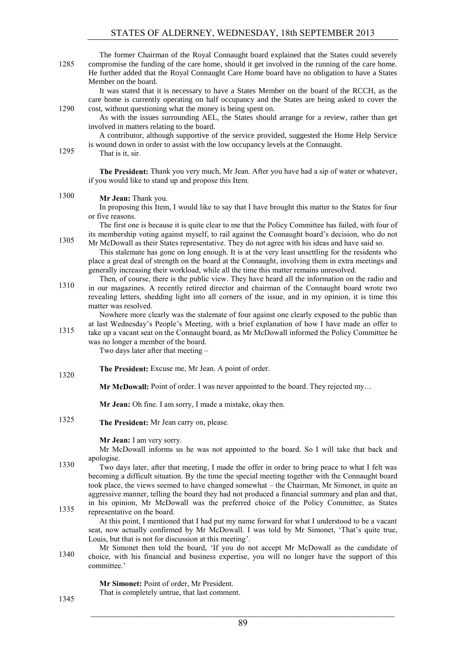| 1285 | The former Chairman of the Royal Connaught board explained that the States could severely<br>compromise the funding of the care home, should it get involved in the running of the care home.<br>He further added that the Royal Connaught Care Home board have no obligation to have a States<br>Member on the board.                                                                                        |
|------|---------------------------------------------------------------------------------------------------------------------------------------------------------------------------------------------------------------------------------------------------------------------------------------------------------------------------------------------------------------------------------------------------------------|
|      | It was stated that it is necessary to have a States Member on the board of the RCCH, as the<br>care home is currently operating on half occupancy and the States are being asked to cover the                                                                                                                                                                                                                 |
| 1290 | cost, without questioning what the money is being spent on.<br>As with the issues surrounding AEL, the States should arrange for a review, rather than get<br>involved in matters relating to the board.                                                                                                                                                                                                      |
| 1295 | A contributor, although supportive of the service provided, suggested the Home Help Service<br>is wound down in order to assist with the low occupancy levels at the Connaught.<br>That is it, sir.                                                                                                                                                                                                           |
|      | The President: Thank you very much, Mr Jean. After you have had a sip of water or whatever,<br>if you would like to stand up and propose this Item.                                                                                                                                                                                                                                                           |
| 1300 |                                                                                                                                                                                                                                                                                                                                                                                                               |
|      | Mr Jean: Thank you.<br>In proposing this Item, I would like to say that I have brought this matter to the States for four<br>or five reasons.                                                                                                                                                                                                                                                                 |
| 1305 | The first one is because it is quite clear to me that the Policy Committee has failed, with four of<br>its membership voting against myself, to rail against the Connaught board's decision, who do not<br>Mr McDowall as their States representative. They do not agree with his ideas and have said so.<br>This stalemate has gone on long enough. It is at the very least unsettling for the residents who |
|      | place a great deal of strength on the board at the Connaught, involving them in extra meetings and<br>generally increasing their workload, while all the time this matter remains unresolved.<br>Then, of course, there is the public view. They have heard all the information on the radio and                                                                                                              |
| 1310 | in our magazines. A recently retired director and chairman of the Connaught board wrote two<br>revealing letters, shedding light into all corners of the issue, and in my opinion, it is time this<br>matter was resolved.                                                                                                                                                                                    |
| 1315 | Nowhere more clearly was the stalemate of four against one clearly exposed to the public than<br>at last Wednesday's People's Meeting, with a brief explanation of how I have made an offer to<br>take up a vacant seat on the Connaught board, as Mr McDowall informed the Policy Committee he                                                                                                               |
|      | was no longer a member of the board.<br>Two days later after that meeting -                                                                                                                                                                                                                                                                                                                                   |
| 1320 | The President: Excuse me, Mr Jean. A point of order.                                                                                                                                                                                                                                                                                                                                                          |
|      | Mr McDowall: Point of order. I was never appointed to the board. They rejected my                                                                                                                                                                                                                                                                                                                             |
|      | Mr Jean: Oh fine. I am sorry, I made a mistake, okay then.                                                                                                                                                                                                                                                                                                                                                    |
| 1325 | The President: Mr Jean carry on, please.                                                                                                                                                                                                                                                                                                                                                                      |
|      | Mr Jean: I am very sorry.<br>Mr McDowall informs us he was not appointed to the board. So I will take that back and                                                                                                                                                                                                                                                                                           |
| 1330 | apologise.                                                                                                                                                                                                                                                                                                                                                                                                    |
|      | Two days later, after that meeting, I made the offer in order to bring peace to what I felt was<br>becoming a difficult situation. By the time the special meeting together with the Connaught board<br>took place, the views seemed to have changed somewhat – the Chairman, Mr Simonet, in quite an                                                                                                         |
|      | aggressive manner, telling the board they had not produced a financial summary and plan and that,                                                                                                                                                                                                                                                                                                             |
| 1335 | in his opinion, Mr McDowall was the preferred choice of the Policy Committee, as States<br>representative on the board.<br>At this point, I mentioned that I had put my name forward for what I understood to be a vacant                                                                                                                                                                                     |
|      | seat, now actually confirmed by Mr McDowall. I was told by Mr Simonet, 'That's quite true,<br>Louis, but that is not for discussion at this meeting'.                                                                                                                                                                                                                                                         |

Mr Simonet then told the board, 'If you do not accept Mr McDowall as the candidate of choice, with his financial and business expertise, you will no longer have the support of this committee.'

**Mr Simonet:** Point of order, Mr President.

That is completely untrue, that last comment.

1345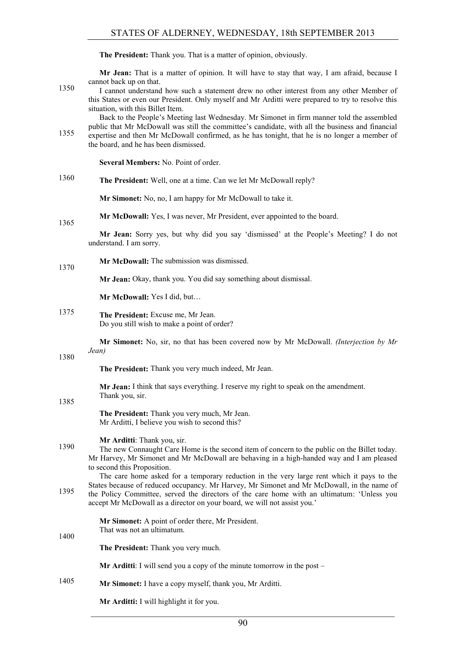**The President:** Thank you. That is a matter of opinion, obviously.

**Mr Jean:** That is a matter of opinion. It will have to stay that way, I am afraid, because I cannot back up on that.

I cannot understand how such a statement drew no other interest from any other Member of this States or even our President. Only myself and Mr Arditti were prepared to try to resolve this situation, with this Billet Item.

Back to the People's Meeting last Wednesday. Mr Simonet in firm manner told the assembled public that Mr McDowall was still the committee's candidate, with all the business and financial expertise and then Mr McDowall confirmed, as he has tonight, that he is no longer a member of the board, and he has been dismissed.

**Several Members:** No. Point of order.

**The President:** Well, one at a time. Can we let Mr McDowall reply? 1360

**Mr Simonet:** No, no, I am happy for Mr McDowall to take it.

**Mr McDowall:** Yes, I was never, Mr President, ever appointed to the board. 1365

> **Mr Jean:** Sorry yes, but why did you say 'dismissed' at the People's Meeting? I do not understand. I am sorry.

**Mr McDowall:** The submission was dismissed. 1370

**Mr Jean:** Okay, thank you. You did say something about dismissal.

**Mr McDowall:** Yes I did, but…

**The President:** Excuse me, Mr Jean. 1375 Do you still wish to make a point of order?

> **Mr Simonet:** No, sir, no that has been covered now by Mr McDowall. *(Interjection by Mr Jean)*

1380

**The President:** Thank you very much indeed, Mr Jean.

**Mr Jean:** I think that says everything. I reserve my right to speak on the amendment. Thank you, sir.

1385

1400

**The President:** Thank you very much, Mr Jean. Mr Arditti, I believe you wish to second this?

# **Mr Arditti**: Thank you, sir.

The new Connaught Care Home is the second item of concern to the public on the Billet today. Mr Harvey, Mr Simonet and Mr McDowall are behaving in a high-handed way and I am pleased to second this Proposition.

The care home asked for a temporary reduction in the very large rent which it pays to the States because of reduced occupancy. Mr Harvey, Mr Simonet and Mr McDowall, in the name of the Policy Committee, served the directors of the care home with an ultimatum: 'Unless you accept Mr McDowall as a director on your board, we will not assist you.'

> **Mr Simonet:** A point of order there, Mr President. That was not an ultimatum.

**The President:** Thank you very much.

**Mr Arditti**: I will send you a copy of the minute tomorrow in the post –

**Mr Simonet:** I have a copy myself, thank you, Mr Arditti. 1405

**Mr Arditti:** I will highlight it for you.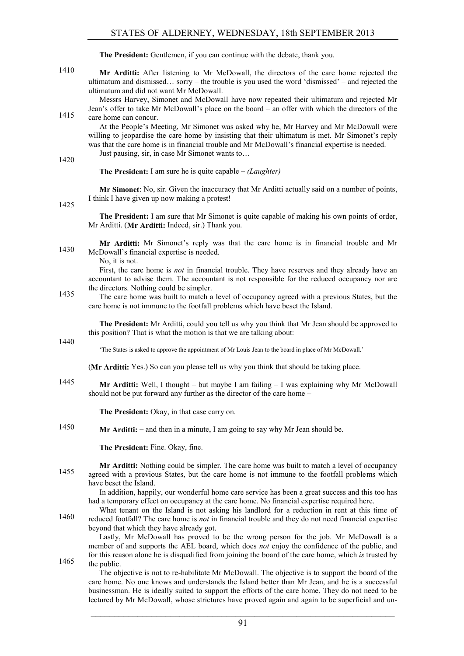**The President:** Gentlemen, if you can continue with the debate, thank you.

1410 **Mr Arditti:** After listening to Mr McDowall, the directors of the care home rejected the ultimatum and dismissed… sorry – the trouble is you used the word 'dismissed' – and rejected the ultimatum and did not want Mr McDowall.

Messrs Harvey, Simonet and McDowall have now repeated their ultimatum and rejected Mr Jean's offer to take Mr McDowall's place on the board – an offer with which the directors of the 1415 care home can concur.

At the People's Meeting, Mr Simonet was asked why he, Mr Harvey and Mr McDowall were willing to jeopardise the care home by insisting that their ultimatum is met. Mr Simonet's reply was that the care home is in financial trouble and Mr McDowall's financial expertise is needed. Just pausing, sir, in case Mr Simonet wants to…

1420

**The President:** I am sure he is quite capable – *(Laughter)*

**Mr Simonet**: No, sir. Given the inaccuracy that Mr Arditti actually said on a number of points, I think I have given up now making a protest!

1425

**The President:** I am sure that Mr Simonet is quite capable of making his own points of order, Mr Arditti. (**Mr Arditti:** Indeed, sir.) Thank you.

**Mr Arditti:** Mr Simonet's reply was that the care home is in financial trouble and Mr 1430 McDowall's financial expertise is needed.

No, it is not.

First, the care home is *not* in financial trouble. They have reserves and they already have an accountant to advise them. The accountant is not responsible for the reduced occupancy nor are the directors. Nothing could be simpler.

The care home was built to match a level of occupancy agreed with a previous States, but the care home is not immune to the footfall problems which have beset the Island.

**The President:** Mr Arditti, could you tell us why you think that Mr Jean should be approved to this position? That is what the motion is that we are talking about:

1440

'The States is asked to approve the appointment of Mr Louis Jean to the board in place of Mr McDowall.'

(**Mr Arditti:** Yes.) So can you please tell us why you think that should be taking place.

1445 **Mr Arditti:** Well, I thought – but maybe I am failing – I was explaining why Mr McDowall should not be put forward any further as the director of the care home –

**The President:** Okay, in that case carry on.

1450 **Mr Arditti:** – and then in a minute, I am going to say why Mr Jean should be.

**The President:** Fine. Okay, fine.

**Mr Arditti:** Nothing could be simpler. The care home was built to match a level of occupancy agreed with a previous States, but the care home is not immune to the footfall problems which have beset the Island.

In addition, happily, our wonderful home care service has been a great success and this too has had a temporary effect on occupancy at the care home. No financial expertise required here.

What tenant on the Island is not asking his landlord for a reduction in rent at this time of reduced footfall? The care home is *not* in financial trouble and they do not need financial expertise 1460 beyond that which they have already got.

Lastly, Mr McDowall has proved to be the wrong person for the job. Mr McDowall is a member of and supports the AEL board, which does *not* enjoy the confidence of the public, and for this reason alone he is disqualified from joining the board of the care home, which *is* trusted by 1465 the public.

The objective is not to re-habilitate Mr McDowall. The objective is to support the board of the care home. No one knows and understands the Island better than Mr Jean, and he is a successful businessman. He is ideally suited to support the efforts of the care home. They do not need to be lectured by Mr McDowall, whose strictures have proved again and again to be superficial and un-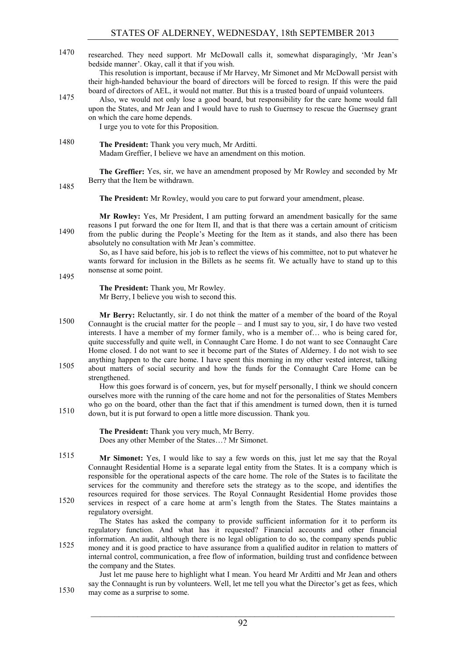researched. They need support. Mr McDowall calls it, somewhat disparagingly, 'Mr Jean's 1470 bedside manner'. Okay, call it that if you wish.

This resolution is important, because if Mr Harvey, Mr Simonet and Mr McDowall persist with their high-handed behaviour the board of directors will be forced to resign. If this were the paid board of directors of AEL, it would not matter. But this is a trusted board of unpaid volunteers.

Also, we would not only lose a good board, but responsibility for the care home would fall upon the States, and Mr Jean and I would have to rush to Guernsey to rescue the Guernsey grant on which the care home depends.

I urge you to vote for this Proposition.

1480 **The President:** Thank you very much, Mr Arditti. Madam Greffier, I believe we have an amendment on this motion.

> **The Greffier:** Yes, sir, we have an amendment proposed by Mr Rowley and seconded by Mr Berry that the Item be withdrawn.

1485

1495

1510

**The President:** Mr Rowley, would you care to put forward your amendment, please.

**Mr Rowley:** Yes, Mr President, I am putting forward an amendment basically for the same reasons I put forward the one for Item II, and that is that there was a certain amount of criticism from the public during the People's Meeting for the Item as it stands, and also there has been 1490 absolutely no consultation with Mr Jean's committee.

So, as I have said before, his job is to reflect the views of his committee, not to put whatever he wants forward for inclusion in the Billets as he seems fit. We actually have to stand up to this nonsense at some point.

**The President:** Thank you, Mr Rowley. Mr Berry, I believe you wish to second this.

**Mr Berry:** Reluctantly, sir. I do not think the matter of a member of the board of the Royal Connaught is the crucial matter for the people – and I must say to you, sir, I do have two vested interests. I have a member of my former family, who is a member of… who is being cared for, quite successfully and quite well, in Connaught Care Home. I do not want to see Connaught Care Home closed. I do not want to see it become part of the States of Alderney. I do not wish to see anything happen to the care home. I have spent this morning in my other vested interest, talking about matters of social security and how the funds for the Connaught Care Home can be

strengthened.

How this goes forward is of concern, yes, but for myself personally, I think we should concern ourselves more with the running of the care home and not for the personalities of States Members who go on the board, other than the fact that if this amendment is turned down, then it is turned down, but it is put forward to open a little more discussion. Thank you.

**The President:** Thank you very much, Mr Berry. Does any other Member of the States…? Mr Simonet.

1515 **Mr Simonet:** Yes, I would like to say a few words on this, just let me say that the Royal Connaught Residential Home is a separate legal entity from the States. It is a company which is responsible for the operational aspects of the care home. The role of the States is to facilitate the services for the community and therefore sets the strategy as to the scope, and identifies the resources required for those services. The Royal Connaught Residential Home provides those services in respect of a care home at arm's length from the States. The States maintains a 1520 regulatory oversight.

The States has asked the company to provide sufficient information for it to perform its regulatory function. And what has it requested? Financial accounts and other financial information. An audit, although there is no legal obligation to do so, the company spends public money and it is good practice to have assurance from a qualified auditor in relation to matters of internal control, communication, a free flow of information, building trust and confidence between the company and the States.

Just let me pause here to highlight what I mean. You heard Mr Arditti and Mr Jean and others say the Connaught is run by volunteers. Well, let me tell you what the Director's get as fees, which 1530 may come as a surprise to some.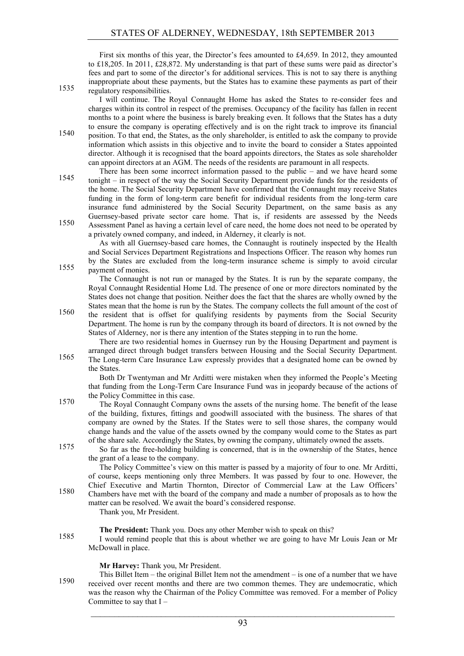First six months of this year, the Director's fees amounted to £4,659. In 2012, they amounted to £18,205. In 2011, £28,872. My understanding is that part of these sums were paid as director's fees and part to some of the director's for additional services. This is not to say there is anything inappropriate about these payments, but the States has to examine these payments as part of their 1535 regulatory responsibilities.

I will continue. The Royal Connaught Home has asked the States to re-consider fees and charges within its control in respect of the premises. Occupancy of the facility has fallen in recent months to a point where the business is barely breaking even. It follows that the States has a duty to ensure the company is operating effectively and is on the right track to improve its financial

position. To that end, the States, as the only shareholder, is entitled to ask the company to provide information which assists in this objective and to invite the board to consider a States appointed director. Although it is recognised that the board appoints directors, the States as sole shareholder can appoint directors at an AGM. The needs of the residents are paramount in all respects.

There has been some incorrect information passed to the public – and we have heard some tonight – in respect of the way the Social Security Department provide funds for the residents of the home. The Social Security Department have confirmed that the Connaught may receive States funding in the form of long-term care benefit for individual residents from the long-term care insurance fund administered by the Social Security Department, on the same basis as any Guernsey-based private sector care home. That is, if residents are assessed by the Needs Assessment Panel as having a certain level of care need, the home does not need to be operated by

a privately owned company, and indeed, in Alderney, it clearly is not.

As with all Guernsey-based care homes, the Connaught is routinely inspected by the Health and Social Services Department Registrations and Inspections Officer. The reason why homes run by the States are excluded from the long-term insurance scheme is simply to avoid circular 1555 payment of monies.

The Connaught is not run or managed by the States. It is run by the separate company, the Royal Connaught Residential Home Ltd. The presence of one or more directors nominated by the States does not change that position. Neither does the fact that the shares are wholly owned by the States mean that the home is run by the States. The company collects the full amount of the cost of

1560 the resident that is offset for qualifying residents by payments from the Social Security Department. The home is run by the company through its board of directors. It is not owned by the States of Alderney, nor is there any intention of the States stepping in to run the home.

There are two residential homes in Guernsey run by the Housing Department and payment is arranged direct through budget transfers between Housing and the Social Security Department. The Long-term Care Insurance Law expressly provides that a designated home can be owned by the States.

Both Dr Twentyman and Mr Arditti were mistaken when they informed the People's Meeting that funding from the Long-Term Care Insurance Fund was in jeopardy because of the actions of the Policy Committee in this case.

The Royal Connaught Company owns the assets of the nursing home. The benefit of the lease of the building, fixtures, fittings and goodwill associated with the business. The shares of that company are owned by the States. If the States were to sell those shares, the company would change hands and the value of the assets owned by the company would come to the States as part of the share sale. Accordingly the States, by owning the company, ultimately owned the assets.

So far as the free-holding building is concerned, that is in the ownership of the States, hence the grant of a lease to the company.

The Policy Committee's view on this matter is passed by a majority of four to one. Mr Arditti, of course, keeps mentioning only three Members. It was passed by four to one. However, the Chief Executive and Martin Thornton, Director of Commercial Law at the Law Officers' Chambers have met with the board of the company and made a number of proposals as to how the matter can be resolved. We await the board's considered response.

Thank you, Mr President.

**The President:** Thank you. Does any other Member wish to speak on this?

I would remind people that this is about whether we are going to have Mr Louis Jean or Mr McDowall in place.

**Mr Harvey:** Thank you, Mr President.

This Billet Item – the original Billet Item not the amendment – is one of a number that we have 1590 received over recent months and there are two common themes. They are undemocratic, which was the reason why the Chairman of the Policy Committee was removed. For a member of Policy Committee to say that  $I -$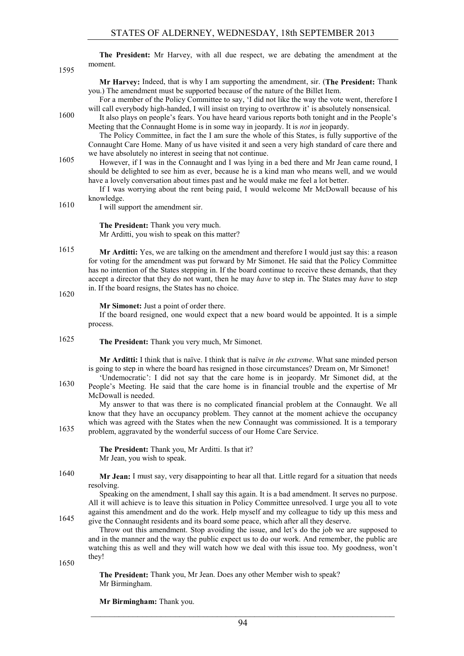|      |         |  |  |  |  |  | The President: Mr Harvey, with all due respect, we are debating the amendment at the |  |
|------|---------|--|--|--|--|--|--------------------------------------------------------------------------------------|--|
| 1595 | moment. |  |  |  |  |  |                                                                                      |  |

**Mr Harvey:** Indeed, that is why I am supporting the amendment, sir. (**The President:** Thank you.) The amendment must be supported because of the nature of the Billet Item.

For a member of the Policy Committee to say, 'I did not like the way the vote went, therefore I will call everybody high-handed, I will insist on trying to overthrow it' is absolutely nonsensical.

It also plays on people's fears. You have heard various reports both tonight and in the People's Meeting that the Connaught Home is in some way in jeopardy. It is *not* in jeopardy.

The Policy Committee, in fact the I am sure the whole of this States, is fully supportive of the Connaught Care Home. Many of us have visited it and seen a very high standard of care there and we have absolutely no interest in seeing that not continue.

However, if I was in the Connaught and I was lying in a bed there and Mr Jean came round, I should be delighted to see him as ever, because he is a kind man who means well, and we would have a lovely conversation about times past and he would make me feel a lot better.

If I was worrying about the rent being paid, I would welcome Mr McDowall because of his knowledge.

1610 I will support the amendment sir.

**The President:** Thank you very much. Mr Arditti, you wish to speak on this matter?

**Mr Arditti:** Yes, we are talking on the amendment and therefore I would just say this: a reason for voting for the amendment was put forward by Mr Simonet. He said that the Policy Committee has no intention of the States stepping in. If the board continue to receive these demands, that they accept a director that they do not want, then he may *have* to step in. The States may *have* to step in. If the board resigns, the States has no choice.

1620

#### **Mr Simonet:** Just a point of order there.

If the board resigned, one would expect that a new board would be appointed. It is a simple process.

- 
- 1625 **The President:** Thank you very much, Mr Simonet.

**Mr Arditti:** I think that is naïve. I think that is naïve *in the extreme*. What sane minded person is going to step in where the board has resigned in those circumstances? Dream on, Mr Simonet!

'Undemocratic': I did not say that the care home is in jeopardy. Mr Simonet did, at the 1630 People's Meeting. He said that the care home is in financial trouble and the expertise of Mr McDowall is needed.

My answer to that was there is no complicated financial problem at the Connaught. We all know that they have an occupancy problem. They cannot at the moment achieve the occupancy which was agreed with the States when the new Connaught was commissioned. It is a temporary problem, aggravated by the wonderful success of our Home Care Service.

> **The President:** Thank you, Mr Arditti. Is that it? Mr Jean, you wish to speak.

1640 **Mr Jean:** I must say, very disappointing to hear all that. Little regard for a situation that needs resolving.

Speaking on the amendment, I shall say this again. It is a bad amendment. It serves no purpose. All it will achieve is to leave this situation in Policy Committee unresolved. I urge you all to vote against this amendment and do the work. Help myself and my colleague to tidy up this mess and give the Connaught residents and its board some peace, which after all they deserve.

Throw out this amendment. Stop avoiding the issue, and let's do the job we are supposed to and in the manner and the way the public expect us to do our work. And remember, the public are watching this as well and they will watch how we deal with this issue too. My goodness, won't they!

1650

**The President:** Thank you, Mr Jean. Does any other Member wish to speak? Mr Birmingham.

**Mr Birmingham:** Thank you.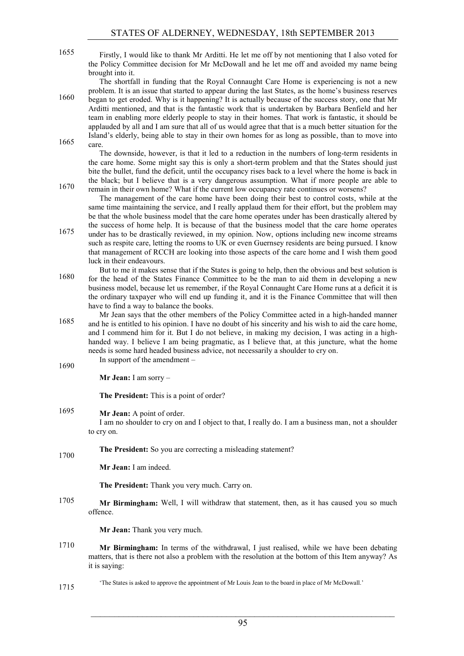Firstly, I would like to thank Mr Arditti. He let me off by not mentioning that I also voted for 1655 the Policy Committee decision for Mr McDowall and he let me off and avoided my name being brought into it.

The shortfall in funding that the Royal Connaught Care Home is experiencing is not a new problem. It is an issue that started to appear during the last States, as the home's business reserves began to get eroded. Why is it happening? It is actually because of the success story, one that Mr Arditti mentioned, and that is the fantastic work that is undertaken by Barbara Benfield and her team in enabling more elderly people to stay in their homes. That work is fantastic, it should be applauded by all and I am sure that all of us would agree that that is a much better situation for the Island's elderly, being able to stay in their own homes for as long as possible, than to move into  $1665$  care.

The downside, however, is that it led to a reduction in the numbers of long-term residents in the care home. Some might say this is only a short-term problem and that the States should just bite the bullet, fund the deficit, until the occupancy rises back to a level where the home is back in the black; but I believe that is a very dangerous assumption. What if more people are able to remain in their own home? What if the current low occupancy rate continues or worsens? 1670

The management of the care home have been doing their best to control costs, while at the same time maintaining the service, and I really applaud them for their effort, but the problem may be that the whole business model that the care home operates under has been drastically altered by the success of home help. It is because of that the business model that the care home operates

- under has to be drastically reviewed, in my opinion. Now, options including new income streams 1675 such as respite care, letting the rooms to UK or even Guernsey residents are being pursued. I know that management of RCCH are looking into those aspects of the care home and I wish them good luck in their endeavours.
- But to me it makes sense that if the States is going to help, then the obvious and best solution is for the head of the States Finance Committee to be the man to aid them in developing a new business model, because let us remember, if the Royal Connaught Care Home runs at a deficit it is the ordinary taxpayer who will end up funding it, and it is the Finance Committee that will then have to find a way to balance the books.
- Mr Jean says that the other members of the Policy Committee acted in a high-handed manner and he is entitled to his opinion. I have no doubt of his sincerity and his wish to aid the care home, and I commend him for it. But I do not believe, in making my decision, I was acting in a highhanded way. I believe I am being pragmatic, as I believe that, at this juncture, what the home needs is some hard headed business advice, not necessarily a shoulder to cry on. In support of the amendment –

**Mr Jean:** I am sorry –

1690

1715

**The President:** This is a point of order?

1695 **Mr Jean:** A point of order.

I am no shoulder to cry on and I object to that, I really do. I am a business man, not a shoulder to cry on.

**The President:** So you are correcting a misleading statement? 1700

**Mr Jean:** I am indeed.

**The President:** Thank you very much. Carry on.

**Mr Birmingham:** Well, I will withdraw that statement, then, as it has caused you so much offence.

**Mr Jean:** Thank you very much.

- **Mr Birmingham:** In terms of the withdrawal, I just realised, while we have been debating matters, that is there not also a problem with the resolution at the bottom of this Item anyway? As it is saying:
	- 'The States is asked to approve the appointment of Mr Louis Jean to the board in place of Mr McDowall.'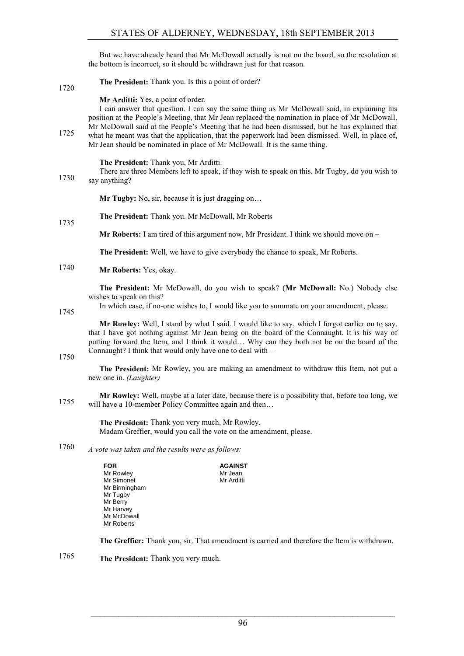But we have already heard that Mr McDowall actually is not on the board, so the resolution at the bottom is incorrect, so it should be withdrawn just for that reason.

**The President:** Thank you. Is this a point of order? 1720

# **Mr Arditti:** Yes, a point of order.

I can answer that question. I can say the same thing as Mr McDowall said, in explaining his position at the People's Meeting, that Mr Jean replaced the nomination in place of Mr McDowall. Mr McDowall said at the People's Meeting that he had been dismissed, but he has explained that what he meant was that the application, that the paperwork had been dismissed. Well, in place of, Mr Jean should be nominated in place of Mr McDowall. It is the same thing.

# **The President:** Thank you, Mr Arditti.

There are three Members left to speak, if they wish to speak on this. Mr Tugby, do you wish to 1730 say anything?

**Mr Tugby:** No, sir, because it is just dragging on...

**The President:** Thank you. Mr McDowall, Mr Roberts 1735

**Mr Roberts:** I am tired of this argument now, Mr President. I think we should move on –

**The President:** Well, we have to give everybody the chance to speak, Mr Roberts.

1740 **Mr Roberts:** Yes, okay.

**The President:** Mr McDowall, do you wish to speak? (**Mr McDowall:** No.) Nobody else wishes to speak on this?

1745

In which case, if no-one wishes to, I would like you to summate on your amendment, please.

**Mr Rowley:** Well, I stand by what I said. I would like to say, which I forgot earlier on to say, that I have got nothing against Mr Jean being on the board of the Connaught. It is his way of putting forward the Item, and I think it would… Why can they both not be on the board of the Connaught? I think that would only have one to deal with –

1750

**The President:** Mr Rowley, you are making an amendment to withdraw this Item, not put a new one in. *(Laughter)*

**Mr Rowley:** Well, maybe at a later date, because there is a possibility that, before too long, we 1755 will have a 10-member Policy Committee again and then...

> **The President:** Thank you very much, Mr Rowley. Madam Greffier, would you call the vote on the amendment, please.

*A vote was taken and the results were as follows:* 1760

| <b>FOR</b>    | <b>AGAINST</b> |
|---------------|----------------|
| Mr Rowley     | Mr Jean        |
| Mr Simonet    | Mr Arditti     |
| Mr Birmingham |                |
| Mr Tugby      |                |
| Mr Berry      |                |
| Mr Harvey     |                |
| Mr McDowall   |                |
| Mr Roberts    |                |

**The Greffier:** Thank you, sir. That amendment is carried and therefore the Item is withdrawn.

**The President:** Thank you very much. 1765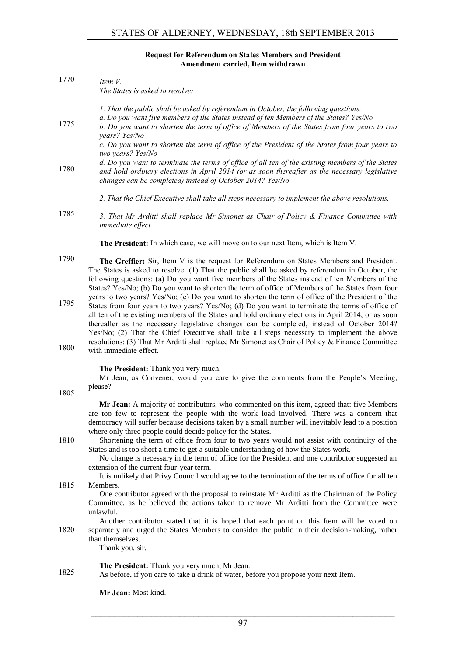#### **Request for Referendum on States Members and President Amendment carried, Item withdrawn**

| 1770 | Item V.<br>The States is asked to resolve:                                                                                                                                                                                                                                                                                                                                                                                                                                                                  |
|------|-------------------------------------------------------------------------------------------------------------------------------------------------------------------------------------------------------------------------------------------------------------------------------------------------------------------------------------------------------------------------------------------------------------------------------------------------------------------------------------------------------------|
| 1775 | 1. That the public shall be asked by referendum in October, the following questions:<br>a. Do you want five members of the States instead of ten Members of the States? Yes/No<br>b. Do you want to shorten the term of office of Members of the States from four years to two<br>years? Yes/No                                                                                                                                                                                                             |
|      | c. Do you want to shorten the term of office of the President of the States from four years to<br>two years? Yes/No                                                                                                                                                                                                                                                                                                                                                                                         |
| 1780 | d. Do you want to terminate the terms of office of all ten of the existing members of the States<br>and hold ordinary elections in April 2014 (or as soon thereafter as the necessary legislative<br>changes can be completed) instead of October 2014? Yes/No                                                                                                                                                                                                                                              |
|      | 2. That the Chief Executive shall take all steps necessary to implement the above resolutions.                                                                                                                                                                                                                                                                                                                                                                                                              |
| 1785 | 3. That Mr Arditti shall replace Mr Simonet as Chair of Policy & Finance Committee with<br>immediate effect.                                                                                                                                                                                                                                                                                                                                                                                                |
|      | The President: In which case, we will move on to our next Item, which is Item V.                                                                                                                                                                                                                                                                                                                                                                                                                            |
| 1790 | The Greffier: Sir, Item V is the request for Referendum on States Members and President.<br>The States is asked to resolve: (1) That the public shall be asked by referendum in October, the<br>following questions: (a) Do you want five members of the States instead of ten Members of the<br>States? Yes/No; (b) Do you want to shorten the term of office of Members of the States from four                                                                                                           |
| 1795 | years to two years? Yes/No; (c) Do you want to shorten the term of office of the President of the<br>States from four years to two years? Yes/No; (d) Do you want to terminate the terms of office of<br>all ten of the existing members of the States and hold ordinary elections in April 2014, or as soon<br>thereafter as the necessary legislative changes can be completed, instead of October 2014?<br>Yes/No; (2) That the Chief Executive shall take all steps necessary to implement the above    |
| 1800 | resolutions; (3) That Mr Arditti shall replace Mr Simonet as Chair of Policy & Finance Committee<br>with immediate effect.                                                                                                                                                                                                                                                                                                                                                                                  |
| 1805 | The President: Thank you very much.<br>Mr Jean, as Convener, would you care to give the comments from the People's Meeting,<br>please?                                                                                                                                                                                                                                                                                                                                                                      |
|      | Mr Jean: A majority of contributors, who commented on this item, agreed that: five Members<br>are too few to represent the people with the work load involved. There was a concern that<br>democracy will suffer because decisions taken by a small number will inevitably lead to a position                                                                                                                                                                                                               |
| 1810 | where only three people could decide policy for the States.<br>Shortening the term of office from four to two years would not assist with continuity of the<br>States and is too short a time to get a suitable understanding of how the States work.<br>No change is necessary in the term of office for the President and one contributor suggested an<br>extension of the current four-year term.<br>It is unlikely that Privy Council would agree to the termination of the terms of office for all ten |
| 1815 | Members.<br>One contributor agreed with the proposal to reinstate Mr Arditti as the Chairman of the Policy<br>Committee, as he believed the actions taken to remove Mr Arditti from the Committee were<br>unlawful.                                                                                                                                                                                                                                                                                         |
| 1820 | Another contributor stated that it is hoped that each point on this Item will be voted on<br>separately and urged the States Members to consider the public in their decision-making, rather<br>than themselves.<br>Thank you, sir.                                                                                                                                                                                                                                                                         |
| 1825 | The President: Thank you very much, Mr Jean.<br>As before, if you care to take a drink of water, before you propose your next Item.                                                                                                                                                                                                                                                                                                                                                                         |
|      | Mr Jean: Most kind.                                                                                                                                                                                                                                                                                                                                                                                                                                                                                         |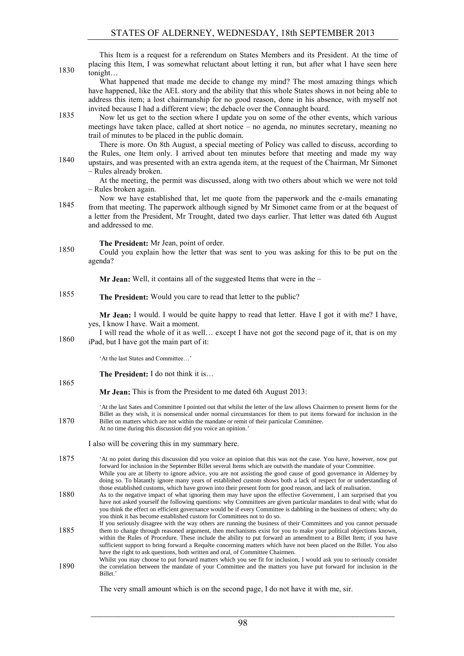| 1830 | This Item is a request for a referendum on States Members and its President. At the time of<br>placing this Item, I was somewhat reluctant about letting it run, but after what I have seen here<br>tonight                                                                                                                                                                                                                                                                                                                                                                                      |
|------|--------------------------------------------------------------------------------------------------------------------------------------------------------------------------------------------------------------------------------------------------------------------------------------------------------------------------------------------------------------------------------------------------------------------------------------------------------------------------------------------------------------------------------------------------------------------------------------------------|
|      | What happened that made me decide to change my mind? The most amazing things which<br>have happened, like the AEL story and the ability that this whole States shows in not being able to<br>address this item; a lost chairmanship for no good reason, done in his absence, with myself not                                                                                                                                                                                                                                                                                                     |
| 1835 | invited because I had a different view; the debacle over the Connaught board.<br>Now let us get to the section where I update you on some of the other events, which various<br>meetings have taken place, called at short notice - no agenda, no minutes secretary, meaning no<br>trail of minutes to be placed in the public domain.                                                                                                                                                                                                                                                           |
| 1840 | There is more. On 8th August, a special meeting of Policy was called to discuss, according to<br>the Rules, one Item only. I arrived about ten minutes before that meeting and made my way<br>upstairs, and was presented with an extra agenda item, at the request of the Chairman, Mr Simonet<br>- Rules already broken.                                                                                                                                                                                                                                                                       |
|      | At the meeting, the permit was discussed, along with two others about which we were not told<br>- Rules broken again.                                                                                                                                                                                                                                                                                                                                                                                                                                                                            |
| 1845 | Now we have established that, let me quote from the paperwork and the e-mails emanating<br>from that meeting. The paperwork although signed by Mr Simonet came from or at the bequest of<br>a letter from the President, Mr Trought, dated two days earlier. That letter was dated 6th August<br>and addressed to me.                                                                                                                                                                                                                                                                            |
| 1850 | The President: Mr Jean, point of order.<br>Could you explain how the letter that was sent to you was asking for this to be put on the<br>agenda?                                                                                                                                                                                                                                                                                                                                                                                                                                                 |
|      | Mr Jean: Well, it contains all of the suggested Items that were in the -                                                                                                                                                                                                                                                                                                                                                                                                                                                                                                                         |
| 1855 | The President: Would you care to read that letter to the public?                                                                                                                                                                                                                                                                                                                                                                                                                                                                                                                                 |
| 1860 | Mr Jean: I would. I would be quite happy to read that letter. Have I got it with me? I have,<br>yes, I know I have. Wait a moment.<br>I will read the whole of it as well except I have not got the second page of it, that is on my<br>iPad, but I have got the main part of it:                                                                                                                                                                                                                                                                                                                |
|      | 'At the last States and Committee'                                                                                                                                                                                                                                                                                                                                                                                                                                                                                                                                                               |
|      | The President: I do not think it is                                                                                                                                                                                                                                                                                                                                                                                                                                                                                                                                                              |
| 1865 | Mr Jean: This is from the President to me dated 6th August 2013:                                                                                                                                                                                                                                                                                                                                                                                                                                                                                                                                 |
| 1870 | At the last Sates and Committee I pointed out that whilst the letter of the law allows Chairmen to present Items for the<br>Billet as they wish, it is nonsensical under normal circumstances for them to put items forward for inclusion in the<br>Billet on matters which are not within the mandate or remit of their particular Committee.<br>At no time during this discussion did you voice an opinion.'                                                                                                                                                                                   |
|      | I also will be covering this in my summary here.                                                                                                                                                                                                                                                                                                                                                                                                                                                                                                                                                 |
| 1875 | 'At no point during this discussion did you voice an opinion that this was not the case. You have, however, now put<br>forward for inclusion in the September Billet several Items which are outwith the mandate of your Committee.<br>While you are at liberty to ignore advice, you are not assisting the good cause of good governance in Alderney by<br>doing so. To blatantly ignore many years of established custom shows both a lack of respect for or understanding of<br>those established customs, which have grown into their present form for good reason, and lack of realisation. |
| 1880 | As to the negative impact of what ignoring them may have upon the effective Government, I am surprised that you<br>have not asked yourself the following questions: why Committees are given particular mandates to deal with; what do<br>you think the effect on efficient governance would be if every Committee is dabbling in the business of others; why do<br>you think it has become established custom for Committees not to do so.                                                                                                                                                      |
| 1885 | If you seriously disagree with the way others are running the business of their Committees and you cannot persuade<br>them to change through reasoned argument, then mechanisms exist for you to make your political objections known,<br>within the Rules of Procedure. These include the ability to put forward an amendment to a Billet Item; if you have<br>sufficient support to bring forward a Requête concerning matters which have not been placed on the Billet. You also<br>have the right to ask questions, both written and oral, of Committee Chairmen.                            |

Whilst you may choose to put forward matters which you see fit for inclusion, I would ask you to seriously consider 1890 the correlation between the mandate of your Committee and the matters you have put forward for inclusion in the Billet.'

The very small amount which is on the second page, I do not have it with me, sir.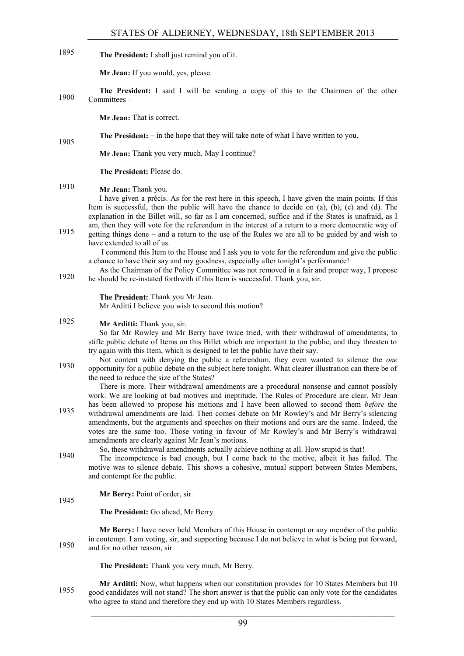1895 **The President:** I shall just remind you of it.

**Mr Jean:** If you would, yes, please.

**The President:** I said I will be sending a copy of this to the Chairmen of the other Committees – 1900

**Mr Jean:** That is correct.

**The President:** – in the hope that they will take note of what I have written to you. 1905

**Mr Jean:** Thank you very much. May I continue?

**The President:** Please do.

# **Mr Jean:** Thank you. 1910

I have given a précis. As for the rest here in this speech, I have given the main points. If this Item is successful, then the public will have the chance to decide on (a), (b), (c) and (d). The explanation in the Billet will, so far as I am concerned, suffice and if the States is unafraid, as I am, then they will vote for the referendum in the interest of a return to a more democratic way of getting things done – and a return to the use of the Rules we are all to be guided by and wish to 1915

have extended to all of us.

I commend this Item to the House and I ask you to vote for the referendum and give the public a chance to have their say and my goodness, especially after tonight's performance!

As the Chairman of the Policy Committee was not removed in a fair and proper way, I propose he should be re-instated forthwith if this Item is successful. Thank you, sir.

**The President:** Thank you Mr Jean.

Mr Arditti I believe you wish to second this motion?

# 1925 **Mr Arditti:** Thank you, sir.

So far Mr Rowley and Mr Berry have twice tried, with their withdrawal of amendments, to stifle public debate of Items on this Billet which are important to the public, and they threaten to try again with this Item, which is designed to let the public have their say.

Not content with denying the public a referendum, they even wanted to silence the *one* opportunity for a public debate on the subject here tonight. What clearer illustration can there be of the need to reduce the size of the States?

There is more. Their withdrawal amendments are a procedural nonsense and cannot possibly work. We are looking at bad motives and ineptitude. The Rules of Procedure are clear. Mr Jean has been allowed to propose his motions and I have been allowed to second them *before* the 1935 withdrawal amendments are laid. Then comes debate on Mr Rowley's and Mr Berry's silencing amendments, but the arguments and speeches on their motions and ours are the same. Indeed, the votes are the same too. Those voting in favour of Mr Rowley's and Mr Berry's withdrawal amendments are clearly against Mr Jean's motions.

So, these withdrawal amendments actually achieve nothing at all. How stupid is that! The incompetence is bad enough, but I come back to the motive, albeit it has failed. The motive was to silence debate. This shows a cohesive, mutual support between States Members, and contempt for the public.

#### **Mr Berry:** Point of order, sir. 1945

**The President:** Go ahead, Mr Berry.

**Mr Berry:** I have never held Members of this House in contempt or any member of the public in contempt. I am voting, sir, and supporting because I do not believe in what is being put forward, 1950 and for no other reason, sir.

**The President:** Thank you very much, Mr Berry.

**Mr Arditti:** Now, what happens when our constitution provides for 10 States Members but 10 good candidates will not stand? The short answer is that the public can only vote for the candidates who agree to stand and therefore they end up with 10 States Members regardless.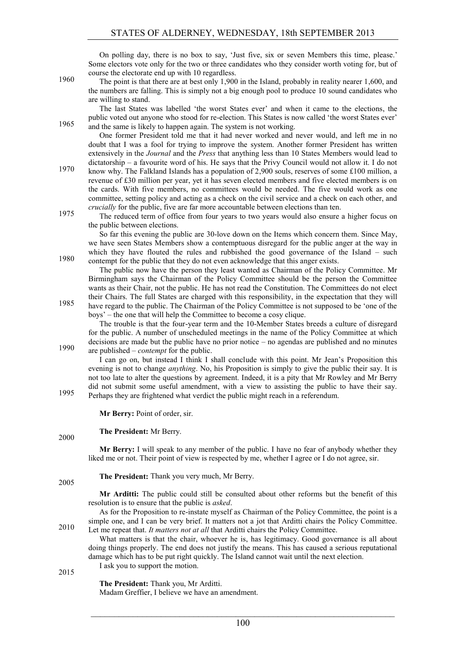On polling day, there is no box to say, 'Just five, six or seven Members this time, please.' Some electors vote only for the two or three candidates who they consider worth voting for, but of course the electorate end up with 10 regardless.

The point is that there are at best only 1,900 in the Island, probably in reality nearer 1,600, and 1960 the numbers are falling. This is simply not a big enough pool to produce 10 sound candidates who are willing to stand.

The last States was labelled 'the worst States ever' and when it came to the elections, the public voted out anyone who stood for re-election. This States is now called 'the worst States ever' and the same is likely to happen again. The system is not working.

One former President told me that it had never worked and never would, and left me in no doubt that I was a fool for trying to improve the system. Another former President has written extensively in the *Journal* and the *Press* that anything less than 10 States Members would lead to dictatorship – a favourite word of his. He says that the Privy Council would not allow it. I do not know why. The Falkland Islands has a population of 2,900 souls, reserves of some £100 million, a

revenue of £30 million per year, yet it has seven elected members and five elected members is on the cards. With five members, no committees would be needed. The five would work as one committee, setting policy and acting as a check on the civil service and a check on each other, and *crucially* for the public, five are far more accountable between elections than ten.

The reduced term of office from four years to two years would also ensure a higher focus on the public between elections.

So far this evening the public are 30-love down on the Items which concern them. Since May, we have seen States Members show a contemptuous disregard for the public anger at the way in which they have flouted the rules and rubbished the good governance of the Island – such 1980 contempt for the public that they do not even acknowledge that this anger exists.

The public now have the person they least wanted as Chairman of the Policy Committee. Mr Birmingham says the Chairman of the Policy Committee should be the person the Committee wants as their Chair, not the public. He has not read the Constitution. The Committees do not elect their Chairs. The full States are charged with this responsibility, in the expectation that they will have regard to the public. The Chairman of the Policy Committee is not supposed to be 'one of the boys' – the one that will help the Committee to become a cosy clique.

The trouble is that the four-year term and the 10-Member States breeds a culture of disregard for the public. A number of unscheduled meetings in the name of the Policy Committee at which decisions are made but the public have no prior notice – no agendas are published and no minutes are published – *contempt* for the public. 1990

I can go on, but instead I think I shall conclude with this point. Mr Jean's Proposition this evening is not to change *anything*. No, his Proposition is simply to give the public their say. It is not too late to alter the questions by agreement. Indeed, it is a pity that Mr Rowley and Mr Berry did not submit some useful amendment, with a view to assisting the public to have their say. Perhaps they are frightened what verdict the public might reach in a referendum.

**Mr Berry:** Point of order, sir.

**The President:** Mr Berry.

2000

2005

**Mr Berry:** I will speak to any member of the public. I have no fear of anybody whether they liked me or not. Their point of view is respected by me, whether I agree or I do not agree, sir.

**The President:** Thank you very much, Mr Berry.

**Mr Arditti:** The public could still be consulted about other reforms but the benefit of this resolution is to ensure that the public is *asked*.

As for the Proposition to re-instate myself as Chairman of the Policy Committee, the point is a simple one, and I can be very brief. It matters not a jot that Arditti chairs the Policy Committee. Let me repeat that. *It matters not at all* that Arditti chairs the Policy Committee. 2010

What matters is that the chair, whoever he is, has legitimacy. Good governance is all about doing things properly. The end does not justify the means. This has caused a serious reputational damage which has to be put right quickly. The Island cannot wait until the next election. I ask you to support the motion.

2015

**The President:** Thank you, Mr Arditti. Madam Greffier, I believe we have an amendment.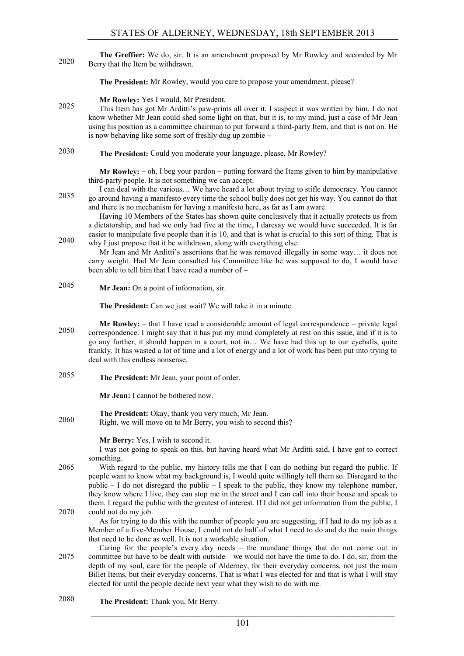**The Greffier:** We do, sir. It is an amendment proposed by Mr Rowley and seconded by Mr Berry that the Item be withdrawn. 2020

**The President:** Mr Rowley, would you care to propose your amendment, please?

**Mr Rowley:** Yes I would, Mr President.

This Item has got Mr Arditti's paw-prints all over it. I suspect it was written by him. I do not know whether Mr Jean could shed some light on that, but it is, to my mind, just a case of Mr Jean using his position as a committee chairman to put forward a third-party Item, and that is not on. He is now behaving like some sort of freshly dug up zombie –

**The President:** Could you moderate your language, please, Mr Rowley? 2030

> **Mr Rowley:** – oh, I beg your pardon – putting forward the Items given to him by manipulative third-party people. It is not something we can accept.

I can deal with the various… We have heard a lot about trying to stifle democracy. You cannot go around having a manifesto every time the school bully does not get his way. You cannot do that and there is no mechanism for having a manifesto here, as far as I am aware.

Having 10 Members of the States has shown quite conclusively that it actually protects us from a dictatorship, and had we only had five at the time, I daresay we would have succeeded. It is far easier to manipulate five people than it is 10, and that is what is crucial to this sort of thing. That is 2040 why I just propose that it be withdrawn, along with everything else.

Mr Jean and Mr Arditti's assertions that he was removed illegally in some way… it does not carry weight. Had Mr Jean consulted his Committee like he was supposed to do, I would have been able to tell him that I have read a number of –

**Mr Jean:** On a point of information, sir. 2045

**The President:** Can we just wait? We will take it in a minute.

- **Mr Rowley:** that I have read a considerable amount of legal correspondence private legal 2050 correspondence. I might say that it has put my mind completely at rest on this issue, and if it is to go any further, it should happen in a court, not in… We have had this up to our eyeballs, quite frankly. It has wasted a lot of time and a lot of energy and a lot of work has been put into trying to deal with this endless nonsense.
- **The President:** Mr Jean, your point of order. 2055

**Mr Jean:** I cannot be bothered now.

**The President:** Okay, thank you very much, Mr Jean. 2060 Right, we will move on to Mr Berry, you wish to second this?

**Mr Berry:** Yes, I wish to second it.

I was not going to speak on this, but having heard what Mr Arditti said, I have got to correct something.

2065 With regard to the public, my history tells me that I can do nothing but regard the public. If people want to know what my background is, I would quite willingly tell them so. Disregard to the public  $-1$  do not disregard the public  $-1$  speak to the public, they know my telephone number, they know where I live, they can stop me in the street and I can call into their house and speak to them. I regard the public with the greatest of interest. If I did not get information from the public, I 2070 could not do my job.

As for trying to do this with the number of people you are suggesting, if I had to do my job as a Member of a five-Member House, I could not do half of what I need to do and do the main things that need to be done as well. It is not a workable situation.

- Caring for the people's every day needs the mundane things that do not come out in 2075 committee but have to be dealt with outside – we would not have the time to do. I do, sir, from the depth of my soul, care for the people of Alderney, for their everyday concerns, not just the main Billet Items, but their everyday concerns. That is what I was elected for and that is what I will stay elected for until the people decide next year what they wish to do with me.
- **The President:** Thank you, Mr Berry. 2080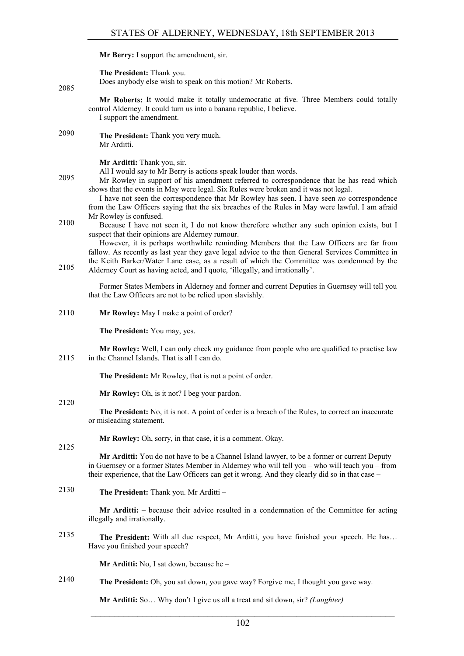# **Mr Berry:** I support the amendment, sir.

**The President:** Thank you.

Does anybody else wish to speak on this motion? Mr Roberts.

**Mr Roberts:** It would make it totally undemocratic at five. Three Members could totally control Alderney. It could turn us into a banana republic, I believe. I support the amendment.

**The President:** Thank you very much. 2090 Mr Arditti.

**Mr Arditti:** Thank you, sir.

All I would say to Mr Berry is actions speak louder than words.

Mr Rowley in support of his amendment referred to correspondence that he has read which shows that the events in May were legal. Six Rules were broken and it was not legal.

I have not seen the correspondence that Mr Rowley has seen. I have seen *no* correspondence from the Law Officers saying that the six breaches of the Rules in May were lawful. I am afraid Mr Rowley is confused.

Because I have not seen it, I do not know therefore whether any such opinion exists, but I 2100 suspect that their opinions are Alderney rumour.

However, it is perhaps worthwhile reminding Members that the Law Officers are far from fallow. As recently as last year they gave legal advice to the then General Services Committee in the Keith Barker/Water Lane case, as a result of which the Committee was condemned by the 2105 Alderney Court as having acted, and I quote, 'illegally, and irrationally'.

Former States Members in Alderney and former and current Deputies in Guernsey will tell you that the Law Officers are not to be relied upon slavishly.

2110 **Mr Rowley:** May I make a point of order?

**The President:** You may, yes.

**Mr Rowley:** Well, I can only check my guidance from people who are qualified to practise law 2115 in the Channel Islands. That is all I can do.

**The President:** Mr Rowley, that is not a point of order.

**Mr Rowley:** Oh, is it not? I beg your pardon.

#### 2120

2085

**The President:** No, it is not. A point of order is a breach of the Rules, to correct an inaccurate or misleading statement.

**Mr Rowley:** Oh, sorry, in that case, it is a comment. Okay.

2125

**Mr Arditti:** You do not have to be a Channel Island lawyer, to be a former or current Deputy in Guernsey or a former States Member in Alderney who will tell you – who will teach you – from their experience, that the Law Officers can get it wrong. And they clearly did so in that case –

**The President:** Thank you. Mr Arditti – 2130

> **Mr Arditti:** – because their advice resulted in a condemnation of the Committee for acting illegally and irrationally.

2135 **The President:** With all due respect, Mr Arditti, you have finished your speech. He has… Have you finished your speech?

**Mr Arditti:** No, I sat down, because he –

**The President:** Oh, you sat down, you gave way? Forgive me, I thought you gave way. 2140

**Mr Arditti:** So… Why don't I give us all a treat and sit down, sir? *(Laughter)*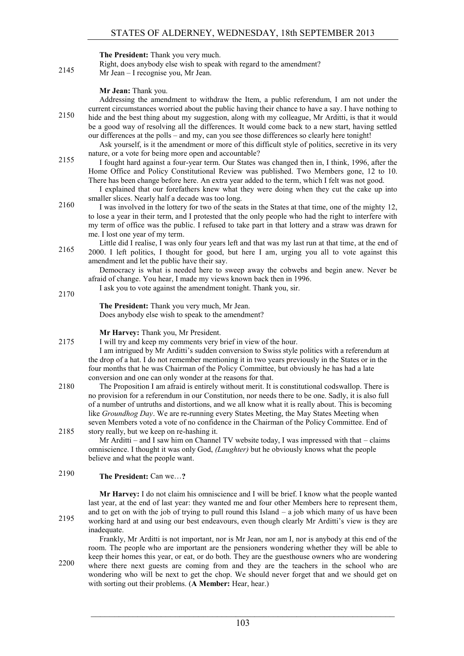# **The President:** Thank you very much.

- Right, does anybody else wish to speak with regard to the amendment?
- 2145 Mr Jean I recognise you, Mr Jean.

# **Mr Jean:** Thank you.

Addressing the amendment to withdraw the Item, a public referendum, I am not under the current circumstances worried about the public having their chance to have a say. I have nothing to hide and the best thing about my suggestion, along with my colleague, Mr Arditti, is that it would be a good way of resolving all the differences. It would come back to a new start, having settled our differences at the polls – and my, can you see those differences so clearly here tonight!

- Ask yourself, is it the amendment or more of this difficult style of politics, secretive in its very nature, or a vote for being more open and accountable?
- I fought hard against a four-year term. Our States was changed then in, I think, 1996, after the 2155 Home Office and Policy Constitutional Review was published. Two Members gone, 12 to 10. There has been change before here. An extra year added to the term, which I felt was not good.

I explained that our forefathers knew what they were doing when they cut the cake up into smaller slices. Nearly half a decade was too long.

- 2160 I was involved in the lottery for two of the seats in the States at that time, one of the mighty 12, to lose a year in their term, and I protested that the only people who had the right to interfere with my term of office was the public. I refused to take part in that lottery and a straw was drawn for me. I lost one year of my term.
- Little did I realise, I was only four years left and that was my last run at that time, at the end of 2165 2000. I left politics, I thought for good, but here I am, urging you all to vote against this amendment and let the public have their say.
	- Democracy is what is needed here to sweep away the cobwebs and begin anew. Never be afraid of change. You hear, I made my views known back then in 1996.
		- I ask you to vote against the amendment tonight. Thank you, sir.

**The President:** Thank you very much, Mr Jean. Does anybody else wish to speak to the amendment?

## **Mr Harvey:** Thank you, Mr President.

2175 I will try and keep my comments very brief in view of the hour.

I am intrigued by Mr Arditti's sudden conversion to Swiss style politics with a referendum at the drop of a hat. I do not remember mentioning it in two years previously in the States or in the four months that he was Chairman of the Policy Committee, but obviously he has had a late conversion and one can only wonder at the reasons for that.

- 2180 The Proposition I am afraid is entirely without merit. It is constitutional codswallop. There is no provision for a referendum in our Constitution, nor needs there to be one. Sadly, it is also full of a number of untruths and distortions, and we all know what it is really about. This is becoming like *Groundhog Day*. We are re-running every States Meeting, the May States Meeting when seven Members voted a vote of no confidence in the Chairman of the Policy Committee. End of 2185 story really, but we keep on re-hashing it.
	- Mr Arditti and I saw him on Channel TV website today, I was impressed with that claims omniscience. I thought it was only God, *(Laughter)* but he obviously knows what the people believe and what the people want.

#### **The President:** Can we…**?** 2190

**Mr Harvey:** I do not claim his omniscience and I will be brief. I know what the people wanted last year, at the end of last year: they wanted me and four other Members here to represent them, and to get on with the job of trying to pull round this Island  $-$  a job which many of us have been working hard at and using our best endeavours, even though clearly Mr Arditti's view is they are 2195 inadequate.

Frankly, Mr Arditti is not important, nor is Mr Jean, nor am I, nor is anybody at this end of the room. The people who are important are the pensioners wondering whether they will be able to keep their homes this year, or eat, or do both. They are the guesthouse owners who are wondering 2200 where there next guests are coming from and they are the teachers in the school who are wondering who will be next to get the chop. We should never forget that and we should get on with sorting out their problems. (**A Member:** Hear, hear.)

2170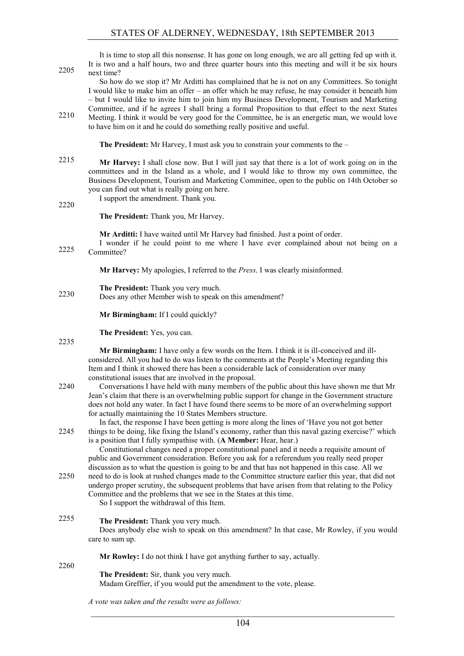| 2205         | It is time to stop all this nonsense. It has gone on long enough, we are all getting fed up with it.<br>It is two and a half hours, two and three quarter hours into this meeting and will it be six hours<br>next time?                                                                                                                                                                                                                                                                                                                                                                                                                                 |
|--------------|----------------------------------------------------------------------------------------------------------------------------------------------------------------------------------------------------------------------------------------------------------------------------------------------------------------------------------------------------------------------------------------------------------------------------------------------------------------------------------------------------------------------------------------------------------------------------------------------------------------------------------------------------------|
| 2210         | So how do we stop it? Mr Arditti has complained that he is not on any Committees. So tonight<br>I would like to make him an offer – an offer which he may refuse, he may consider it beneath him<br>- but I would like to invite him to join him my Business Development, Tourism and Marketing<br>Committee, and if he agrees I shall bring a formal Proposition to that effect to the next States<br>Meeting. I think it would be very good for the Committee, he is an energetic man, we would love                                                                                                                                                   |
|              | to have him on it and he could do something really positive and useful.                                                                                                                                                                                                                                                                                                                                                                                                                                                                                                                                                                                  |
|              | <b>The President:</b> Mr Harvey, I must ask you to constrain your comments to the $-$                                                                                                                                                                                                                                                                                                                                                                                                                                                                                                                                                                    |
| 2215<br>2220 | Mr Harvey: I shall close now. But I will just say that there is a lot of work going on in the<br>committees and in the Island as a whole, and I would like to throw my own committee, the<br>Business Development, Tourism and Marketing Committee, open to the public on 14th October so<br>you can find out what is really going on here.<br>I support the amendment. Thank you.                                                                                                                                                                                                                                                                       |
|              | The President: Thank you, Mr Harvey.                                                                                                                                                                                                                                                                                                                                                                                                                                                                                                                                                                                                                     |
| 2225         | Mr Arditti: I have waited until Mr Harvey had finished. Just a point of order.<br>I wonder if he could point to me where I have ever complained about not being on a<br>Committee?                                                                                                                                                                                                                                                                                                                                                                                                                                                                       |
|              | Mr Harvey: My apologies, I referred to the <i>Press</i> . I was clearly misinformed.                                                                                                                                                                                                                                                                                                                                                                                                                                                                                                                                                                     |
| 2230         | The President: Thank you very much.<br>Does any other Member wish to speak on this amendment?                                                                                                                                                                                                                                                                                                                                                                                                                                                                                                                                                            |
|              | Mr Birmingham: If I could quickly?                                                                                                                                                                                                                                                                                                                                                                                                                                                                                                                                                                                                                       |
|              |                                                                                                                                                                                                                                                                                                                                                                                                                                                                                                                                                                                                                                                          |
| 2235         | The President: Yes, you can.                                                                                                                                                                                                                                                                                                                                                                                                                                                                                                                                                                                                                             |
| 2240         | Mr Birmingham: I have only a few words on the Item. I think it is ill-conceived and ill-<br>considered. All you had to do was listen to the comments at the People's Meeting regarding this<br>Item and I think it showed there has been a considerable lack of consideration over many<br>constitutional issues that are involved in the proposal.<br>Conversations I have held with many members of the public about this have shown me that Mr<br>Jean's claim that there is an overwhelming public support for change in the Government structure<br>does not hold any water. In fact I have found there seems to be more of an overwhelming support |
| 2245         | for actually maintaining the 10 States Members structure.<br>In fact, the response I have been getting is more along the lines of 'Have you not got better<br>things to be doing, like fixing the Island's economy, rather than this naval gazing exercise?' which<br>is a position that I fully sympathise with. (A Member: Hear, hear.)                                                                                                                                                                                                                                                                                                                |
| 2250         | Constitutional changes need a proper constitutional panel and it needs a requisite amount of<br>public and Government consideration. Before you ask for a referendum you really need proper<br>discussion as to what the question is going to be and that has not happened in this case. All we<br>need to do is look at rushed changes made to the Committee structure earlier this year, that did not<br>undergo proper scrutiny, the subsequent problems that have arisen from that relating to the Policy<br>Committee and the problems that we see in the States at this time.<br>So I support the withdrawal of this Item.                         |
| 2255         | The President: Thank you very much.<br>Does anybody else wish to speak on this amendment? In that case, Mr Rowley, if you would<br>care to sum up.                                                                                                                                                                                                                                                                                                                                                                                                                                                                                                       |
|              | Mr Rowley: I do not think I have got anything further to say, actually.                                                                                                                                                                                                                                                                                                                                                                                                                                                                                                                                                                                  |
| 2260         | The President: Sir, thank you very much.<br>Madam Greffier, if you would put the amendment to the vote, please.                                                                                                                                                                                                                                                                                                                                                                                                                                                                                                                                          |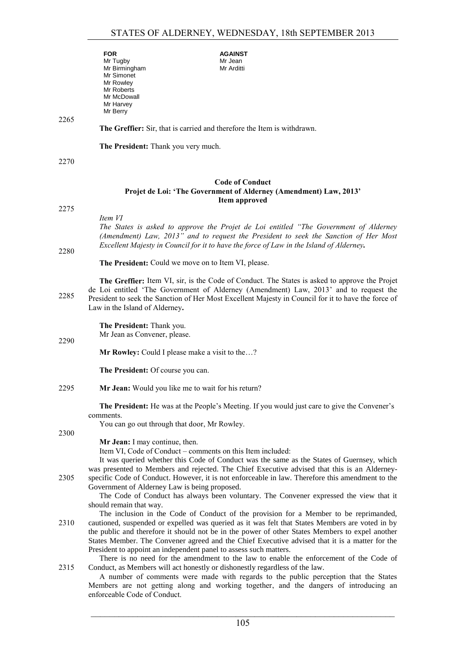|      | <b>FOR</b><br>Mr Tugby<br>Mr Birmingham                           | <b>AGAINST</b><br>Mr Jean<br>Mr Arditti                                                                                                                                                                                                                                                                                                                                                       |
|------|-------------------------------------------------------------------|-----------------------------------------------------------------------------------------------------------------------------------------------------------------------------------------------------------------------------------------------------------------------------------------------------------------------------------------------------------------------------------------------|
|      | Mr Simonet<br>Mr Rowley<br>Mr Roberts                             |                                                                                                                                                                                                                                                                                                                                                                                               |
|      | Mr McDowall<br>Mr Harvey<br>Mr Berry                              |                                                                                                                                                                                                                                                                                                                                                                                               |
| 2265 |                                                                   |                                                                                                                                                                                                                                                                                                                                                                                               |
|      |                                                                   | The Greffier: Sir, that is carried and therefore the Item is withdrawn.                                                                                                                                                                                                                                                                                                                       |
|      | The President: Thank you very much.                               |                                                                                                                                                                                                                                                                                                                                                                                               |
| 2270 |                                                                   |                                                                                                                                                                                                                                                                                                                                                                                               |
|      |                                                                   | <b>Code of Conduct</b><br>Projet de Loi: 'The Government of Alderney (Amendment) Law, 2013'<br>Item approved                                                                                                                                                                                                                                                                                  |
| 2275 |                                                                   |                                                                                                                                                                                                                                                                                                                                                                                               |
| 2280 | Item VI                                                           | The States is asked to approve the Projet de Loi entitled "The Government of Alderney"<br>(Amendment) Law, 2013" and to request the President to seek the Sanction of Her Most<br>Excellent Majesty in Council for it to have the force of Law in the Island of Alderney.                                                                                                                     |
|      | The President: Could we move on to Item VI, please.               |                                                                                                                                                                                                                                                                                                                                                                                               |
| 2285 | Law in the Island of Alderney.                                    | The Greffier: Item VI, sir, is the Code of Conduct. The States is asked to approve the Projet<br>de Loi entitled 'The Government of Alderney (Amendment) Law, 2013' and to request the<br>President to seek the Sanction of Her Most Excellent Majesty in Council for it to have the force of                                                                                                 |
|      | The President: Thank you.                                         |                                                                                                                                                                                                                                                                                                                                                                                               |
| 2290 | Mr Jean as Convener, please.                                      |                                                                                                                                                                                                                                                                                                                                                                                               |
|      | Mr Rowley: Could I please make a visit to the?                    |                                                                                                                                                                                                                                                                                                                                                                                               |
|      | The President: Of course you can.                                 |                                                                                                                                                                                                                                                                                                                                                                                               |
| 2295 | Mr Jean: Would you like me to wait for his return?                |                                                                                                                                                                                                                                                                                                                                                                                               |
|      | comments.                                                         | The President: He was at the People's Meeting. If you would just care to give the Convener's                                                                                                                                                                                                                                                                                                  |
| 2300 | You can go out through that door, Mr Rowley.                      |                                                                                                                                                                                                                                                                                                                                                                                               |
|      | Mr Jean: I may continue, then.                                    | Item VI, Code of Conduct – comments on this Item included:<br>It was queried whether this Code of Conduct was the same as the States of Guernsey, which<br>was presented to Members and rejected. The Chief Executive advised that this is an Alderney-                                                                                                                                       |
| 2305 | Government of Alderney Law is being proposed.                     | specific Code of Conduct. However, it is not enforceable in law. Therefore this amendment to the                                                                                                                                                                                                                                                                                              |
|      | should remain that way.                                           | The Code of Conduct has always been voluntary. The Convener expressed the view that it                                                                                                                                                                                                                                                                                                        |
| 2310 |                                                                   | The inclusion in the Code of Conduct of the provision for a Member to be reprimanded,<br>cautioned, suspended or expelled was queried as it was felt that States Members are voted in by<br>the public and therefore it should not be in the power of other States Members to expel another<br>States Member. The Convener agreed and the Chief Executive advised that it is a matter for the |
|      | President to appoint an independent panel to assess such matters. | There is no need for the amendment to the law to enable the enforcement of the Code of                                                                                                                                                                                                                                                                                                        |
| 2315 |                                                                   | Conduct, as Members will act honestly or dishonestly regardless of the law.<br>A number of comments were made with regards to the public perception that the States                                                                                                                                                                                                                           |

A number of comments were made with regards to the public perception that the States Members are not getting along and working together, and the dangers of introducing an enforceable Code of Conduct.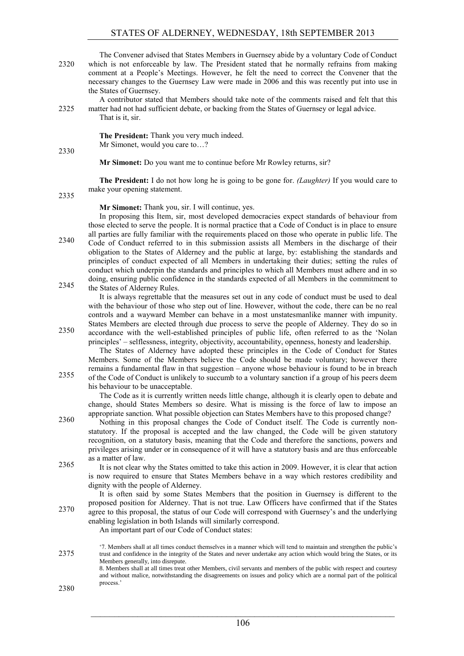The Convener advised that States Members in Guernsey abide by a voluntary Code of Conduct 2320 which is not enforceable by law. The President stated that he normally refrains from making comment at a People's Meetings. However, he felt the need to correct the Convener that the necessary changes to the Guernsey Law were made in 2006 and this was recently put into use in the States of Guernsey.

A contributor stated that Members should take note of the comments raised and felt that this 2325 matter had not had sufficient debate, or backing from the States of Guernsey or legal advice. That is it, sir.

> **The President:** Thank you very much indeed. Mr Simonet, would you care to…?

**Mr Simonet:** Do you want me to continue before Mr Rowley returns, sir?

**The President:** I do not how long he is going to be gone for. *(Laughter)* If you would care to make your opening statement.

2335

2330

**Mr Simonet:** Thank you, sir. I will continue, yes.

In proposing this Item, sir, most developed democracies expect standards of behaviour from those elected to serve the people. It is normal practice that a Code of Conduct is in place to ensure all parties are fully familiar with the requirements placed on those who operate in public life. The Code of Conduct referred to in this submission assists all Members in the discharge of their 2340 obligation to the States of Alderney and the public at large, by: establishing the standards and principles of conduct expected of all Members in undertaking their duties; setting the rules of conduct which underpin the standards and principles to which all Members must adhere and in so doing, ensuring public confidence in the standards expected of all Members in the commitment to the States of Alderney Rules. 2345

It is always regrettable that the measures set out in any code of conduct must be used to deal with the behaviour of those who step out of line. However, without the code, there can be no real controls and a wayward Member can behave in a most unstatesmanlike manner with impunity. States Members are elected through due process to serve the people of Alderney. They do so in

accordance with the well-established principles of public life, often referred to as the 'Nolan 2350 principles' – selflessness, integrity, objectivity, accountability, openness, honesty and leadership.

The States of Alderney have adopted these principles in the Code of Conduct for States Members. Some of the Members believe the Code should be made voluntary; however there remains a fundamental flaw in that suggestion – anyone whose behaviour is found to be in breach of the Code of Conduct is unlikely to succumb to a voluntary sanction if a group of his peers deem his behaviour to be unacceptable.

The Code as it is currently written needs little change, although it is clearly open to debate and change, should States Members so desire. What is missing is the force of law to impose an appropriate sanction. What possible objection can States Members have to this proposed change?

Nothing in this proposal changes the Code of Conduct itself. The Code is currently non-2360 statutory. If the proposal is accepted and the law changed, the Code will be given statutory recognition, on a statutory basis, meaning that the Code and therefore the sanctions, powers and privileges arising under or in consequence of it will have a statutory basis and are thus enforceable as a matter of law.

2365 It is not clear why the States omitted to take this action in 2009. However, it is clear that action is now required to ensure that States Members behave in a way which restores credibility and dignity with the people of Alderney.

It is often said by some States Members that the position in Guernsey is different to the proposed position for Alderney. That is not true. Law Officers have confirmed that if the States agree to this proposal, the status of our Code will correspond with Guernsey's and the underlying enabling legislation in both Islands will similarly correspond.

An important part of our Code of Conduct states:

'7. Members shall at all times conduct themselves in a manner which will tend to maintain and strengthen the public's 2375 trust and confidence in the integrity of the States and never undertake any action which would bring the States, or its Members generally, into disrepute. 8. Members shall at all times treat other Members, civil servants and members of the public with respect and courtesy and without malice, notwithstanding the disagreements on issues and policy which are a normal part of the political process.'

2380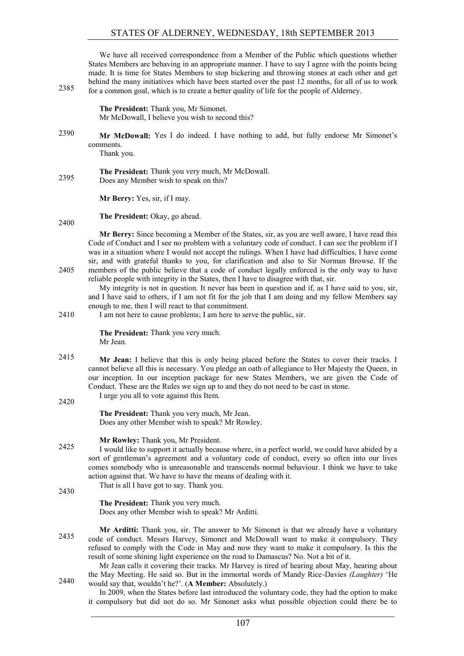# STATES OF ALDERNEY, WEDNESDAY, 18th SEPTEMBER 2013

We have all received correspondence from a Member of the Public which questions whether States Members are behaving in an appropriate manner. I have to say I agree with the points being made. It is time for States Members to stop bickering and throwing stones at each other and get behind the many initiatives which have been started over the past 12 months, for all of us to work for a common goal, which is to create a better quality of life for the people of Alderney.

> **The President:** Thank you, Mr Simonet. Mr McDowall, I believe you wish to second this?

**Mr McDowall:** Yes I do indeed. I have nothing to add, but fully endorse Mr Simonet's 2390 comments.

Thank you.

**The President:** Thank you very much, Mr McDowall. 2395 Does any Member wish to speak on this?

**Mr Berry:** Yes, sir, if I may.

**The President:** Okay, go ahead. 2400

**Mr Berry:** Since becoming a Member of the States, sir, as you are well aware, I have read this Code of Conduct and I see no problem with a voluntary code of conduct. I can see the problem if I was in a situation where I would not accept the rulings. When I have had difficulties, I have come sir, and with grateful thanks to you, for clarification and also to Sir Norman Browse. If the 2405 members of the public believe that a code of conduct legally enforced is the only way to have reliable people with integrity in the States, then I have to disagree with that, sir.

My integrity is not in question. It never has been in question and if, as I have said to you, sir, and I have said to others, if I am not fit for the job that I am doing and my fellow Members say enough to me, then I will react to that commitment.

2410 I am not here to cause problems; I am here to serve the public, sir.

**The President:** Thank you very much. Mr Jean.

2415 **Mr Jean:** I believe that this is only being placed before the States to cover their tracks. I cannot believe all this is necessary. You pledge an oath of allegiance to Her Majesty the Queen, in our inception. In our inception package for new States Members, we are given the Code of Conduct. These are the Rules we sign up to and they do not need to be cast in stone.

I urge you all to vote against this Item.

2420

2430

**The President:** Thank you very much, Mr Jean. Does any other Member wish to speak? Mr Rowley.

## **Mr Rowley:** Thank you, Mr President.

I would like to support it actually because where, in a perfect world, we could have abided by a sort of gentleman's agreement and a voluntary code of conduct, every so often into our lives comes somebody who is unreasonable and transcends normal behaviour. I think we have to take action against that. We have to have the means of dealing with it.

That is all I have got to say. Thank you.

**The President:** Thank you very much. Does any other Member wish to speak? Mr Arditti.

**Mr Arditti:** Thank you, sir. The answer to Mr Simonet is that we already have a voluntary 2435 code of conduct. Messrs Harvey, Simonet and McDowall want to make it compulsory. They refused to comply with the Code in May and now they want to make it compulsory. Is this the result of some shining light experience on the road to Damascus? No. Not a bit of it.

Mr Jean calls it covering their tracks. Mr Harvey is tired of hearing about May, hearing about the May Meeting. He said so. But in the immortal words of Mandy Rice-Davies *(Laughter)* 'He would say that, wouldn't he?'. (**A Member:** Absolutely.) 2440

In 2009, when the States before last introduced the voluntary code, they had the option to make it compulsory but did not do so. Mr Simonet asks what possible objection could there be to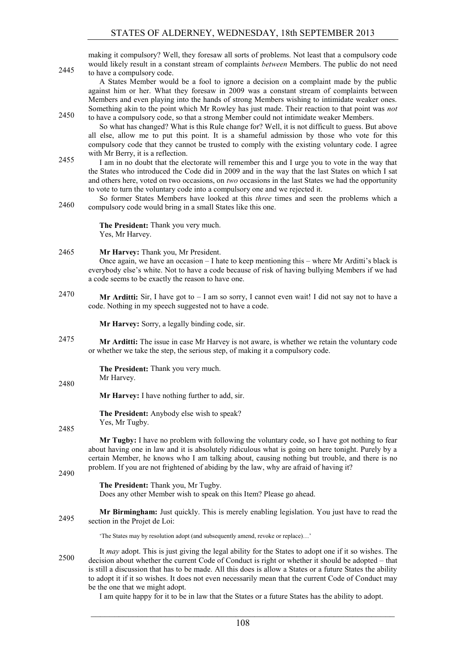making it compulsory? Well, they foresaw all sorts of problems. Not least that a compulsory code would likely result in a constant stream of complaints *between* Members. The public do not need 2445 to have a compulsory code.

A States Member would be a fool to ignore a decision on a complaint made by the public against him or her. What they foresaw in 2009 was a constant stream of complaints between Members and even playing into the hands of strong Members wishing to intimidate weaker ones. Something akin to the point which Mr Rowley has just made. Their reaction to that point was *not* to have a compulsory code, so that a strong Member could not intimidate weaker Members.

So what has changed? What is this Rule change for? Well, it is not difficult to guess. But above all else, allow me to put this point. It is a shameful admission by those who vote for this compulsory code that they cannot be trusted to comply with the existing voluntary code. I agree with Mr Berry, it is a reflection.

I am in no doubt that the electorate will remember this and I urge you to vote in the way that the States who introduced the Code did in 2009 and in the way that the last States on which I sat and others here, voted on two occasions, on *two* occasions in the last States we had the opportunity to vote to turn the voluntary code into a compulsory one and we rejected it.

So former States Members have looked at this *three* times and seen the problems which a compulsory code would bring in a small States like this one. 2460

> **The President:** Thank you very much. Yes, Mr Harvey.

## 2465 **Mr Harvey:** Thank you, Mr President.

Once again, we have an occasion  $-$  I hate to keep mentioning this  $-$  where Mr Arditti's black is everybody else's white. Not to have a code because of risk of having bullying Members if we had a code seems to be exactly the reason to have one.

**Mr Arditti:** Sir, I have got to – I am so sorry, I cannot even wait! I did not say not to have a 2470 code. Nothing in my speech suggested not to have a code.

**Mr Harvey:** Sorry, a legally binding code, sir.

2475 **Mr Arditti:** The issue in case Mr Harvey is not aware, is whether we retain the voluntary code or whether we take the step, the serious step, of making it a compulsory code.

> **The President:** Thank you very much. Mr Harvey.

2480

**Mr Harvey:** I have nothing further to add, sir.

**The President:** Anybody else wish to speak? Yes, Mr Tugby.

2485

**Mr Tugby:** I have no problem with following the voluntary code, so I have got nothing to fear about having one in law and it is absolutely ridiculous what is going on here tonight. Purely by a certain Member, he knows who I am talking about, causing nothing but trouble, and there is no problem. If you are not frightened of abiding by the law, why are afraid of having it?

2490

**The President:** Thank you, Mr Tugby. Does any other Member wish to speak on this Item? Please go ahead.

**Mr Birmingham:** Just quickly. This is merely enabling legislation. You just have to read the section in the Projet de Loi: 2495

'The States may by resolution adopt (and subsequently amend, revoke or replace)…'

It *may* adopt. This is just giving the legal ability for the States to adopt one if it so wishes. The decision about whether the current Code of Conduct is right or whether it should be adopted – that is still a discussion that has to be made. All this does is allow a States or a future States the ability to adopt it if it so wishes. It does not even necessarily mean that the current Code of Conduct may be the one that we might adopt.

I am quite happy for it to be in law that the States or a future States has the ability to adopt.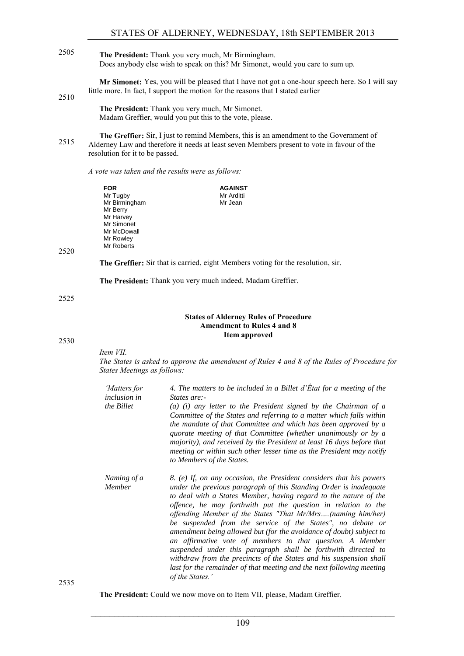**The President:** Thank you very much, Mr Birmingham. 2505 Does anybody else wish to speak on this? Mr Simonet, would you care to sum up.

**Mr Simonet:** Yes, you will be pleased that I have not got a one-hour speech here. So I will say little more. In fact, I support the motion for the reasons that I stated earlier

2510

**The President:** Thank you very much, Mr Simonet. Madam Greffier, would you put this to the vote, please.

**The Greffier:** Sir, I just to remind Members, this is an amendment to the Government of Alderney Law and therefore it needs at least seven Members present to vote in favour of the resolution for it to be passed.

#### *A vote was taken and the results were as follows:*

**FOR** Mr Tugby Mr Birmingham Mr Berry Mr Harvey Mr Simonet Mr McDowall Mr Rowley Mr Roberts **AGAINST** Mr Arditti Mr Jean

2520

**The Greffier:** Sir that is carried, eight Members voting for the resolution, sir.

**The President:** Thank you very much indeed, Madam Greffier.

2525

#### **States of Alderney Rules of Procedure Amendment to Rules 4 and 8 Item approved**

2530

*Item VII.*

*The States is asked to approve the amendment of Rules 4 and 8 of the Rules of Procedure for States Meetings as follows:*

| 'Matters for          | 4. The matters to be included in a Billet d'Etat for a meeting of the                                                                                                                                                                                                                                                                                                                                                                                                                                                                                                                                                                                                                                                                                                             |
|-----------------------|-----------------------------------------------------------------------------------------------------------------------------------------------------------------------------------------------------------------------------------------------------------------------------------------------------------------------------------------------------------------------------------------------------------------------------------------------------------------------------------------------------------------------------------------------------------------------------------------------------------------------------------------------------------------------------------------------------------------------------------------------------------------------------------|
| <i>inclusion in</i>   | States are:-                                                                                                                                                                                                                                                                                                                                                                                                                                                                                                                                                                                                                                                                                                                                                                      |
| the Billet            | $(a)$ (i) any letter to the President signed by the Chairman of $a$<br>Committee of the States and referring to a matter which falls within<br>the mandate of that Committee and which has been approved by a<br>quorate meeting of that Committee (whether unanimously or by a<br>majority), and received by the President at least 16 days before that<br>meeting or within such other lesser time as the President may notify<br>to Members of the States.                                                                                                                                                                                                                                                                                                                     |
| Naming of a<br>Member | 8. (e) If, on any occasion, the President considers that his powers<br>under the previous paragraph of this Standing Order is inadequate<br>to deal with a States Member, having regard to the nature of the<br>offence, he may forthwith put the question in relation to the<br>offending Member of the States "That Mr/Mrs(naming him/her)<br>be suspended from the service of the States", no debate or<br>amendment being allowed but (for the avoidance of doubt) subject to<br>an affirmative vote of members to that question. A Member<br>suspended under this paragraph shall be forthwith directed to<br>withdraw from the precincts of the States and his suspension shall<br>last for the remainder of that meeting and the next following meeting<br>of the States.' |

2535

**The President:** Could we now move on to Item VII, please, Madam Greffier.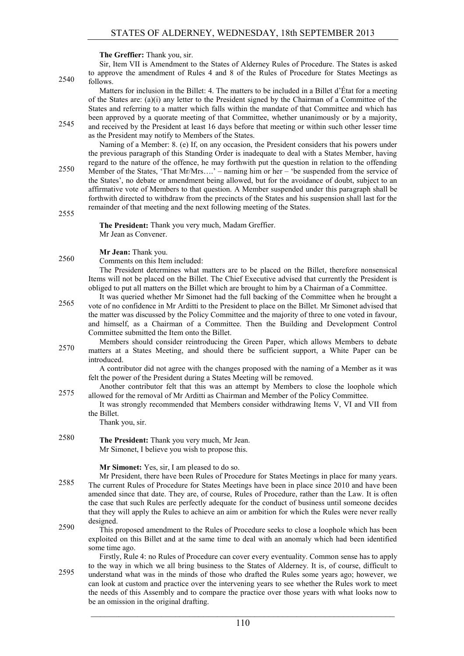**The Greffier:** Thank you, sir.

Sir, Item VII is Amendment to the States of Alderney Rules of Procedure. The States is asked to approve the amendment of Rules 4 and 8 of the Rules of Procedure for States Meetings as  $2540$  follows.

Matters for inclusion in the Billet: 4. The matters to be included in a Billet d'État for a meeting of the States are: (a)(i) any letter to the President signed by the Chairman of a Committee of the States and referring to a matter which falls within the mandate of that Committee and which has been approved by a quorate meeting of that Committee, whether unanimously or by a majority, 2545 and received by the President at least 16 days before that meeting or within such other lesser time

as the President may notify to Members of the States.

Naming of a Member: 8. (e) If, on any occasion, the President considers that his powers under the previous paragraph of this Standing Order is inadequate to deal with a States Member, having regard to the nature of the offence, he may forthwith put the question in relation to the offending Member of the States, 'That Mr/Mrs....' – naming him or her – 'be suspended from the service of

the States', no debate or amendment being allowed, but for the avoidance of doubt, subject to an affirmative vote of Members to that question. A Member suspended under this paragraph shall be forthwith directed to withdraw from the precincts of the States and his suspension shall last for the remainder of that meeting and the next following meeting of the States.

2555

2560

**The President:** Thank you very much, Madam Greffier. Mr Jean as Convener.

**Mr Jean:** Thank you.

Comments on this Item included:

The President determines what matters are to be placed on the Billet, therefore nonsensical Items will not be placed on the Billet. The Chief Executive advised that currently the President is obliged to put all matters on the Billet which are brought to him by a Chairman of a Committee.

- It was queried whether Mr Simonet had the full backing of the Committee when he brought a vote of no confidence in Mr Arditti to the President to place on the Billet. Mr Simonet advised that 2565 the matter was discussed by the Policy Committee and the majority of three to one voted in favour, and himself, as a Chairman of a Committee. Then the Building and Development Control Committee submitted the Item onto the Billet.
- Members should consider reintroducing the Green Paper, which allows Members to debate matters at a States Meeting, and should there be sufficient support, a White Paper can be introduced.

A contributor did not agree with the changes proposed with the naming of a Member as it was felt the power of the President during a States Meeting will be removed.

- Another contributor felt that this was an attempt by Members to close the loophole which allowed for the removal of Mr Arditti as Chairman and Member of the Policy Committee. 2575
	- It was strongly recommended that Members consider withdrawing Items V, VI and VII from the Billet.

Thank you, sir.

**The President:** Thank you very much, Mr Jean. 2580 Mr Simonet, I believe you wish to propose this.

**Mr Simonet:** Yes, sir, I am pleased to do so.

- Mr President, there have been Rules of Procedure for States Meetings in place for many years. 2585 The current Rules of Procedure for States Meetings have been in place since 2010 and have been amended since that date. They are, of course, Rules of Procedure, rather than the Law. It is often the case that such Rules are perfectly adequate for the conduct of business until someone decides that they will apply the Rules to achieve an aim or ambition for which the Rules were never really designed.
- This proposed amendment to the Rules of Procedure seeks to close a loophole which has been 2590 exploited on this Billet and at the same time to deal with an anomaly which had been identified some time ago.

Firstly, Rule 4: no Rules of Procedure can cover every eventuality. Common sense has to apply to the way in which we all bring business to the States of Alderney. It is, of course, difficult to understand what was in the minds of those who drafted the Rules some years ago; however, we 2595 can look at custom and practice over the intervening years to see whether the Rules work to meet the needs of this Assembly and to compare the practice over those years with what looks now to be an omission in the original drafting.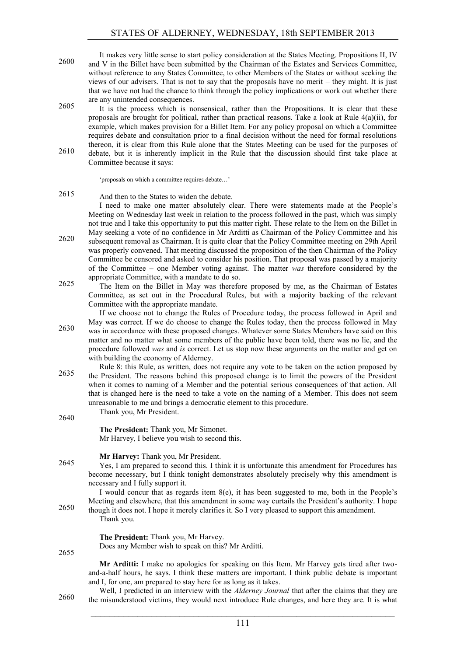- It makes very little sense to start policy consideration at the States Meeting. Propositions II, IV 2600 and V in the Billet have been submitted by the Chairman of the Estates and Services Committee, without reference to any States Committee, to other Members of the States or without seeking the views of our advisers. That is not to say that the proposals have no merit – they might. It is just that we have not had the chance to think through the policy implications or work out whether there are any unintended consequences.
- 2605 It is the process which is nonsensical, rather than the Propositions. It is clear that these proposals are brought for political, rather than practical reasons. Take a look at Rule 4(a)(ii), for example, which makes provision for a Billet Item. For any policy proposal on which a Committee requires debate and consultation prior to a final decision without the need for formal resolutions thereon, it is clear from this Rule alone that the States Meeting can be used for the purposes of
- debate, but it is inherently implicit in the Rule that the discussion should first take place at 2610 Committee because it says:

'proposals on which a committee requires debate…'

And then to the States to widen the debate. 2615

I need to make one matter absolutely clear. There were statements made at the People's Meeting on Wednesday last week in relation to the process followed in the past, which was simply not true and I take this opportunity to put this matter right. These relate to the Item on the Billet in May seeking a vote of no confidence in Mr Arditti as Chairman of the Policy Committee and his subsequent removal as Chairman. It is quite clear that the Policy Committee meeting on 29th April 2620 was properly convened. That meeting discussed the proposition of the then Chairman of the Policy

- Committee be censored and asked to consider his position. That proposal was passed by a majority of the Committee – one Member voting against. The matter *was* therefore considered by the appropriate Committee, with a mandate to do so.
- The Item on the Billet in May was therefore proposed by me, as the Chairman of Estates Committee, as set out in the Procedural Rules, but with a majority backing of the relevant Committee with the appropriate mandate.

If we choose not to change the Rules of Procedure today, the process followed in April and May was correct. If we do choose to change the Rules today, then the process followed in May was in accordance with these proposed changes. Whatever some States Members have said on this 2630 matter and no matter what some members of the public have been told, there was no lie, and the procedure followed *was* and *is* correct. Let us stop now these arguments on the matter and get on with building the economy of Alderney.

- Rule 8: this Rule, as written, does not require any vote to be taken on the action proposed by the President. The reasons behind this proposed change is to limit the powers of the President when it comes to naming of a Member and the potential serious consequences of that action. All that is changed here is the need to take a vote on the naming of a Member. This does not seem unreasonable to me and brings a democratic element to this procedure.
- Thank you, Mr President. 2640 **The President:** Thank you, Mr Simonet. Mr Harvey, I believe you wish to second this. **Mr Harvey:** Thank you, Mr President. Yes, I am prepared to second this. I think it is unfortunate this amendment for Procedures has 2645 become necessary, but I think tonight demonstrates absolutely precisely why this amendment is necessary and I fully support it. I would concur that as regards item 8(e), it has been suggested to me, both in the People's Meeting and elsewhere, that this amendment in some way curtails the President's authority. I hope though it does not. I hope it merely clarifies it. So I very pleased to support this amendment. Thank you. **The President:** Thank you, Mr Harvey. Does any Member wish to speak on this? Mr Arditti. 2655 **Mr Arditti:** I make no apologies for speaking on this Item. Mr Harvey gets tired after twoand-a-half hours, he says. I think these matters are important. I think public debate is important

and I, for one, am prepared to stay here for as long as it takes. Well, I predicted in an interview with the *Alderney Journal* that after the claims that they are the misunderstood victims, they would next introduce Rule changes, and here they are. It is what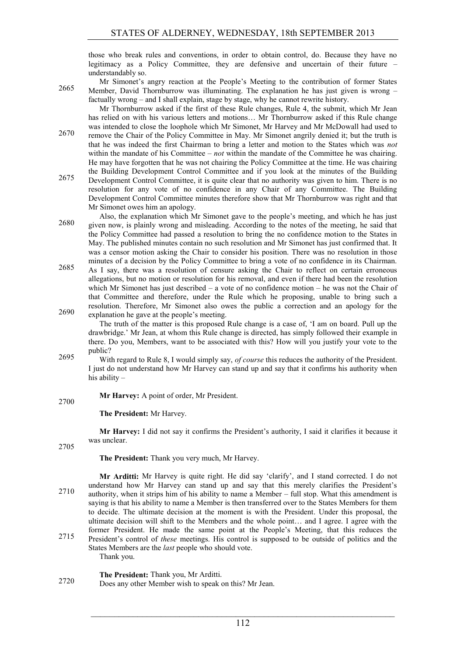those who break rules and conventions, in order to obtain control, do. Because they have no legitimacy as a Policy Committee, they are defensive and uncertain of their future – understandably so.

Mr Simonet's angry reaction at the People's Meeting to the contribution of former States Member, David Thornburrow was illuminating. The explanation he has just given is wrong – 2665 factually wrong – and I shall explain, stage by stage, why he cannot rewrite history.

Mr Thornburrow asked if the first of these Rule changes, Rule 4, the submit, which Mr Jean has relied on with his various letters and motions… Mr Thornburrow asked if this Rule change was intended to close the loophole which Mr Simonet, Mr Harvey and Mr McDowall had used to

- remove the Chair of the Policy Committee in May. Mr Simonet angrily denied it; but the truth is 2670 that he was indeed the first Chairman to bring a letter and motion to the States which was *not* within the mandate of his Committee – *not* within the mandate of the Committee he was chairing. He may have forgotten that he was not chairing the Policy Committee at the time. He was chairing the Building Development Control Committee and if you look at the minutes of the Building
- 2675 Development Control Committee, it is quite clear that no authority was given to him. There is no resolution for any vote of no confidence in any Chair of any Committee. The Building Development Control Committee minutes therefore show that Mr Thornburrow was right and that Mr Simonet owes him an apology.
- Also, the explanation which Mr Simonet gave to the people's meeting, and which he has just 2680 given now, is plainly wrong and misleading. According to the notes of the meeting, he said that the Policy Committee had passed a resolution to bring the no confidence motion to the States in May. The published minutes contain no such resolution and Mr Simonet has just confirmed that. It was a censor motion asking the Chair to consider his position. There was no resolution in those minutes of a decision by the Policy Committee to bring a vote of no confidence in its Chairman.
- As I say, there was a resolution of censure asking the Chair to reflect on certain erroneous 2685 allegations, but no motion or resolution for his removal, and even if there had been the resolution which Mr Simonet has just described – a vote of no confidence motion – he was not the Chair of that Committee and therefore, under the Rule which he proposing, unable to bring such a resolution. Therefore, Mr Simonet also owes the public a correction and an apology for the  $2690$  explanation he gave at the people's meeting.

The truth of the matter is this proposed Rule change is a case of, 'I am on board. Pull up the drawbridge.' Mr Jean, at whom this Rule change is directed, has simply followed their example in there. Do you, Members, want to be associated with this? How will you justify your vote to the public?

2695 With regard to Rule 8, I would simply say, *of course* this reduces the authority of the President. I just do not understand how Mr Harvey can stand up and say that it confirms his authority when his ability –

**Mr Harvey:** A point of order, Mr President. 2700

**The President:** Mr Harvey.

**Mr Harvey:** I did not say it confirms the President's authority, I said it clarifies it because it was unclear

Thank you.

2705

**The President:** Thank you very much, Mr Harvey.

- **Mr Arditti:** Mr Harvey is quite right. He did say 'clarify', and I stand corrected. I do not understand how Mr Harvey can stand up and say that this merely clarifies the President's authority, when it strips him of his ability to name a Member – full stop. What this amendment is saying is that his ability to name a Member is then transferred over to the States Members for them to decide. The ultimate decision at the moment is with the President. Under this proposal, the ultimate decision will shift to the Members and the whole point… and I agree. I agree with the former President. He made the same point at the People's Meeting, that this reduces the President's control of *these* meetings. His control is supposed to be outside of politics and the States Members are the *last* people who should vote.
- **The President:** Thank you, Mr Arditti. Does any other Member wish to speak on this? Mr Jean. 2720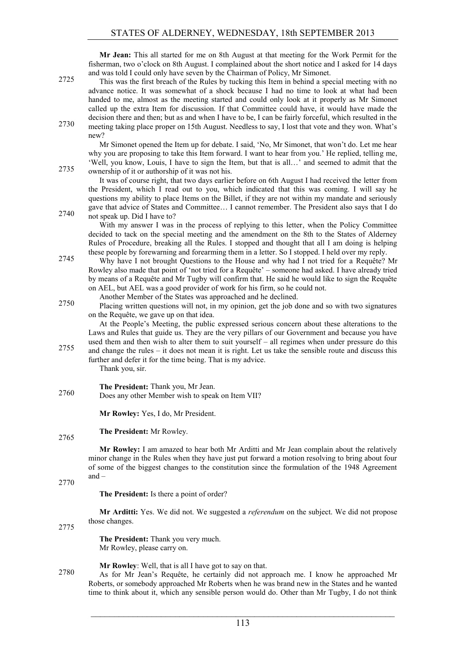**Mr Jean:** This all started for me on 8th August at that meeting for the Work Permit for the fisherman, two o'clock on 8th August. I complained about the short notice and I asked for 14 days and was told I could only have seven by the Chairman of Policy, Mr Simonet.

This was the first breach of the Rules by tucking this Item in behind a special meeting with no advance notice. It was somewhat of a shock because I had no time to look at what had been handed to me, almost as the meeting started and could only look at it properly as Mr Simonet called up the extra Item for discussion. If that Committee could have, it would have made the decision there and then; but as and when I have to be, I can be fairly forceful, which resulted in the 2730 meeting taking place proper on 15th August. Needless to say, I lost that vote and they won. What's new?

Mr Simonet opened the Item up for debate. I said, 'No, Mr Simonet, that won't do. Let me hear why you are proposing to take this Item forward. I want to hear from you.' He replied, telling me, 'Well, you know, Louis, I have to sign the Item, but that is all…' and seemed to admit that the 2735 ownership of it or authorship of it was not his.

It was of course right, that two days earlier before on 6th August I had received the letter from the President, which I read out to you, which indicated that this was coming. I will say he questions my ability to place Items on the Billet, if they are not within my mandate and seriously gave that advice of States and Committee… I cannot remember. The President also says that I do 2740 not speak up. Did I have to?

With my answer I was in the process of replying to this letter, when the Policy Committee decided to tack on the special meeting and the amendment on the 8th to the States of Alderney Rules of Procedure, breaking all the Rules. I stopped and thought that all I am doing is helping these people by forewarning and forearming them in a letter. So I stopped. I held over my reply.

2745 Why have I not brought Questions to the House and why had I not tried for a Requête? Mr Rowley also made that point of 'not tried for a Requête' – someone had asked. I have already tried by means of a Requête and Mr Tugby will confirm that. He said he would like to sign the Requête on AEL, but AEL was a good provider of work for his firm, so he could not.

Another Member of the States was approached and he declined.

Placing written questions will not, in my opinion, get the job done and so with two signatures 2750 on the Requête, we gave up on that idea.

At the People's Meeting, the public expressed serious concern about these alterations to the Laws and Rules that guide us. They are the very pillars of our Government and because you have used them and then wish to alter them to suit yourself – all regimes when under pressure do this and change the rules – it does not mean it is right. Let us take the sensible route and discuss this 2755 further and defer it for the time being. That is my advice.

Thank you, sir.

**The President:** Thank you, Mr Jean. Does any other Member wish to speak on Item VII? 2760

**Mr Rowley:** Yes, I do, Mr President.

#### **The President:** Mr Rowley. 2765

**Mr Rowley:** I am amazed to hear both Mr Arditti and Mr Jean complain about the relatively minor change in the Rules when they have just put forward a motion resolving to bring about four of some of the biggest changes to the constitution since the formulation of the 1948 Agreement and –

2770

**The President:** Is there a point of order?

**Mr Arditti:** Yes. We did not. We suggested a *referendum* on the subject. We did not propose those changes.

2775

**The President:** Thank you very much. Mr Rowley, please carry on.

**Mr Rowley**: Well, that is all I have got to say on that.

As for Mr Jean's Requête, he certainly did not approach me. I know he approached Mr Roberts, or somebody approached Mr Roberts when he was brand new in the States and he wanted time to think about it, which any sensible person would do. Other than Mr Tugby, I do not think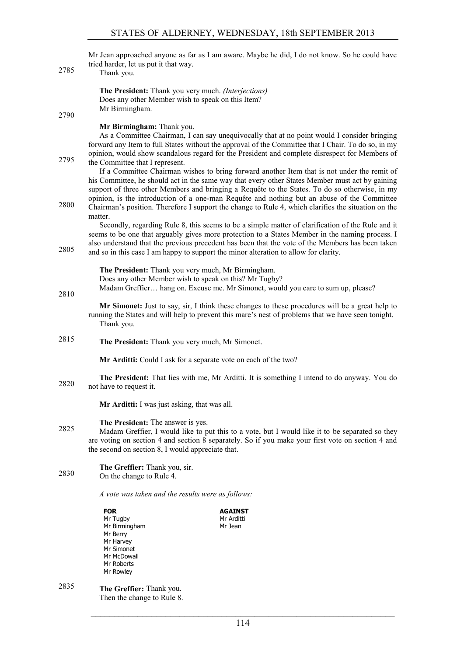Mr Jean approached anyone as far as I am aware. Maybe he did, I do not know. So he could have tried harder, let us put it that way.

2785 Thank you. **The President:** Thank you very much. *(Interjections)* Does any other Member wish to speak on this Item? Mr Birmingham. 2790 **Mr Birmingham:** Thank you. As a Committee Chairman, I can say unequivocally that at no point would I consider bringing forward any Item to full States without the approval of the Committee that I Chair. To do so, in my opinion, would show scandalous regard for the President and complete disrespect for Members of 2795 the Committee that I represent. If a Committee Chairman wishes to bring forward another Item that is not under the remit of his Committee, he should act in the same way that every other States Member must act by gaining support of three other Members and bringing a Requête to the States. To do so otherwise, in my opinion, is the introduction of a one-man Requête and nothing but an abuse of the Committee 2800 Chairman's position. Therefore I support the change to Rule 4, which clarifies the situation on the matter. Secondly, regarding Rule 8, this seems to be a simple matter of clarification of the Rule and it seems to be one that arguably gives more protection to a States Member in the naming process. I also understand that the previous precedent has been that the vote of the Members has been taken and so in this case I am happy to support the minor alteration to allow for clarity. 2805 **The President:** Thank you very much, Mr Birmingham. Does any other Member wish to speak on this? Mr Tugby? Madam Greffier… hang on. Excuse me. Mr Simonet, would you care to sum up, please? 2810 **Mr Simonet:** Just to say, sir, I think these changes to these procedures will be a great help to running the States and will help to prevent this mare's nest of problems that we have seen tonight. Thank you. **The President:** Thank you very much, Mr Simonet. 2815 **Mr Arditti:** Could I ask for a separate vote on each of the two? **The President:** That lies with me, Mr Arditti. It is something I intend to do anyway. You do 2820 not have to request it. **Mr Arditti:** I was just asking, that was all. **The President:** The answer is yes. Madam Greffier, I would like to put this to a vote, but I would like it to be separated so they are voting on section 4 and section 8 separately. So if you make your first vote on section 4 and the second on section 8, I would appreciate that. **The Greffier:** Thank you, sir. 2830 On the change to Rule 4. *A vote was taken and the results were as follows:* **FOR** Mr Tugby Mr Birmingham Mr Berry Mr Harvey **AGAINST** Mr Arditti Mr Jean

 $\mathcal{L}_\text{max}$  , and the contribution of the contribution of the contribution of the contribution of the contribution of the contribution of the contribution of the contribution of the contribution of the contribution of t

Mr Simonet Mr McDowall Mr Roberts Mr Rowley

**The Greffier:** Thank you. 2835

Then the change to Rule 8.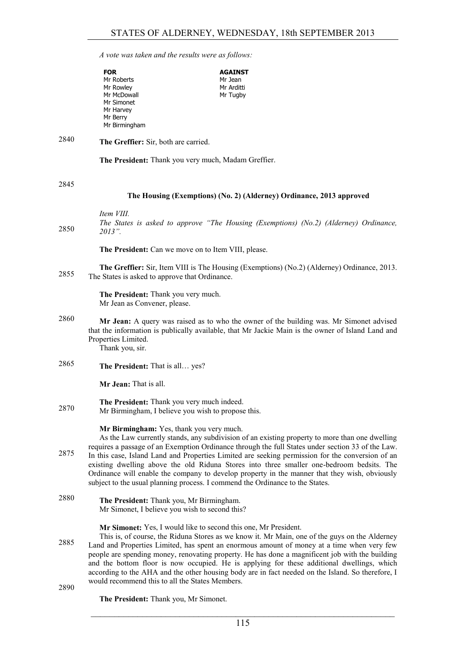*A vote was taken and the results were as follows:*

|      | <b>FOR</b>                                                                                 | <b>AGAINST</b>                                                                                                                                                                                                                                                                                                                                                                                                                                                                                                                                                       |
|------|--------------------------------------------------------------------------------------------|----------------------------------------------------------------------------------------------------------------------------------------------------------------------------------------------------------------------------------------------------------------------------------------------------------------------------------------------------------------------------------------------------------------------------------------------------------------------------------------------------------------------------------------------------------------------|
|      | Mr Roberts                                                                                 | Mr Jean                                                                                                                                                                                                                                                                                                                                                                                                                                                                                                                                                              |
|      | Mr Rowley<br>Mr McDowall                                                                   | Mr Arditti<br>Mr Tugby                                                                                                                                                                                                                                                                                                                                                                                                                                                                                                                                               |
|      | Mr Simonet                                                                                 |                                                                                                                                                                                                                                                                                                                                                                                                                                                                                                                                                                      |
|      | Mr Harvey                                                                                  |                                                                                                                                                                                                                                                                                                                                                                                                                                                                                                                                                                      |
|      | Mr Berry                                                                                   |                                                                                                                                                                                                                                                                                                                                                                                                                                                                                                                                                                      |
|      | Mr Birmingham                                                                              |                                                                                                                                                                                                                                                                                                                                                                                                                                                                                                                                                                      |
| 2840 | The Greffier: Sir, both are carried.                                                       |                                                                                                                                                                                                                                                                                                                                                                                                                                                                                                                                                                      |
|      |                                                                                            | The President: Thank you very much, Madam Greffier.                                                                                                                                                                                                                                                                                                                                                                                                                                                                                                                  |
| 2845 |                                                                                            |                                                                                                                                                                                                                                                                                                                                                                                                                                                                                                                                                                      |
|      |                                                                                            | The Housing (Exemptions) (No. 2) (Alderney) Ordinance, 2013 approved                                                                                                                                                                                                                                                                                                                                                                                                                                                                                                 |
|      | Item VIII.                                                                                 |                                                                                                                                                                                                                                                                                                                                                                                                                                                                                                                                                                      |
| 2850 | 2013".                                                                                     | The States is asked to approve "The Housing (Exemptions) (No.2) (Alderney) Ordinance,                                                                                                                                                                                                                                                                                                                                                                                                                                                                                |
|      |                                                                                            | The President: Can we move on to Item VIII, please.                                                                                                                                                                                                                                                                                                                                                                                                                                                                                                                  |
| 2855 | The States is asked to approve that Ordinance.                                             | <b>The Greffier:</b> Sir, Item VIII is The Housing (Exemptions) (No.2) (Alderney) Ordinance, 2013.                                                                                                                                                                                                                                                                                                                                                                                                                                                                   |
|      | The President: Thank you very much.<br>Mr Jean as Convener, please.                        |                                                                                                                                                                                                                                                                                                                                                                                                                                                                                                                                                                      |
| 2860 | Properties Limited.<br>Thank you, sir.                                                     | Mr Jean: A query was raised as to who the owner of the building was. Mr Simonet advised<br>that the information is publically available, that Mr Jackie Main is the owner of Island Land and                                                                                                                                                                                                                                                                                                                                                                         |
| 2865 | The President: That is all yes?                                                            |                                                                                                                                                                                                                                                                                                                                                                                                                                                                                                                                                                      |
|      | Mr Jean: That is all.                                                                      |                                                                                                                                                                                                                                                                                                                                                                                                                                                                                                                                                                      |
|      | The President: Thank you very much indeed.                                                 |                                                                                                                                                                                                                                                                                                                                                                                                                                                                                                                                                                      |
| 2870 |                                                                                            | Mr Birmingham, I believe you wish to propose this.                                                                                                                                                                                                                                                                                                                                                                                                                                                                                                                   |
|      | Mr Birmingham: Yes, thank you very much.                                                   | As the Law currently stands, any subdivision of an existing property to more than one dwelling<br>requires a passage of an Exemption Ordinance through the full States under section 33 of the Law.                                                                                                                                                                                                                                                                                                                                                                  |
| 2875 |                                                                                            | In this case, Island Land and Properties Limited are seeking permission for the conversion of an<br>existing dwelling above the old Riduna Stores into three smaller one-bedroom bedsits. The<br>Ordinance will enable the company to develop property in the manner that they wish, obviously<br>subject to the usual planning process. I commend the Ordinance to the States.                                                                                                                                                                                      |
| 2880 | The President: Thank you, Mr Birmingham.<br>Mr Simonet, I believe you wish to second this? |                                                                                                                                                                                                                                                                                                                                                                                                                                                                                                                                                                      |
| 2885 |                                                                                            | Mr Simonet: Yes, I would like to second this one, Mr President.<br>This is, of course, the Riduna Stores as we know it. Mr Main, one of the guys on the Alderney<br>Land and Properties Limited, has spent an enormous amount of money at a time when very few<br>people are spending money, renovating property. He has done a magnificent job with the building<br>and the bottom floor is now occupied. He is applying for these additional dwellings, which<br>according to the AHA and the other housing body are in fact needed on the Island. So therefore, I |
| 2000 | would recommend this to all the States Members.                                            |                                                                                                                                                                                                                                                                                                                                                                                                                                                                                                                                                                      |

2890

**The President:** Thank you, Mr Simonet.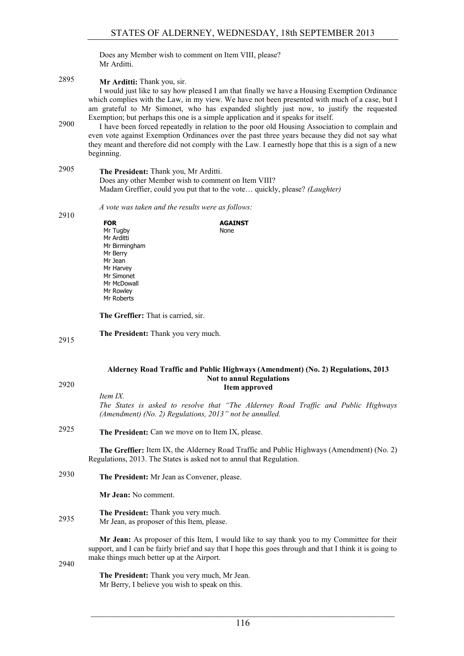Does any Member wish to comment on Item VIII, please? Mr Arditti.

**Mr Arditti:** Thank you, sir. 2895 I would just like to say how pleased I am that finally we have a Housing Exemption Ordinance which complies with the Law, in my view. We have not been presented with much of a case, but I am grateful to Mr Simonet, who has expanded slightly just now, to justify the requested Exemption; but perhaps this one is a simple application and it speaks for itself. I have been forced repeatedly in relation to the poor old Housing Association to complain and 2900

even vote against Exemption Ordinances over the past three years because they did not say what they meant and therefore did not comply with the Law. I earnestly hope that this is a sign of a new beginning.

# **The President:** Thank you, Mr Arditti. 2905 Does any other Member wish to comment on Item VIII? Madam Greffier, could you put that to the vote… quickly, please? *(Laughter)*

*A vote was taken and the results were as follows:* 2910

| <b>FOR</b>    | <b>AGAINST</b> |
|---------------|----------------|
| Mr Tugby      | None           |
| Mr Arditti    |                |
| Mr Birmingham |                |
| Mr Berry      |                |
| Mr Jean       |                |
| Mr Harvey     |                |
| Mr Simonet    |                |
| Mr McDowall   |                |
| Mr Rowley     |                |
| Mr Roberts    |                |

**The Greffier:** That is carried, sir.

**The President:** Thank you very much. 2915

## **Alderney Road Traffic and Public Highways (Amendment) (No. 2) Regulations, 2013 Not to annul Regulations Item approved** 2920

*Item IX. The States is asked to resolve that "The Alderney Road Traffic and Public Highways (Amendment) (No. 2) Regulations, 2013" not be annulled.*

**The President:** Can we move on to Item IX, please. 2925

**The Greffier:** Item IX, the Alderney Road Traffic and Public Highways (Amendment) (No. 2) Regulations, 2013. The States is asked not to annul that Regulation.

**The President:** Mr Jean as Convener, please. 2930

**Mr Jean:** No comment.

#### **The President:** Thank you very much. 2935 Mr Jean, as proposer of this Item, please.

**Mr Jean:** As proposer of this Item, I would like to say thank you to my Committee for their support, and I can be fairly brief and say that I hope this goes through and that I think it is going to make things much better up at the Airport.

2940

**The President:** Thank you very much, Mr Jean. Mr Berry, I believe you wish to speak on this.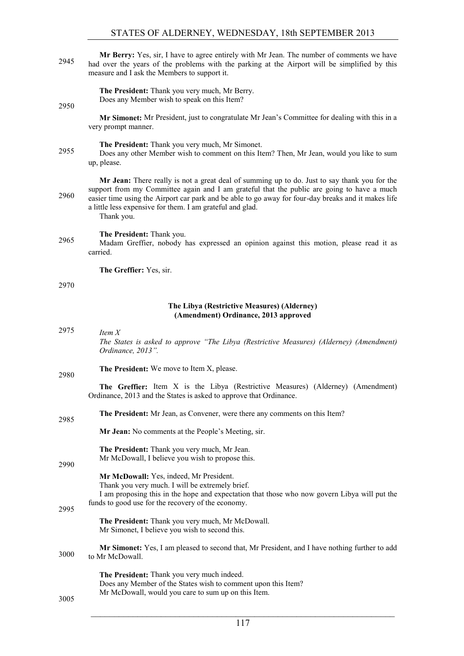**Mr Berry:** Yes, sir, I have to agree entirely with Mr Jean. The number of comments we have had over the years of the problems with the parking at the Airport will be simplified by this measure and I ask the Members to support it.

> **The President:** Thank you very much, Mr Berry. Does any Member wish to speak on this Item?

2950

**Mr Simonet:** Mr President, just to congratulate Mr Jean's Committee for dealing with this in a very prompt manner.

**The President:** Thank you very much, Mr Simonet.

2955 Does any other Member wish to comment on this Item? Then, Mr Jean, would you like to sum up, please.

**Mr Jean:** There really is not a great deal of summing up to do. Just to say thank you for the support from my Committee again and I am grateful that the public are going to have a much easier time using the Airport car park and be able to go away for four-day breaks and it makes life a little less expensive for them. I am grateful and glad. Thank you.

# **The President:** Thank you.

2965 Madam Greffier, nobody has expressed an opinion against this motion, please read it as carried.

**The Greffier:** Yes, sir.

## 2970

# **The Libya (Restrictive Measures) (Alderney) (Amendment) Ordinance, 2013 approved**

| 2975 | Item $X$                                                                                                     |
|------|--------------------------------------------------------------------------------------------------------------|
|      | The States is asked to approve "The Libya (Restrictive Measures) (Alderney) (Amendment)<br>Ordinance, 2013". |

**The President:** We move to Item X, please. 2980

> **The Greffier:** Item X is the Libya (Restrictive Measures) (Alderney) (Amendment) Ordinance, 2013 and the States is asked to approve that Ordinance.

**The President:** Mr Jean, as Convener, were there any comments on this Item? 2985

**Mr Jean:** No comments at the People's Meeting, sir.

**The President:** Thank you very much, Mr Jean. Mr McDowall, I believe you wish to propose this.

# **Mr McDowall:** Yes, indeed, Mr President.

Thank you very much. I will be extremely brief.

I am proposing this in the hope and expectation that those who now govern Libya will put the funds to good use for the recovery of the economy.

**The President:** Thank you very much, Mr McDowall. Mr Simonet, I believe you wish to second this.

**Mr Simonet:** Yes, I am pleased to second that, Mr President, and I have nothing further to add 3000 to Mr McDowall.

> **The President:** Thank you very much indeed. Does any Member of the States wish to comment upon this Item? Mr McDowall, would you care to sum up on this Item.

3005

2990

2995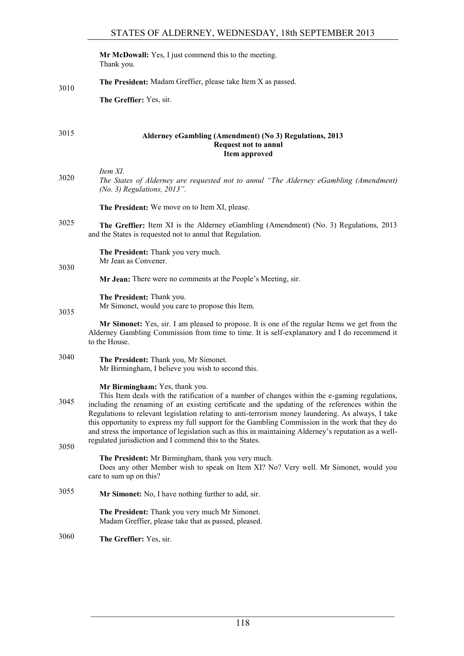**Mr McDowall:** Yes, I just commend this to the meeting. Thank you.

**The President:** Madam Greffier, please take Item X as passed. 3010

**The Greffier:** Yes, sir.

# **Alderney eGambling (Amendment) (No 3) Regulations, 2013** 3015 **Request not to annul Item approved**

*Item XI. The States of Alderney are requested not to annul "The Alderney eGambling (Amendment)* 3020 *(No. 3) Regulations, 2013".*

**The President:** We move on to Item XI, please.

**The Greffier:** Item XI is the Alderney eGambling (Amendment) (No. 3) Regulations, 2013 3025 and the States is requested not to annul that Regulation.

> **The President:** Thank you very much. Mr Jean as Convener.

3030

**Mr Jean:** There were no comments at the People's Meeting, sir.

**The President:** Thank you.

Mr Simonet, would you care to propose this Item.

3035

**Mr Simonet:** Yes, sir. I am pleased to propose. It is one of the regular Items we get from the Alderney Gambling Commission from time to time. It is self-explanatory and I do recommend it to the House.

**The President:** Thank you, Mr Simonet. 3040 Mr Birmingham, I believe you wish to second this.

**Mr Birmingham:** Yes, thank you.

This Item deals with the ratification of a number of changes within the e-gaming regulations, including the renaming of an existing certificate and the updating of the references within the 3045 Regulations to relevant legislation relating to anti-terrorism money laundering. As always, I take this opportunity to express my full support for the Gambling Commission in the work that they do and stress the importance of legislation such as this in maintaining Alderney's reputation as a wellregulated jurisdiction and I commend this to the States.

3050

**The President:** Mr Birmingham, thank you very much.

Does any other Member wish to speak on Item XI? No? Very well. Mr Simonet, would you care to sum up on this?

**Mr Simonet:** No, I have nothing further to add, sir. 3055

**The President:** Thank you very much Mr Simonet. Madam Greffier, please take that as passed, pleased.

**The Greffier:** Yes, sir. 3060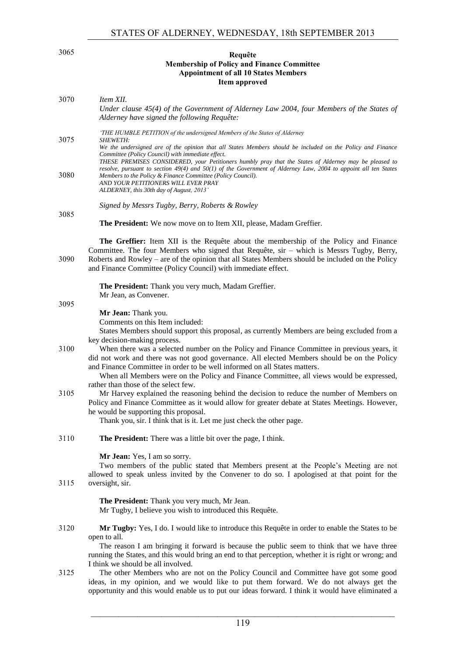# **Requête** 3065 **Membership of Policy and Finance Committee Appointment of all 10 States Members Item approved**

| 3070 | Item XII.<br>Under clause 45(4) of the Government of Alderney Law 2004, four Members of the States of<br>Alderney have signed the following Requête:                                                                                                                                                                                                                                                                               |
|------|------------------------------------------------------------------------------------------------------------------------------------------------------------------------------------------------------------------------------------------------------------------------------------------------------------------------------------------------------------------------------------------------------------------------------------|
| 3075 | 'THE HUMBLE PETITION of the undersigned Members of the States of Alderney<br><i>SHEWETH:</i><br>We the undersigned are of the opinion that all States Members should be included on the Policy and Finance                                                                                                                                                                                                                         |
| 3080 | Committee (Policy Council) with immediate effect.<br>THESE PREMISES CONSIDERED, your Petitioners humbly pray that the States of Alderney may be pleased to<br>resolve, pursuant to section $49(4)$ and $50(1)$ of the Government of Alderney Law, 2004 to appoint all ten States<br>Members to the Policy & Finance Committee (Policy Council).<br>AND YOUR PETITIONERS WILL EVER PRAY<br>ALDERNEY, this 30th day of August, 2013' |
| 3085 | Signed by Messrs Tugby, Berry, Roberts & Rowley                                                                                                                                                                                                                                                                                                                                                                                    |
|      | The President: We now move on to Item XII, please, Madam Greffier.                                                                                                                                                                                                                                                                                                                                                                 |
| 3090 | The Greffier: Item XII is the Requête about the membership of the Policy and Finance<br>Committee. The four Members who signed that Requête, sir - which is Messrs Tugby, Berry,<br>Roberts and Rowley – are of the opinion that all States Members should be included on the Policy<br>and Finance Committee (Policy Council) with immediate effect.                                                                              |
|      | The President: Thank you very much, Madam Greffier.<br>Mr Jean, as Convener.                                                                                                                                                                                                                                                                                                                                                       |
| 3095 | Mr Jean: Thank you.                                                                                                                                                                                                                                                                                                                                                                                                                |
|      | Comments on this Item included:                                                                                                                                                                                                                                                                                                                                                                                                    |
|      | States Members should support this proposal, as currently Members are being excluded from a                                                                                                                                                                                                                                                                                                                                        |
| 3100 | key decision-making process.<br>When there was a selected number on the Policy and Finance Committee in previous years, it<br>did not work and there was not good governance. All elected Members should be on the Policy<br>and Finance Committee in order to be well informed on all States matters.<br>When all Members were on the Policy and Finance Committee, all views would be expressed,                                 |
| 3105 | rather than those of the select few.<br>Mr Harvey explained the reasoning behind the decision to reduce the number of Members on<br>Policy and Finance Committee as it would allow for greater debate at States Meetings. However,<br>he would be supporting this proposal.<br>Thank you, sir. I think that is it. Let me just check the other page.                                                                               |
| 3110 | <b>The President:</b> There was a little bit over the page, I think.                                                                                                                                                                                                                                                                                                                                                               |
| 3115 | Mr Jean: Yes, I am so sorry.<br>Two members of the public stated that Members present at the People's Meeting are not<br>allowed to speak unless invited by the Convener to do so. I apologised at that point for the<br>oversight, sir.                                                                                                                                                                                           |
|      | The President: Thank you very much, Mr Jean.<br>Mr Tugby, I believe you wish to introduced this Requête.                                                                                                                                                                                                                                                                                                                           |
|      |                                                                                                                                                                                                                                                                                                                                                                                                                                    |
| 3120 | Mr Tugby: Yes, I do. I would like to introduce this Requête in order to enable the States to be<br>open to all.<br>The reason I am bringing it forward is because the public seem to think that we have three                                                                                                                                                                                                                      |
|      | running the States, and this would bring an end to that perception, whether it is right or wrong; and                                                                                                                                                                                                                                                                                                                              |
| 3125 | I think we should be all involved.<br>The other Members who are not on the Policy Council and Committee have got some good<br>ideas, in my opinion, and we would like to put them forward. We do not always get the<br>opportunity and this would enable us to put our ideas forward. I think it would have eliminated a                                                                                                           |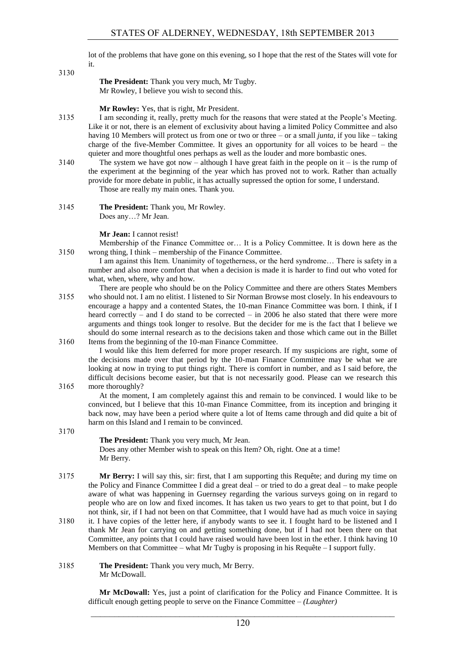lot of the problems that have gone on this evening, so I hope that the rest of the States will vote for it.

3130

**The President:** Thank you very much, Mr Tugby. Mr Rowley, I believe you wish to second this.

**Mr Rowley:** Yes, that is right, Mr President.

- 3135 I am seconding it, really, pretty much for the reasons that were stated at the People's Meeting. Like it or not, there is an element of exclusivity about having a limited Policy Committee and also having 10 Members will protect us from one or two or three – or a small *junta*, if you like – taking charge of the five-Member Committee. It gives an opportunity for all voices to be heard – the quieter and more thoughtful ones perhaps as well as the louder and more bombastic ones.
- 3140 The system we have got now although I have great faith in the people on it is the rump of the experiment at the beginning of the year which has proved not to work. Rather than actually provide for more debate in public, it has actually supressed the option for some, I understand. Those are really my main ones. Thank you.
- 3145 **The President:** Thank you, Mr Rowley. Does any…? Mr Jean.

# **Mr Jean:** I cannot resist!

Membership of the Finance Committee or… It is a Policy Committee. It is down here as the 3150 wrong thing, I think – membership of the Finance Committee.

- I am against this Item. Unanimity of togetherness, or the herd syndrome… There is safety in a number and also more comfort that when a decision is made it is harder to find out who voted for what, when, where, why and how.
- There are people who should be on the Policy Committee and there are others States Members 3155 who should not. I am no elitist. I listened to Sir Norman Browse most closely. In his endeavours to encourage a happy and a contented States, the 10-man Finance Committee was born. I think, if I heard correctly – and I do stand to be corrected – in 2006 he also stated that there were more arguments and things took longer to resolve. But the decider for me is the fact that I believe we should do some internal research as to the decisions taken and those which came out in the Billet 3160 Items from the beginning of the 10-man Finance Committee.

I would like this Item deferred for more proper research. If my suspicions are right, some of the decisions made over that period by the 10-man Finance Committee may be what we are looking at now in trying to put things right. There is comfort in number, and as I said before, the difficult decisions become easier, but that is not necessarily good. Please can we research this 3165 more thoroughly?

At the moment, I am completely against this and remain to be convinced. I would like to be convinced, but I believe that this 10-man Finance Committee, from its inception and bringing it back now, may have been a period where quite a lot of Items came through and did quite a bit of harm on this Island and I remain to be convinced.

3170

**The President:** Thank you very much, Mr Jean. Does any other Member wish to speak on this Item? Oh, right. One at a time! Mr Berry.

- 3175 **Mr Berry:** I will say this, sir: first, that I am supporting this Requête; and during my time on the Policy and Finance Committee I did a great deal – or tried to do a great deal – to make people aware of what was happening in Guernsey regarding the various surveys going on in regard to people who are on low and fixed incomes. It has taken us two years to get to that point, but I do not think, sir, if I had not been on that Committee, that I would have had as much voice in saying
- 3180 it. I have copies of the letter here, if anybody wants to see it. I fought hard to be listened and I thank Mr Jean for carrying on and getting something done, but if I had not been there on that Committee, any points that I could have raised would have been lost in the ether. I think having 10 Members on that Committee – what Mr Tugby is proposing in his Requête – I support fully.
- 3185 **The President:** Thank you very much, Mr Berry. Mr McDowall.

**Mr McDowall:** Yes, just a point of clarification for the Policy and Finance Committee. It is difficult enough getting people to serve on the Finance Committee – *(Laughter)*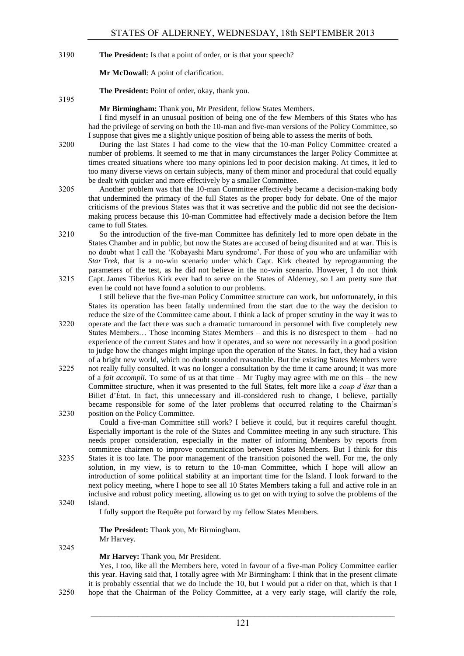3190 **The President:** Is that a point of order, or is that your speech?

**Mr McDowall**: A point of clarification.

**The President:** Point of order, okay, thank you.

**Mr Birmingham:** Thank you, Mr President, fellow States Members.

I find myself in an unusual position of being one of the few Members of this States who has had the privilege of serving on both the 10-man and five-man versions of the Policy Committee, so I suppose that gives me a slightly unique position of being able to assess the merits of both.

3200 During the last States I had come to the view that the 10-man Policy Committee created a number of problems. It seemed to me that in many circumstances the larger Policy Committee at times created situations where too many opinions led to poor decision making. At times, it led to too many diverse views on certain subjects, many of them minor and procedural that could equally be dealt with quicker and more effectively by a smaller Committee.

- 3205 Another problem was that the 10-man Committee effectively became a decision-making body that undermined the primacy of the full States as the proper body for debate. One of the major criticisms of the previous States was that it was secretive and the public did not see the decisionmaking process because this 10-man Committee had effectively made a decision before the Item came to full States.
- 3210 So the introduction of the five-man Committee has definitely led to more open debate in the States Chamber and in public, but now the States are accused of being disunited and at war. This is no doubt what I call the 'Kobayashi Maru syndrome'. For those of you who are unfamiliar with *Star Trek*, that is a no-win scenario under which Capt. Kirk cheated by reprogramming the parameters of the test, as he did not believe in the no-win scenario. However, I do not think 3215 Capt. James Tiberius Kirk ever had to serve on the States of Alderney, so I am pretty sure that
- even he could not have found a solution to our problems. I still believe that the five-man Policy Committee structure can work, but unfortunately, in this

States its operation has been fatally undermined from the start due to the way the decision to reduce the size of the Committee came about. I think a lack of proper scrutiny in the way it was to

- 3220 operate and the fact there was such a dramatic turnaround in personnel with five completely new States Members… Those incoming States Members – and this is no disrespect to them – had no experience of the current States and how it operates, and so were not necessarily in a good position to judge how the changes might impinge upon the operation of the States. In fact, they had a vision of a bright new world, which no doubt sounded reasonable. But the existing States Members were
- 3225 not really fully consulted. It was no longer a consultation by the time it came around; it was more of a *fait accompli.* To some of us at that time – Mr Tugby may agree with me on this – the new Committee structure, when it was presented to the full States, felt more like a *coup d"état* than a Billet d'État. In fact, this unnecessary and ill-considered rush to change, I believe, partially became responsible for some of the later problems that occurred relating to the Chairman's 3230 position on the Policy Committee.
	- Could a five-man Committee still work? I believe it could, but it requires careful thought. Especially important is the role of the States and Committee meeting in any such structure. This needs proper consideration, especially in the matter of informing Members by reports from committee chairmen to improve communication between States Members. But I think for this
- 3235 States it is too late. The poor management of the transition poisoned the well. For me, the only solution, in my view, is to return to the 10-man Committee, which I hope will allow an introduction of some political stability at an important time for the Island. I look forward to the next policy meeting, where I hope to see all 10 States Members taking a full and active role in an inclusive and robust policy meeting, allowing us to get on with trying to solve the problems of the 3240 Island.

I fully support the Requête put forward by my fellow States Members.

**The President:** Thank you, Mr Birmingham. Mr Harvey.

3245

3195

# **Mr Harvey:** Thank you, Mr President.

Yes, I too, like all the Members here, voted in favour of a five-man Policy Committee earlier this year. Having said that, I totally agree with Mr Birmingham: I think that in the present climate it is probably essential that we do include the 10, but I would put a rider on that, which is that I 3250 hope that the Chairman of the Policy Committee, at a very early stage, will clarify the role,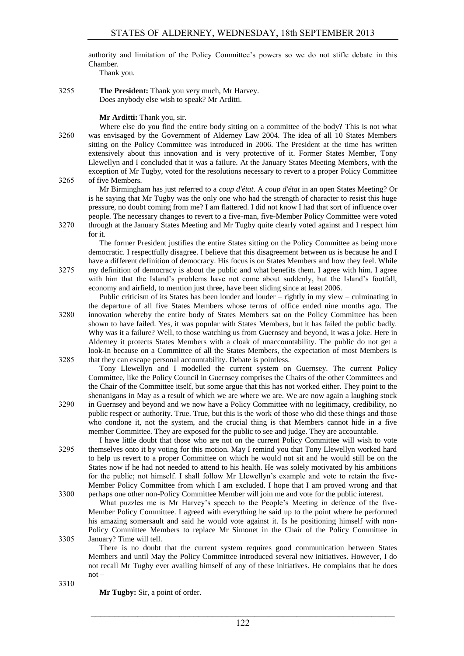authority and limitation of the Policy Committee's powers so we do not stifle debate in this Chamber.

Thank you.

3255 **The President:** Thank you very much, Mr Harvey. Does anybody else wish to speak? Mr Arditti.

**Mr Arditti:** Thank you, sir.

Where else do you find the entire body sitting on a committee of the body? This is not what 3260 was envisaged by the Government of Alderney Law 2004. The idea of all 10 States Members sitting on the Policy Committee was introduced in 2006. The President at the time has written extensively about this innovation and is very protective of it. Former States Member, Tony Llewellyn and I concluded that it was a failure. At the January States Meeting Members, with the exception of Mr Tugby, voted for the resolutions necessary to revert to a proper Policy Committee 3265 of five Members.

Mr Birmingham has just referred to a *coup d'état*. A *coup d'état* in an open States Meeting? Or is he saying that Mr Tugby was the only one who had the strength of character to resist this huge pressure, no doubt coming from me? I am flattered. I did not know I had that sort of influence over people. The necessary changes to revert to a five-man, five-Member Policy Committee were voted 3270 through at the January States Meeting and Mr Tugby quite clearly voted against and I respect him for it.

The former President justifies the entire States sitting on the Policy Committee as being more democratic. I respectfully disagree. I believe that this disagreement between us is because he and I have a different definition of democracy. His focus is on States Members and how they feel. While 3275 my definition of democracy is about the public and what benefits them. I agree with him. I agree with him that the Island's problems have not come about suddenly, but the Island's footfall, economy and airfield, to mention just three, have been sliding since at least 2006.

Public criticism of its States has been louder and louder – rightly in my view – culminating in the departure of all five States Members whose terms of office ended nine months ago. The 3280 innovation whereby the entire body of States Members sat on the Policy Committee has been shown to have failed. Yes, it was popular with States Members, but it has failed the public badly. Why was it a failure? Well, to those watching us from Guernsey and beyond, it was a joke. Here in Alderney it protects States Members with a cloak of unaccountability. The public do not get a look-in because on a Committee of all the States Members, the expectation of most Members is 3285 that they can escape personal accountability. Debate is pointless.

Tony Llewellyn and I modelled the current system on Guernsey. The current Policy Committee, like the Policy Council in Guernsey comprises the Chairs of the other Committees and the Chair of the Committee itself, but some argue that this has not worked either. They point to the shenanigans in May as a result of which we are where we are. We are now again a laughing stock

3290 in Guernsey and beyond and we now have a Policy Committee with no legitimacy, credibility, no public respect or authority. True. True, but this is the work of those who did these things and those who condone it, not the system, and the crucial thing is that Members cannot hide in a five member Committee. They are exposed for the public to see and judge. They are accountable.

I have little doubt that those who are not on the current Policy Committee will wish to vote 3295 themselves onto it by voting for this motion. May I remind you that Tony Llewellyn worked hard to help us revert to a proper Committee on which he would not sit and he would still be on the States now if he had not needed to attend to his health. He was solely motivated by his ambitions for the public; not himself. I shall follow Mr Llewellyn's example and vote to retain the five-Member Policy Committee from which I am excluded. I hope that I am proved wrong and that 3300 perhaps one other non-Policy Committee Member will join me and vote for the public interest.

What puzzles me is Mr Harvey's speech to the People's Meeting in defence of the five-Member Policy Committee. I agreed with everything he said up to the point where he performed his amazing somersault and said he would vote against it. Is he positioning himself with non-Policy Committee Members to replace Mr Simonet in the Chair of the Policy Committee in 3305 January? Time will tell.

There is no doubt that the current system requires good communication between States Members and until May the Policy Committee introduced several new initiatives. However, I do not recall Mr Tugby ever availing himself of any of these initiatives. He complains that he does not –

3310

**Mr Tugby:** Sir, a point of order.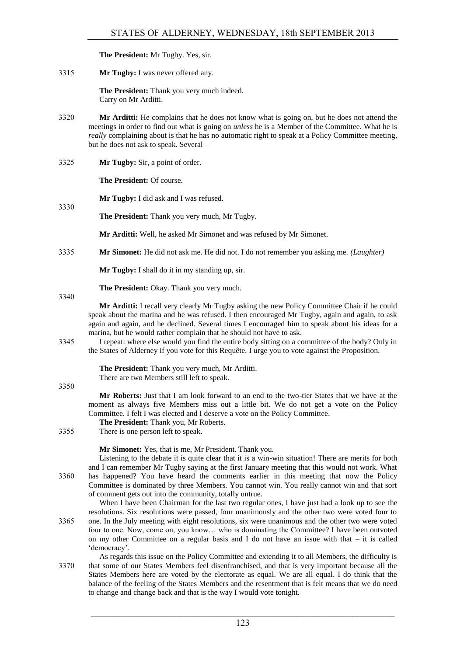**The President:** Mr Tugby. Yes, sir.

3315 **Mr Tugby:** I was never offered any.

**The President:** Thank you very much indeed. Carry on Mr Arditti.

- 3320 **Mr Arditti:** He complains that he does not know what is going on, but he does not attend the meetings in order to find out what is going on *unless* he is a Member of the Committee. What he is *really* complaining about is that he has no automatic right to speak at a Policy Committee meeting, but he does not ask to speak. Several –
- 3325 **Mr Tugby:** Sir, a point of order.

**The President:** Of course.

**Mr Tugby:** I did ask and I was refused.

**The President:** Thank you very much, Mr Tugby.

**Mr Arditti:** Well, he asked Mr Simonet and was refused by Mr Simonet.

3335 **Mr Simonet:** He did not ask me. He did not. I do not remember you asking me. *(Laughter)*

**Mr Tugby:** I shall do it in my standing up, sir.

**The President:** Okay. Thank you very much.

3340

3330

**Mr Arditti:** I recall very clearly Mr Tugby asking the new Policy Committee Chair if he could speak about the marina and he was refused. I then encouraged Mr Tugby, again and again, to ask again and again, and he declined. Several times I encouraged him to speak about his ideas for a marina, but he would rather complain that he should not have to ask.

3345 I repeat: where else would you find the entire body sitting on a committee of the body? Only in the States of Alderney if you vote for this Requête. I urge you to vote against the Proposition.

> **The President:** Thank you very much, Mr Arditti. There are two Members still left to speak.

3350

**Mr Roberts:** Just that I am look forward to an end to the two-tier States that we have at the moment as always five Members miss out a little bit. We do not get a vote on the Policy Committee. I felt I was elected and I deserve a vote on the Policy Committee.

- **The President:** Thank you, Mr Roberts.
- 3355 There is one person left to speak.

**Mr Simonet:** Yes, that is me, Mr President. Thank you.

Listening to the debate it is quite clear that it is a win-win situation! There are merits for both and I can remember Mr Tugby saying at the first January meeting that this would not work. What 3360 has happened? You have heard the comments earlier in this meeting that now the Policy Committee is dominated by three Members. You cannot win. You really cannot win and that sort of comment gets out into the community, totally untrue.

When I have been Chairman for the last two regular ones. I have just had a look up to see the resolutions. Six resolutions were passed, four unanimously and the other two were voted four to 3365 one. In the July meeting with eight resolutions, six were unanimous and the other two were voted four to one. Now, come on, you know… who is dominating the Committee? I have been outvoted on my other Committee on a regular basis and I do not have an issue with that – it is called 'democracy'.

As regards this issue on the Policy Committee and extending it to all Members, the difficulty is 3370 that some of our States Members feel disenfranchised, and that is very important because all the States Members here are voted by the electorate as equal. We are all equal. I do think that the balance of the feeling of the States Members and the resentment that is felt means that we do need to change and change back and that is the way I would vote tonight.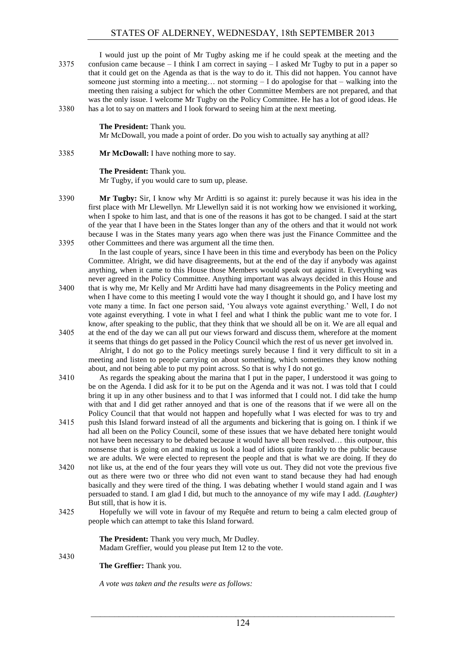I would just up the point of Mr Tugby asking me if he could speak at the meeting and the 3375 confusion came because – I think I am correct in saying – I asked Mr Tugby to put in a paper so that it could get on the Agenda as that is the way to do it. This did not happen. You cannot have someone just storming into a meeting... not storming  $-I$  do apologise for that  $-$  walking into the meeting then raising a subject for which the other Committee Members are not prepared, and that was the only issue. I welcome Mr Tugby on the Policy Committee. He has a lot of good ideas. He 3380 has a lot to say on matters and I look forward to seeing him at the next meeting.

**The President:** Thank you.

Mr McDowall, you made a point of order. Do you wish to actually say anything at all?

# 3385 **Mr McDowall:** I have nothing more to say.

# **The President:** Thank you.

Mr Tugby, if you would care to sum up, please.

- 3390 **Mr Tugby:** Sir, I know why Mr Arditti is so against it: purely because it was his idea in the first place with Mr Llewellyn. Mr Llewellyn said it is not working how we envisioned it working, when I spoke to him last, and that is one of the reasons it has got to be changed. I said at the start of the year that I have been in the States longer than any of the others and that it would not work because I was in the States many years ago when there was just the Finance Committee and the 3395 other Committees and there was argument all the time then.
	- In the last couple of years, since I have been in this time and everybody has been on the Policy Committee. Alright, we did have disagreements, but at the end of the day if anybody was against anything, when it came to this House those Members would speak out against it. Everything was never agreed in the Policy Committee. Anything important was always decided in this House and
- 3400 that is why me, Mr Kelly and Mr Arditti have had many disagreements in the Policy meeting and when I have come to this meeting I would vote the way I thought it should go, and I have lost my vote many a time. In fact one person said, 'You always vote against everything.' Well, I do not vote against everything. I vote in what I feel and what I think the public want me to vote for. I know, after speaking to the public, that they think that we should all be on it. We are all equal and 3405 at the end of the day we can all put our views forward and discuss them, wherefore at the moment

it seems that things do get passed in the Policy Council which the rest of us never get involved in. Alright, I do not go to the Policy meetings surely because I find it very difficult to sit in a meeting and listen to people carrying on about something, which sometimes they know nothing about, and not being able to put my point across. So that is why I do not go.

- 3410 As regards the speaking about the marina that I put in the paper, I understood it was going to be on the Agenda. I did ask for it to be put on the Agenda and it was not. I was told that I could bring it up in any other business and to that I was informed that I could not. I did take the hump with that and I did get rather annoyed and that is one of the reasons that if we were all on the Policy Council that that would not happen and hopefully what I was elected for was to try and
- 3415 push this Island forward instead of all the arguments and bickering that is going on. I think if we had all been on the Policy Council, some of these issues that we have debated here tonight would not have been necessary to be debated because it would have all been resolved… this outpour, this nonsense that is going on and making us look a load of idiots quite frankly to the public because we are adults. We were elected to represent the people and that is what we are doing. If they do
- 3420 not like us, at the end of the four years they will vote us out. They did not vote the previous five out as there were two or three who did not even want to stand because they had had enough basically and they were tired of the thing. I was debating whether I would stand again and I was persuaded to stand. I am glad I did, but much to the annoyance of my wife may I add. *(Laughter)* But still, that is how it is.
- 3425 Hopefully we will vote in favour of my Requête and return to being a calm elected group of people which can attempt to take this Island forward.

#### **The President:** Thank you very much, Mr Dudley. Madam Greffier, would you please put Item 12 to the vote.

3430

**The Greffier:** Thank you.

*A vote was taken and the results were as follows:*